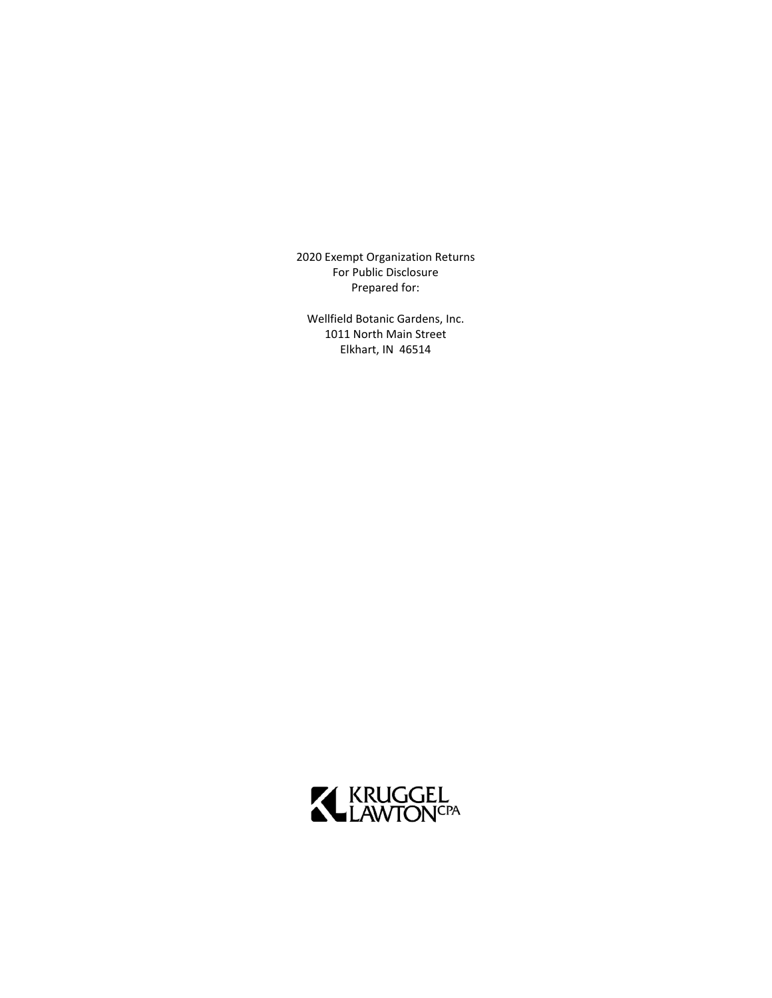2020 Exempt Organization Returns For Public Disclosure Prepared for:

Wellfield Botanic Gardens, Inc. 1011 North Main Street Elkhart, IN 46514

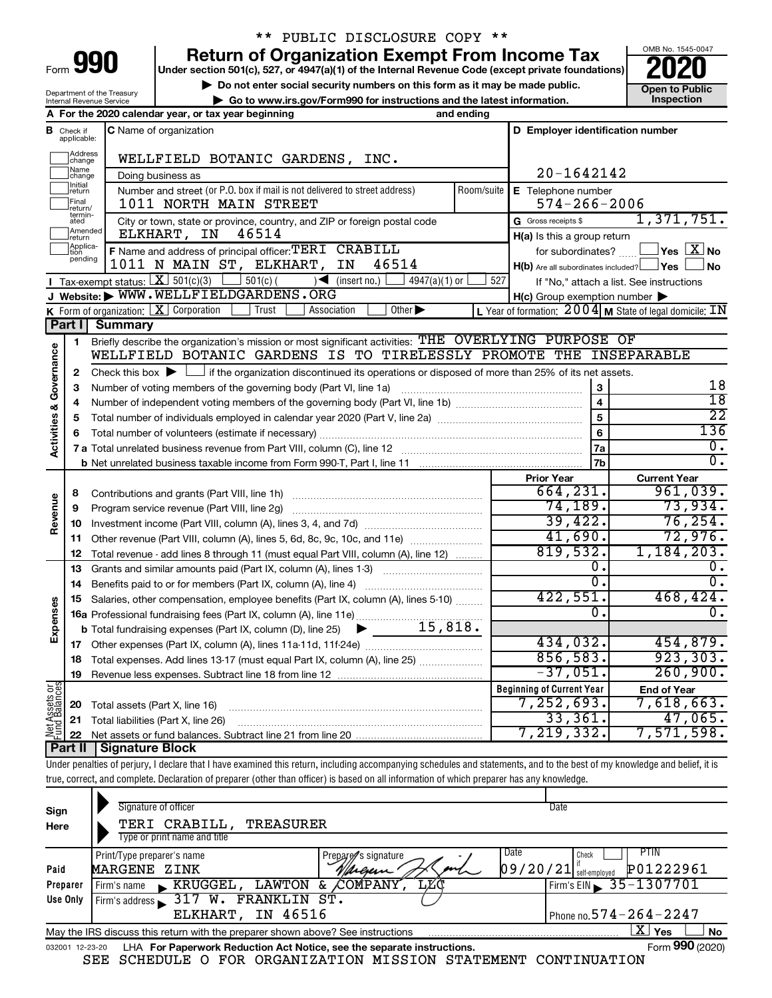| Form |  |  |
|------|--|--|

## \*\* PUBLIC DISCLOSURE COPY \*\*

**990** Return of Organization Exempt From Income Tax <br>
Under section 501(c), 527, or 4947(a)(1) of the Internal Revenue Code (except private foundations)<br> **PO20** 

▶ Do not enter social security numbers on this form as it may be made public. **Dependent Open to Public Dependent Open to Public and the latest information.** Inspection **| Go to www.irs.gov/Form990 for instructions and the latest information. Inspection**



Department of the Treasury Internal Revenue Service

|                                |                               | A For the 2020 calendar year, or tax year beginning                                                                                                                        | and ending |                                                     |                                                                   |
|--------------------------------|-------------------------------|----------------------------------------------------------------------------------------------------------------------------------------------------------------------------|------------|-----------------------------------------------------|-------------------------------------------------------------------|
|                                | <b>B</b> Check if applicable: | <b>C</b> Name of organization                                                                                                                                              |            | D Employer identification number                    |                                                                   |
|                                | Address<br> change            | WELLFIELD BOTANIC GARDENS, INC.                                                                                                                                            |            |                                                     |                                                                   |
|                                | Name<br> change               | Doing business as                                                                                                                                                          |            | 20-1642142                                          |                                                                   |
|                                | ]Initial<br>]return           | Number and street (or P.O. box if mail is not delivered to street address)                                                                                                 | Room/suite | E Telephone number                                  |                                                                   |
|                                | Final<br>return/              | 1011 NORTH MAIN STREET                                                                                                                                                     |            | $574 - 266 - 2006$                                  |                                                                   |
|                                | termin-<br>ated               | City or town, state or province, country, and ZIP or foreign postal code                                                                                                   |            | G Gross receipts \$                                 | 1,371,751.                                                        |
|                                | Amended<br>Ireturn            | ELKHART, IN<br>46514                                                                                                                                                       |            | H(a) Is this a group return                         |                                                                   |
|                                | Applica-<br>Ition             | F Name and address of principal officer: TERI CRABILL                                                                                                                      |            | for subordinates?                                   | $\exists$ Yes $\boxed{\text{X}}$ No                               |
|                                | pending                       | 1011 N MAIN ST, ELKHART, IN<br>46514                                                                                                                                       |            | $H(b)$ Are all subordinates included? $\Box$ Yes    | ∣No                                                               |
|                                |                               | <b>I</b> Tax-exempt status: $X \overline{X}$ 501(c)(3)<br>$501(c)$ (<br>$\leq$ (insert no.)<br>$4947(a)(1)$ or                                                             | 527        |                                                     | If "No," attach a list. See instructions                          |
|                                |                               | J Website: WWW.WELLFIELDGARDENS.ORG                                                                                                                                        |            | $H(c)$ Group exemption number $\blacktriangleright$ |                                                                   |
|                                |                               | K Form of organization:   X Corporation<br>Other $\blacktriangleright$<br>Trust<br>Association                                                                             |            |                                                     | L Year of formation: $2004 \text{ m}$ State of legal domicile: IN |
|                                | Part I                        | <b>Summary</b>                                                                                                                                                             |            |                                                     |                                                                   |
|                                | 1                             | Briefly describe the organization's mission or most significant activities: THE OVERLYING PURPOSE OF                                                                       |            |                                                     |                                                                   |
| Activities & Governance        |                               | WELLFIELD BOTANIC GARDENS IS TO TIRELESSLY PROMOTE THE INSEPARABLE                                                                                                         |            |                                                     |                                                                   |
|                                | 2                             | Check this box $\blacktriangleright$ $\Box$ if the organization discontinued its operations or disposed of more than 25% of its net assets.                                |            |                                                     | 18                                                                |
|                                | 3                             | Number of voting members of the governing body (Part VI, line 1a)                                                                                                          |            | 3                                                   | $\overline{18}$                                                   |
|                                | 4                             |                                                                                                                                                                            |            | $\overline{\mathbf{4}}$<br>5                        | $\overline{22}$                                                   |
|                                | 5                             |                                                                                                                                                                            |            | $6\phantom{1}6$                                     | 136                                                               |
|                                | 6                             |                                                                                                                                                                            |            | 7a                                                  | $\overline{0}$ .                                                  |
|                                |                               |                                                                                                                                                                            |            | 7b                                                  | $\overline{0}$ .                                                  |
|                                |                               |                                                                                                                                                                            |            | <b>Prior Year</b>                                   | <b>Current Year</b>                                               |
|                                | 8                             |                                                                                                                                                                            |            | 664, 231.                                           | 961,039.                                                          |
| Revenue                        | 9                             | Program service revenue (Part VIII, line 2g)                                                                                                                               |            | 74, 189.                                            | 73,934.                                                           |
|                                | 10                            |                                                                                                                                                                            |            | 39,422.                                             | 76, 254.                                                          |
|                                | 11                            | Other revenue (Part VIII, column (A), lines 5, 6d, 8c, 9c, 10c, and 11e)                                                                                                   |            | 41,690.                                             | 72,976.                                                           |
|                                | 12                            | Total revenue - add lines 8 through 11 (must equal Part VIII, column (A), line 12)                                                                                         |            | 819,532.                                            | 1,184,203.                                                        |
|                                | 13                            | Grants and similar amounts paid (Part IX, column (A), lines 1-3) <i></i>                                                                                                   |            | о.                                                  | ο.                                                                |
|                                | 14                            |                                                                                                                                                                            |            | $\overline{0}$ .                                    | $\overline{0}$ .                                                  |
|                                | 15                            | Salaries, other compensation, employee benefits (Part IX, column (A), lines 5-10)                                                                                          |            | 422,551.                                            | 468, 424.                                                         |
|                                |                               | 16a Professional fundraising fees (Part IX, column (A), line 11e)                                                                                                          |            | 0.                                                  | $\overline{0}$ .                                                  |
| Expenses                       |                               | <b>b</b> Total fundraising expenses (Part IX, column (D), line 25) $\bullet$ 15, 818.                                                                                      |            |                                                     |                                                                   |
|                                |                               |                                                                                                                                                                            |            | 434,032.                                            | 454,879.                                                          |
|                                |                               | 18 Total expenses. Add lines 13-17 (must equal Part IX, column (A), line 25)                                                                                               |            | 856,583.                                            | 923, 303.                                                         |
|                                |                               | 19 Revenue less expenses. Subtract line 18 from line 12                                                                                                                    |            | $-37,051.$                                          | 260,900.                                                          |
| Net Assets or<br>Fund Balances |                               |                                                                                                                                                                            |            | <b>Beginning of Current Year</b>                    | <b>End of Year</b>                                                |
|                                | 20                            | Total assets (Part X, line 16)                                                                                                                                             |            | 7,252,693.                                          | 7,618,663.                                                        |
|                                | 21                            | Total liabilities (Part X, line 26)                                                                                                                                        |            | 33,361.                                             | 47,065.                                                           |
|                                | 22                            |                                                                                                                                                                            |            | 7, 219, 332.                                        | 7,571,598.                                                        |
|                                | Part II                       | <b>Signature Block</b>                                                                                                                                                     |            |                                                     |                                                                   |
|                                |                               | Under penalties of perjury, I declare that I have examined this return, including accompanying schedules and statements, and to the best of my knowledge and belief, it is |            |                                                     |                                                                   |
|                                |                               | true, correct, and complete. Declaration of preparer (other than officer) is based on all information of which preparer has any knowledge.                                 |            |                                                     |                                                                   |
|                                |                               | Signature of officer                                                                                                                                                       |            | Date                                                |                                                                   |
| Sign                           |                               |                                                                                                                                                                            |            |                                                     |                                                                   |

| Sign     | Signature of officer                                                                                         |                             | Date                               |  |  |  |  |
|----------|--------------------------------------------------------------------------------------------------------------|-----------------------------|------------------------------------|--|--|--|--|
| Here     | CRABILL,<br>TREASURER<br>TERI                                                                                |                             |                                    |  |  |  |  |
|          | Type or print name and title                                                                                 |                             |                                    |  |  |  |  |
|          | Print/Type preparer's name                                                                                   | Prepare/s signature         | Date<br>P HN.<br>Check             |  |  |  |  |
| Paid     | MARGENE ZINK                                                                                                 | Vargem                      | P01222961<br> 09/20/21             |  |  |  |  |
| Preparer | KRUGGEL,<br>LAWTON<br>Firm's name                                                                            | <b>LXC</b><br>COMPANY<br>δ£ | $1$ Firm's EIN $\geq 35 - 1307701$ |  |  |  |  |
| Use Only | FRANKLIN ST.<br>w.<br>Firm's address                                                                         |                             |                                    |  |  |  |  |
|          | IN 46516<br>ELKHART,                                                                                         |                             | Phone no. $574 - 264 - 2247$       |  |  |  |  |
|          | X'<br>Yes<br>No<br>May the IRS discuss this return with the preparer shown above? See instructions           |                             |                                    |  |  |  |  |
|          | Form 990 (2020)<br>LHA For Paperwork Reduction Act Notice, see the separate instructions.<br>032001 12-23-20 |                             |                                    |  |  |  |  |

SEE SCHEDULE O FOR ORGANIZATION MISSION STATEMENT CONTINUATION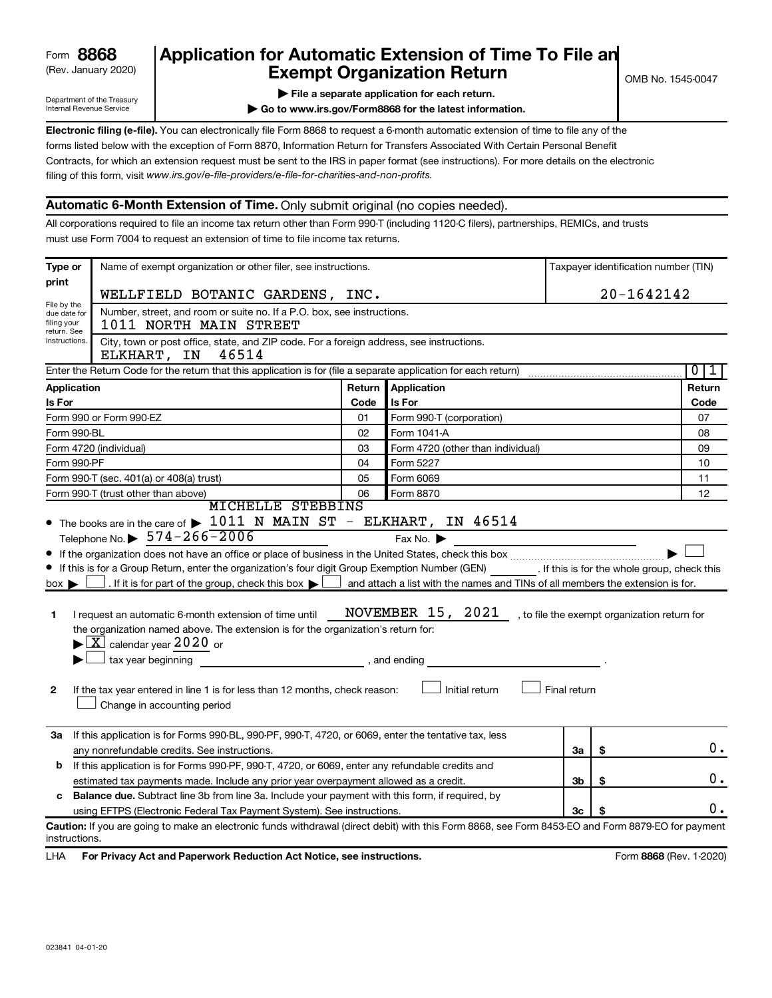## (Rev. January 2020) **Cxempt Organization Return** Manuary 2020) and the settern **Canadian Exempt Organization Return Form 8868 Application for Automatic Extension of Time To File an**<br>**Exempt Organization Return**

Department of the Treasury Internal Revenue Service

|  | File a separate application for each return. |  |
|--|----------------------------------------------|--|

**| Go to www.irs.gov/Form8868 for the latest information.**

**Electronic filing (e-file).** You can electronically file Form 8868 to request a 6-month automatic extension of time to file any of the filing of this form, visit www.irs.gov/e-file-providers/e-file-for-charities-and-non-profits. forms listed below with the exception of Form 8870, Information Return for Transfers Associated With Certain Personal Benefit Contracts, for which an extension request must be sent to the IRS in paper format (see instructions). For more details on the electronic

## **Automatic 6-Month Extension of Time.** Only submit original (no copies needed).

All corporations required to file an income tax return other than Form 990-T (including 1120-C filers), partnerships, REMICs, and trusts must use Form 7004 to request an extension of time to file income tax returns.

| Type or                                                                     | Name of exempt organization or other filer, see instructions.                                                                                                                                                                                                                                                                                                                                                                                                                                                                                                                        |        |                                                                                                                                                                                   |              |            | Taxpayer identification number (TIN) |  |
|-----------------------------------------------------------------------------|--------------------------------------------------------------------------------------------------------------------------------------------------------------------------------------------------------------------------------------------------------------------------------------------------------------------------------------------------------------------------------------------------------------------------------------------------------------------------------------------------------------------------------------------------------------------------------------|--------|-----------------------------------------------------------------------------------------------------------------------------------------------------------------------------------|--------------|------------|--------------------------------------|--|
| print                                                                       | WELLFIELD BOTANIC GARDENS, INC.                                                                                                                                                                                                                                                                                                                                                                                                                                                                                                                                                      |        |                                                                                                                                                                                   |              | 20-1642142 |                                      |  |
| File by the<br>due date for<br>filing your                                  | Number, street, and room or suite no. If a P.O. box, see instructions.<br>1011 NORTH MAIN STREET                                                                                                                                                                                                                                                                                                                                                                                                                                                                                     |        |                                                                                                                                                                                   |              |            |                                      |  |
| return. See<br>instructions.                                                | City, town or post office, state, and ZIP code. For a foreign address, see instructions.<br>ELKHART, IN<br>46514                                                                                                                                                                                                                                                                                                                                                                                                                                                                     |        |                                                                                                                                                                                   |              |            |                                      |  |
|                                                                             | Enter the Return Code for the return that this application is for (file a separate application for each return)                                                                                                                                                                                                                                                                                                                                                                                                                                                                      |        |                                                                                                                                                                                   |              |            | $\overline{0}$<br>1                  |  |
| Application                                                                 |                                                                                                                                                                                                                                                                                                                                                                                                                                                                                                                                                                                      | Return | <b>Application</b>                                                                                                                                                                |              |            | Return                               |  |
| Is For                                                                      |                                                                                                                                                                                                                                                                                                                                                                                                                                                                                                                                                                                      | Code   | Is For                                                                                                                                                                            |              | Code       |                                      |  |
|                                                                             | Form 990 or Form 990-EZ                                                                                                                                                                                                                                                                                                                                                                                                                                                                                                                                                              | 01     | Form 990-T (corporation)                                                                                                                                                          |              | 07         |                                      |  |
| Form 990-BL                                                                 |                                                                                                                                                                                                                                                                                                                                                                                                                                                                                                                                                                                      | 02     | Form 1041 A                                                                                                                                                                       |              |            | 08                                   |  |
|                                                                             | Form 4720 (individual)                                                                                                                                                                                                                                                                                                                                                                                                                                                                                                                                                               | 03     | Form 4720 (other than individual)                                                                                                                                                 |              |            | 09                                   |  |
| Form 990-PF                                                                 |                                                                                                                                                                                                                                                                                                                                                                                                                                                                                                                                                                                      | 04     | Form 5227                                                                                                                                                                         |              |            | 10                                   |  |
|                                                                             | Form 990-T (sec. 401(a) or 408(a) trust)                                                                                                                                                                                                                                                                                                                                                                                                                                                                                                                                             | 05     | Form 6069                                                                                                                                                                         |              |            | 11                                   |  |
| 06<br>Form 8870<br>Form 990-T (trust other than above)<br>MICHELLE STEBBINS |                                                                                                                                                                                                                                                                                                                                                                                                                                                                                                                                                                                      |        | 12                                                                                                                                                                                |              |            |                                      |  |
| $box \blacktriangleright$<br>1<br>$\mathbf{2}$                              | If this is for a Group Return, enter the organization's four digit Group Exemption Number (GEN) [If this is for the whole group, check this<br>. If it is for part of the group, check this box $\blacktriangleright$<br>I request an automatic 6-month extension of time until<br>the organization named above. The extension is for the organization's return for:<br>$\blacktriangleright$ $\lfloor$ X $\rfloor$ calendar year 2020 or<br>$\Box$ tax year beginning<br>If the tax year entered in line 1 is for less than 12 months, check reason:<br>Change in accounting period |        | and attach a list with the names and TINs of all members the extension is for.<br>NOVEMBER 15, 2021, to file the exempt organization return for<br>, and ending<br>Initial return | Final return |            |                                      |  |
|                                                                             | 3a If this application is for Forms 990-BL, 990-PF, 990-T, 4720, or 6069, enter the tentative tax, less<br>any nonrefundable credits. See instructions.                                                                                                                                                                                                                                                                                                                                                                                                                              |        |                                                                                                                                                                                   | За           | \$         | $0$ .                                |  |
|                                                                             | <b>b</b> If this application is for Forms 990-PF, 990-T, 4720, or 6069, enter any refundable credits and                                                                                                                                                                                                                                                                                                                                                                                                                                                                             |        |                                                                                                                                                                                   |              |            |                                      |  |
|                                                                             | estimated tax payments made. Include any prior year overpayment allowed as a credit.                                                                                                                                                                                                                                                                                                                                                                                                                                                                                                 |        |                                                                                                                                                                                   | 3b           | \$         | 0.                                   |  |
| c                                                                           | Balance due. Subtract line 3b from line 3a. Include your payment with this form, if required, by                                                                                                                                                                                                                                                                                                                                                                                                                                                                                     |        |                                                                                                                                                                                   |              |            |                                      |  |
|                                                                             | using EFTPS (Electronic Federal Tax Payment System). See instructions.                                                                                                                                                                                                                                                                                                                                                                                                                                                                                                               |        |                                                                                                                                                                                   | 3c           |            | 0.                                   |  |
| instructions.                                                               | Caution: If you are going to make an electronic funds withdrawal (direct debit) with this Form 8868, see Form 8453-EO and Form 8879-EO for payment                                                                                                                                                                                                                                                                                                                                                                                                                                   |        |                                                                                                                                                                                   |              |            |                                      |  |

LHA For Privacy Act and Paperwork Reduction Act Notice, see instructions. **8868** CREV. 1-2020)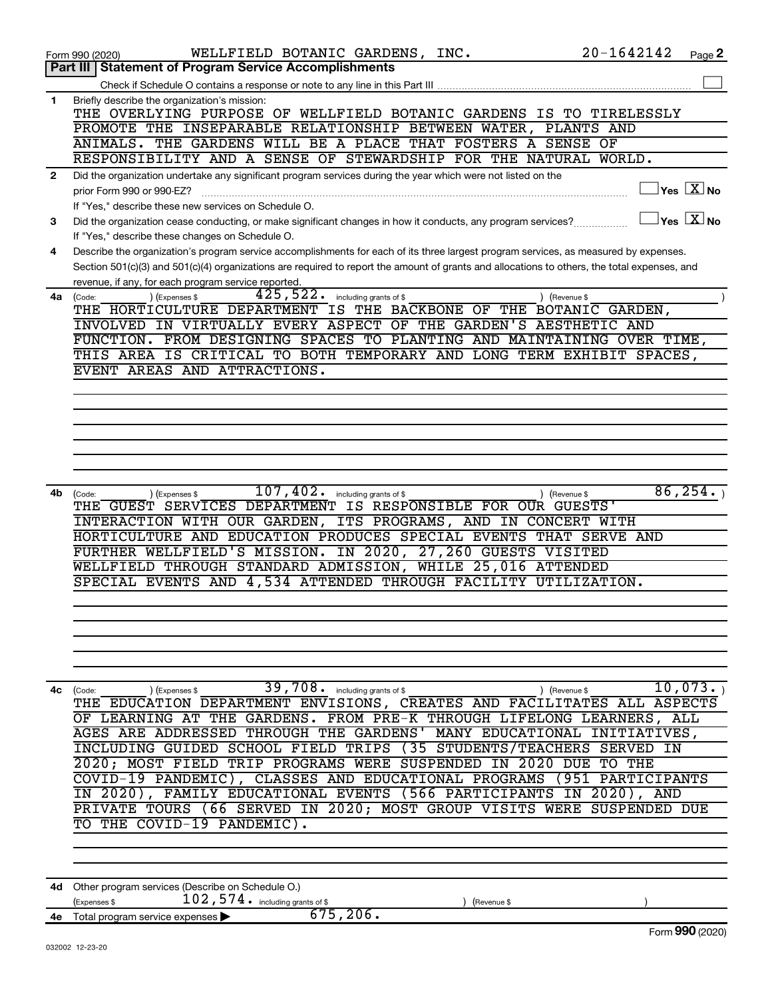|              | $20 - 1642142$<br>WELLFIELD BOTANIC GARDENS, INC.<br>Form 990 (2020)                                                                                      | Page 2 |
|--------------|-----------------------------------------------------------------------------------------------------------------------------------------------------------|--------|
|              | <b>Statement of Program Service Accomplishments</b><br>Part III                                                                                           |        |
|              | Check if Schedule O contains a response or note to any line in this Part III                                                                              |        |
| 1            | Briefly describe the organization's mission:                                                                                                              |        |
|              | THE OVERLYING PURPOSE OF WELLFIELD BOTANIC GARDENS IS TO TIRELESSLY                                                                                       |        |
|              | PROMOTE THE INSEPARABLE RELATIONSHIP BETWEEN WATER, PLANTS AND                                                                                            |        |
|              | ANIMALS. THE GARDENS WILL BE A PLACE THAT FOSTERS A SENSE OF                                                                                              |        |
|              | RESPONSIBILITY AND A SENSE OF STEWARDSHIP FOR THE NATURAL WORLD.                                                                                          |        |
| $\mathbf{2}$ | Did the organization undertake any significant program services during the year which were not listed on the                                              |        |
|              | $ {\mathsf Y}\mathsf{es}\ \boxed{{\mathsf X}}$ No<br>prior Form 990 or 990-EZ?                                                                            |        |
|              | If "Yes," describe these new services on Schedule O.                                                                                                      |        |
| 3            | $\overline{\ }$ Yes $\overline{\rm X}$ No<br>Did the organization cease conducting, or make significant changes in how it conducts, any program services? |        |
|              | If "Yes," describe these changes on Schedule O.                                                                                                           |        |
| 4            | Describe the organization's program service accomplishments for each of its three largest program services, as measured by expenses.                      |        |
|              | Section 501(c)(3) and 501(c)(4) organizations are required to report the amount of grants and allocations to others, the total expenses, and              |        |
|              | revenue, if any, for each program service reported.                                                                                                       |        |
| 4а           | $\overline{425}$ , $522$ . including grants of \$<br>) (Expenses \$<br>) (Revenue \$<br>(Code:                                                            |        |
|              | THE HORTICULTURE DEPARTMENT IS THE BACKBONE OF THE BOTANIC GARDEN,                                                                                        |        |
|              | INVOLVED IN VIRTUALLY EVERY ASPECT OF THE GARDEN'S AESTHETIC AND                                                                                          |        |
|              | FUNCTION. FROM DESIGNING SPACES TO PLANTING AND MAINTAINING OVER TIME,                                                                                    |        |
|              | THIS AREA IS CRITICAL TO BOTH TEMPORARY AND LONG TERM EXHIBIT SPACES,<br>EVENT AREAS AND ATTRACTIONS.                                                     |        |
|              |                                                                                                                                                           |        |
|              |                                                                                                                                                           |        |
|              |                                                                                                                                                           |        |
|              |                                                                                                                                                           |        |
|              |                                                                                                                                                           |        |
|              |                                                                                                                                                           |        |
|              |                                                                                                                                                           |        |
|              | 86, 254.<br>$\overline{107}$ , $\overline{402}$ . including grants of \$                                                                                  |        |
| 4b           | ) (Revenue \$<br>(Code:<br>) (Expenses \$<br>THE GUEST SERVICES DEPARTMENT IS RESPONSIBLE FOR OUR GUESTS'                                                 |        |
|              | INTERACTION WITH OUR GARDEN, ITS PROGRAMS, AND IN CONCERT WITH                                                                                            |        |
|              | HORTICULTURE AND EDUCATION PRODUCES SPECIAL EVENTS THAT SERVE AND                                                                                         |        |
|              | FURTHER WELLFIELD'S MISSION. IN 2020, 27,260 GUESTS VISITED                                                                                               |        |
|              | WELLFIELD THROUGH STANDARD ADMISSION, WHILE 25,016 ATTENDED                                                                                               |        |
|              | SPECIAL EVENTS AND 4,534 ATTENDED THROUGH FACILITY UTILIZATION.                                                                                           |        |
|              |                                                                                                                                                           |        |
|              |                                                                                                                                                           |        |
|              |                                                                                                                                                           |        |
|              |                                                                                                                                                           |        |
|              |                                                                                                                                                           |        |
|              |                                                                                                                                                           |        |
| 4с           | 39,708. including grants of \$<br>10,073.<br>) (Revenue \$<br>(Code:<br>(Expenses \$                                                                      |        |
|              | THE EDUCATION DEPARTMENT ENVISIONS, CREATES AND FACILITATES ALL ASPECTS                                                                                   |        |
|              | LEARNING AT THE<br>GARDENS. FROM PRE-K THROUGH LIFELONG LEARNERS, ALL<br>ΟF                                                                               |        |
|              | <b>AGES ARE ADDRESSED</b><br>THROUGH THE GARDENS'<br>MANY EDUCATIONAL INITIATIVES,                                                                        |        |
|              | INCLUDING GUIDED SCHOOL FIELD TRIPS<br>(35 STUDENTS/TEACHERS SERVED<br>ΙN                                                                                 |        |
|              | 2020; MOST FIELD TRIP PROGRAMS WERE SUSPENDED<br>2020<br>TO THE<br>ΙN<br>DUE                                                                              |        |
|              | CLASSES AND EDUCATIONAL PROGRAMS<br>COVID-19 PANDEMIC),<br>(951 PARTICIPANTS                                                                              |        |
|              | FAMILY EDUCATIONAL EVENTS (566 PARTICIPANTS IN 2020), AND<br>2020),                                                                                       |        |
|              | PRIVATE TOURS (66 SERVED IN 2020; MOST GROUP VISITS WERE SUSPENDED DUE                                                                                    |        |
|              | THE COVID-19 PANDEMIC).<br>TО                                                                                                                             |        |
|              |                                                                                                                                                           |        |
|              |                                                                                                                                                           |        |
|              |                                                                                                                                                           |        |
|              |                                                                                                                                                           |        |
| 4d           |                                                                                                                                                           |        |
|              | Other program services (Describe on Schedule O.)<br>(Expenses \$<br>(Revenue \$                                                                           |        |
| 4е           | $102$ , $574$ $\cdot$ including grants of \$<br>675, 206.<br>Total program service expenses                                                               |        |
|              | Form 990 (2020)                                                                                                                                           |        |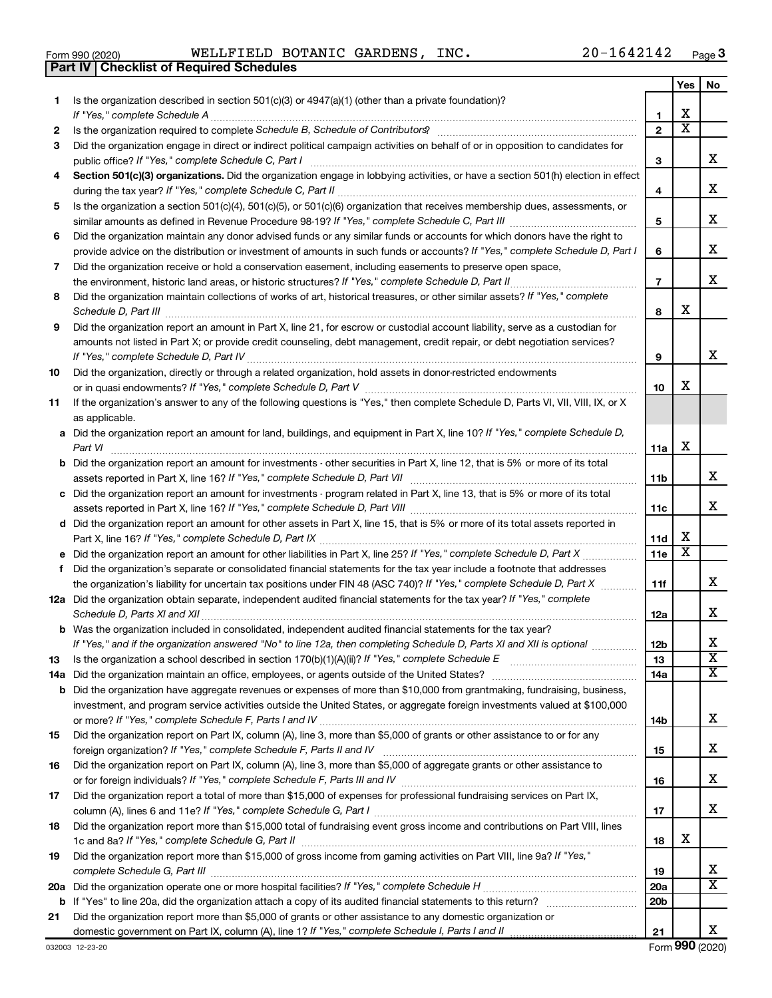**2 3**

**4**

**5**

**6**

### 032003 12-23-20 **7 8 9 10 11 12a** Did the organization obtain separate, independent audited financial statements for the tax year? If "Yes," complete **13 14 a** Did the organization maintain an office, employees, or agents outside of the United States? ~~~~~~~~~~~~~~~~ **15 16 17 18 19 7 8 9 10 a** Did the organization report an amount for land, buildings, and equipment in Part X, line 10? If "Yes," complete Schedule D, **b** Did the organization report an amount for investments - other securities in Part X, line 12, that is 5% or more of its total **c** Did the organization report an amount for investments - program related in Part X, line 13, that is 5% or more of its total **d** Did the organization report an amount for other assets in Part X, line 15, that is 5% or more of its total assets reported in **e** Did the organization report an amount for other liabilities in Part X, line 25? If "Yes," complete Schedule D, Part X .................. **f b** Was the organization included in consolidated, independent audited financial statements for the tax year? **11a 11b 11c 11d 11e 11f 12a 12b 13 14a 14b 15 16 17 18 19 20a 20b 21 b** Did the organization have aggregate revenues or expenses of more than \$10,000 from grantmaking, fundraising, business, **20 a** *If "Yes," complete Schedule H* Did the organization operate one or more hospital facilities? ~~~~~~~~~~~~~~~~~ **21 b** If "Yes" to line 20a, did the organization attach a copy of its audited financial statements to this return? ~~~~~~~~~~ *If "Yes," complete Schedule D, Part II* the environment, historic land areas, or historic structures? ~~~~~~~~~~~~~~ Did the organization maintain collections of works of art, historical treasures, or other similar assets? If "Yes," complete *Schedule D, Part III* ~~~~~~~~~~~~~~~~~~~~~~~~~~~~~~~~~~~~~~~~~~~~~~~~~~~~ *If "Yes," complete Schedule D, Part IV* ~~~~~~~~~~~~~~~~~~~~~~~~~~~~~~~~~~~~~~~~~~~ *If "Yes," complete Schedule D, Part V* or in quasi endowments? ~~~~~~~~~~~~~~~~~~~~~~~~~~~~~~ *Part VI* ~~~~~~~~~~~~~~~~~~~~~~~~~~~~~~~~~~~~~~~~~~~~~~~~~~~~~~~~~~ assets reported in Part X, line 16? If "Yes," complete Schedule D, Part VII **manual complete Schedule 19** and th *If "Yes," complete Schedule D, Part VIII* assets reported in Part X, line 16? ~~~~~~~~~~~~~~~~~~~~~~~~~ *If "Yes," complete Schedule D, Part IX* Part X, line 16? ~~~~~~~~~~~~~~~~~~~~~~~~~~~~~~~~~~~ the organization's liability for uncertain tax positions under FIN 48 (ASC 740)? If "Yes," co*mplete Schedule D, Part X* ............ *Schedule D, Parts XI and XII* ~~~~~~~~~~~~~~~~~~~~~~~~~~~~~~~~~~~~~~~~~~~~~~~~ If "Yes," and if the organization answered "No" to line 12a, then completing Schedule D, Parts XI and XII is optional *…………*… Is the organization a school described in section 170(b)(1)(A)(ii)? If "Yes," complete Schedule E merromanament *If "Yes," complete Schedule F, Parts I and IV* or more? ~~~~~~~~~~~~~~~~~~~~~~~~~~~~~~~~~~~ foreign organization? If "Yes," complete Schedule F, Parts II and IV **completed and the contract of the contract o** *If "Yes," complete Schedule F, Parts III and IV* or for foreign individuals? ~~~~~~~~~~~~~~~~~~~~~~~~~~ *If "Yes," complete Schedule G, Part I* column (A), lines 6 and 11e? ~~~~~~~~~~~~~~~~~~~~~~~~~~~~~ 1c and 8a? If "Yes," complete Schedule G, Part II **mature complete out and the set of the set of the set of the s** Did the organization report more than \$15,000 of gross income from gaming activities on Part VIII, line 9a? If "Yes," *complete Schedule G, Part III* ~~~~~~~~~~~~~~~~~~~~~~~~~~~~~~~~~~~~~~~~~~~~~~~ domestic government on Part IX, column (A), line 1? If "Yes," complete Schedule I, Parts I and II mummumumumumumu Did the organization receive or hold a conservation easement, including easements to preserve open space, Did the organization report an amount in Part X, line 21, for escrow or custodial account liability, serve as a custodian for amounts not listed in Part X; or provide credit counseling, debt management, credit repair, or debt negotiation services? Did the organization, directly or through a related organization, hold assets in donor-restricted endowments If the organization's answer to any of the following questions is "Yes," then complete Schedule D, Parts VI, VII, VIII, IX, or X as applicable. Did the organization's separate or consolidated financial statements for the tax year include a footnote that addresses investment, and program service activities outside the United States, or aggregate foreign investments valued at \$100,000 Did the organization report on Part IX, column (A), line 3, more than \$5,000 of grants or other assistance to or for any Did the organization report on Part IX, column (A), line 3, more than \$5,000 of aggregate grants or other assistance to Did the organization report a total of more than \$15,000 of expenses for professional fundraising services on Part IX, Did the organization report more than \$15,000 total of fundraising event gross income and contributions on Part VIII, lines Did the organization report more than \$5,000 of grants or other assistance to any domestic organization or Form (2020) **990** X X X X X X X X X X X X  $\overline{\mathtt{x}}$ X X X X X X X  $\overline{\texttt{x}}$ X

## Form 990 (2020)  $\texttt{WELLFIELD}$  <code>BOTANIC GARDENS</code> , <code>INC</code> .  $20\,\texttt{-}1642142$  <code>Page</code>

Section 501(c)(3) organizations. Did the organization engage in lobbying activities, or have a section 501(h) election in effect

*If "Yes," complete Schedule C, Part II* during the tax year? ~~~~~~~~~~~~~~~~~~~~~~~~~~~~~~~~~

Is the organization a section 501(c)(4), 501(c)(5), or 501(c)(6) organization that receives membership dues, assessments, or

Did the organization maintain any donor advised funds or any similar funds or accounts for which donors have the right to

*If "Yes," complete Schedule C, Part III* similar amounts as defined in Revenue Procedure 98-19? ~~~~~~~~~~~~~~

*If "Yes," complete Schedule D, Part I* provide advice on the distribution or investment of amounts in such funds or accounts?

*If "Yes," complete Schedule C, Part I* public office? ~~~~~~~~~~~~~~~~~~~~~~~~~~~~~~~~~~~~

Did the organization engage in direct or indirect political campaign activities on behalf of or in opposition to candidates for

*If "Yes," complete Schedule A* ~~~~~~~~~~~~~~~~~~~~~~~~~~~~~~~~~~~~~~~~~~~~~~~ Is the organization required to complete Schedule B, Schedule of Contributors? **completed and the Contributors** content

**1** Is the organization described in section 501(c)(3) or 4947(a)(1) (other than a private foundation)?

**Part IV Checklist of Required Schedules**

**1 2**

**3**

**4**

**5**

**6**

**Yes No**

X

X

X

X

X X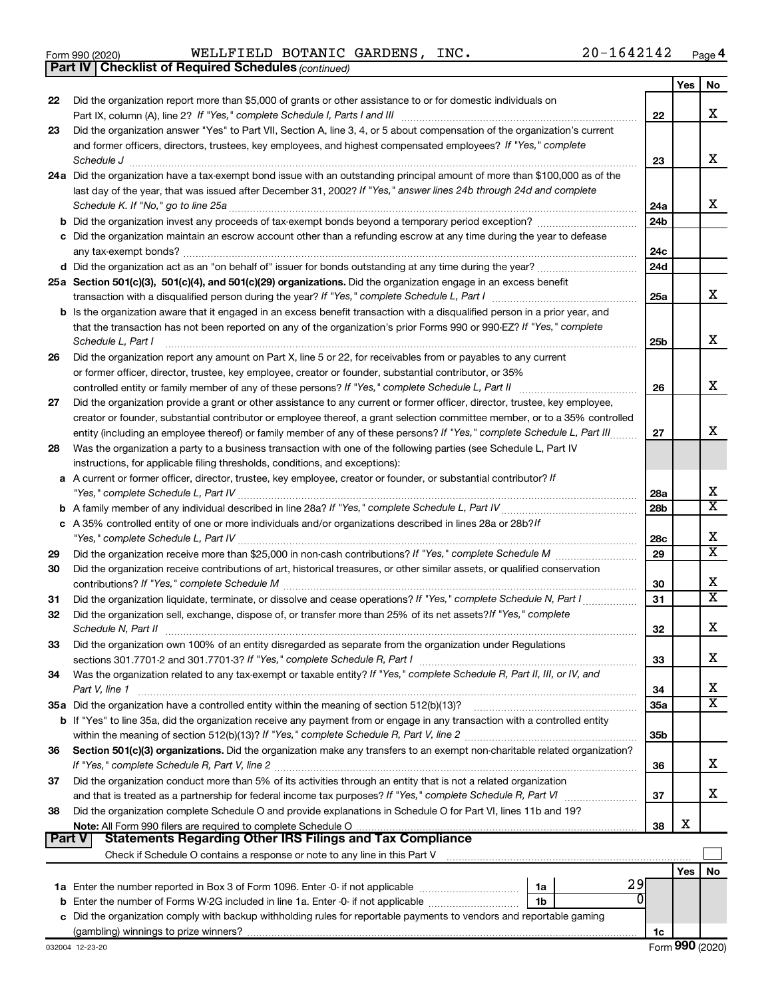|  | Form 990 (2020) |
|--|-----------------|
|  |                 |

*(continued)* **Part IV Checklist of Required Schedules**

Form 990 (2020)  $\texttt{WELLFIELD}$  <code>BOTANIC GARDENS</code> , <code>INC</code> .  $20\,\texttt{-}1642142$  <code>Page</code>

|          |                                                                                                                                                                 |                 | Yes | No                           |
|----------|-----------------------------------------------------------------------------------------------------------------------------------------------------------------|-----------------|-----|------------------------------|
| 22       | Did the organization report more than \$5,000 of grants or other assistance to or for domestic individuals on                                                   |                 |     |                              |
|          |                                                                                                                                                                 | 22              |     | x                            |
| 23       | Did the organization answer "Yes" to Part VII, Section A, line 3, 4, or 5 about compensation of the organization's current                                      |                 |     |                              |
|          | and former officers, directors, trustees, key employees, and highest compensated employees? If "Yes," complete                                                  |                 |     |                              |
|          | Schedule J                                                                                                                                                      | 23              |     | х                            |
|          | 24a Did the organization have a tax-exempt bond issue with an outstanding principal amount of more than \$100,000 as of the                                     |                 |     |                              |
|          | last day of the year, that was issued after December 31, 2002? If "Yes," answer lines 24b through 24d and complete                                              |                 |     |                              |
|          |                                                                                                                                                                 | 24a             |     | x                            |
|          |                                                                                                                                                                 | 24b             |     |                              |
|          | c Did the organization maintain an escrow account other than a refunding escrow at any time during the year to defease                                          |                 |     |                              |
|          | any tax-exempt bonds?                                                                                                                                           | 24c             |     |                              |
|          |                                                                                                                                                                 | 24d             |     |                              |
|          | 25a Section 501(c)(3), 501(c)(4), and 501(c)(29) organizations. Did the organization engage in an excess benefit                                                |                 |     |                              |
|          |                                                                                                                                                                 | 25a             |     | x                            |
|          | <b>b</b> Is the organization aware that it engaged in an excess benefit transaction with a disqualified person in a prior year, and                             |                 |     |                              |
|          | that the transaction has not been reported on any of the organization's prior Forms 990 or 990-EZ? If "Yes," complete                                           |                 |     |                              |
|          | Schedule L, Part I                                                                                                                                              | 25b             |     | x                            |
| 26       | Did the organization report any amount on Part X, line 5 or 22, for receivables from or payables to any current                                                 |                 |     |                              |
|          | or former officer, director, trustee, key employee, creator or founder, substantial contributor, or 35%                                                         |                 |     |                              |
|          |                                                                                                                                                                 | 26              |     | х                            |
| 27       | Did the organization provide a grant or other assistance to any current or former officer, director, trustee, key employee,                                     |                 |     |                              |
|          | creator or founder, substantial contributor or employee thereof, a grant selection committee member, or to a 35% controlled                                     |                 |     |                              |
|          | entity (including an employee thereof) or family member of any of these persons? If "Yes," complete Schedule L, Part III                                        | 27              |     | х                            |
| 28       | Was the organization a party to a business transaction with one of the following parties (see Schedule L, Part IV                                               |                 |     |                              |
|          | instructions, for applicable filing thresholds, conditions, and exceptions):                                                                                    |                 |     |                              |
|          | a A current or former officer, director, trustee, key employee, creator or founder, or substantial contributor? If                                              |                 |     |                              |
|          |                                                                                                                                                                 | 28a             |     | х<br>x                       |
|          |                                                                                                                                                                 | 28 <sub>b</sub> |     |                              |
|          | c A 35% controlled entity of one or more individuals and/or organizations described in lines 28a or 28b?/f                                                      |                 |     |                              |
|          |                                                                                                                                                                 | 28c             |     | х<br>$\overline{\mathtt{x}}$ |
| 29       |                                                                                                                                                                 | 29              |     |                              |
| 30       | Did the organization receive contributions of art, historical treasures, or other similar assets, or qualified conservation                                     |                 |     | x                            |
|          |                                                                                                                                                                 | 30              |     | X.                           |
| 31       | Did the organization liquidate, terminate, or dissolve and cease operations? If "Yes," complete Schedule N, Part I                                              | 31              |     |                              |
| 32       | Did the organization sell, exchange, dispose of, or transfer more than 25% of its net assets? If "Yes," complete                                                |                 |     | х                            |
|          | Schedule N, Part II                                                                                                                                             | 32              |     |                              |
| 33       | Did the organization own 100% of an entity disregarded as separate from the organization under Regulations                                                      |                 |     | х                            |
|          |                                                                                                                                                                 | 33              |     |                              |
| 34       | Was the organization related to any tax-exempt or taxable entity? If "Yes," complete Schedule R, Part II, III, or IV, and                                       |                 |     | х                            |
|          | Part V, line 1                                                                                                                                                  | 34              |     | X.                           |
|          | b If "Yes" to line 35a, did the organization receive any payment from or engage in any transaction with a controlled entity                                     | 35a             |     |                              |
|          |                                                                                                                                                                 | 35b             |     |                              |
| 36       | Section 501(c)(3) organizations. Did the organization make any transfers to an exempt non-charitable related organization?                                      |                 |     |                              |
|          |                                                                                                                                                                 | 36              |     | х                            |
| 37       | Did the organization conduct more than 5% of its activities through an entity that is not a related organization                                                |                 |     |                              |
|          |                                                                                                                                                                 | 37              |     | x                            |
| 38       | Did the organization complete Schedule O and provide explanations in Schedule O for Part VI, lines 11b and 19?                                                  |                 |     |                              |
|          |                                                                                                                                                                 | 38              | х   |                              |
| ∣ Part V | <b>Statements Regarding Other IRS Filings and Tax Compliance</b>                                                                                                |                 |     |                              |
|          | Check if Schedule O contains a response or note to any line in this Part V [11] [12] Check if Schedule O contains a response or note to any line in this Part V |                 |     |                              |
|          |                                                                                                                                                                 |                 | Yes | No                           |
|          | 29<br>1a                                                                                                                                                        |                 |     |                              |
|          | 0<br>1b                                                                                                                                                         |                 |     |                              |
|          | c Did the organization comply with backup withholding rules for reportable payments to vendors and reportable gaming                                            |                 |     |                              |
|          |                                                                                                                                                                 | 1c              |     |                              |
|          |                                                                                                                                                                 |                 |     |                              |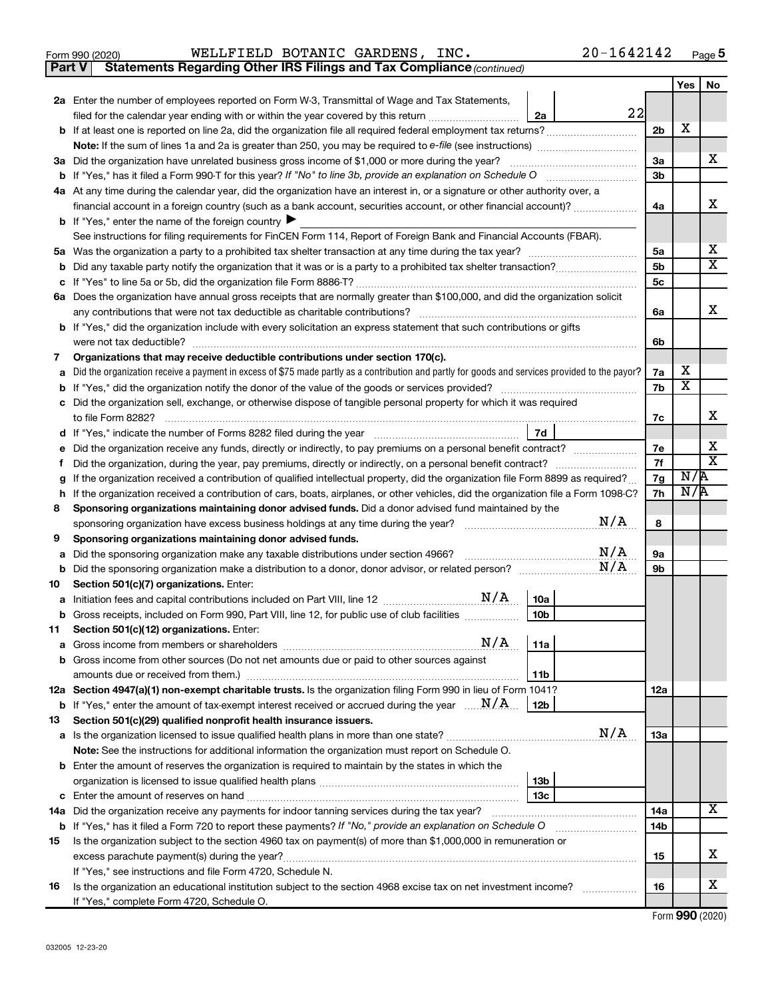|  | Form 990 (2020) |
|--|-----------------|
|  |                 |

Form 990 (2020)  $\texttt{WELLFIELD}$  <code>BOTANIC GARDENS</code> , <code>INC</code> .  $20\,\texttt{-}1642142$  <code>Page</code>

**Part V** Statements Regarding Other IRS Filings and Tax Compliance (continued)

|        |                                                                                                                                                        |                | Yes | No |
|--------|--------------------------------------------------------------------------------------------------------------------------------------------------------|----------------|-----|----|
|        | 2a Enter the number of employees reported on Form W-3, Transmittal of Wage and Tax Statements,                                                         |                |     |    |
|        | 22<br>filed for the calendar year ending with or within the year covered by this return <i>manumumumum</i><br>2a                                       |                |     |    |
|        |                                                                                                                                                        | 2 <sub>b</sub> | X   |    |
|        |                                                                                                                                                        |                |     |    |
|        | 3a Did the organization have unrelated business gross income of \$1,000 or more during the year?                                                       | 3a             |     | x  |
|        |                                                                                                                                                        | 3b             |     |    |
|        | 4a At any time during the calendar year, did the organization have an interest in, or a signature or other authority over, a                           |                |     |    |
|        | financial account in a foreign country (such as a bank account, securities account, or other financial account)?                                       | 4a             |     | x  |
|        | <b>b</b> If "Yes," enter the name of the foreign country $\blacktriangleright$                                                                         |                |     |    |
|        | See instructions for filing requirements for FinCEN Form 114, Report of Foreign Bank and Financial Accounts (FBAR).                                    |                |     |    |
| 5а     |                                                                                                                                                        | 5a             |     | х  |
| b      |                                                                                                                                                        | 5 <sub>b</sub> |     | x  |
|        |                                                                                                                                                        | 5c             |     |    |
|        | 6a Does the organization have annual gross receipts that are normally greater than \$100,000, and did the organization solicit                         |                |     |    |
|        | any contributions that were not tax deductible as charitable contributions?                                                                            | 6а             |     | x  |
|        | <b>b</b> If "Yes," did the organization include with every solicitation an express statement that such contributions or gifts                          |                |     |    |
|        |                                                                                                                                                        | 6b             |     |    |
| 7      | Organizations that may receive deductible contributions under section 170(c).                                                                          |                |     |    |
|        | Did the organization receive a payment in excess of \$75 made partly as a contribution and partly for goods and services provided to the payor?        | 7а             | х   |    |
|        |                                                                                                                                                        | 7b             | х   |    |
|        | Did the organization sell, exchange, or otherwise dispose of tangible personal property for which it was required                                      |                |     |    |
|        | to file Form 8282?                                                                                                                                     | 7c             |     | x  |
| d      | 7d                                                                                                                                                     |                |     |    |
|        | Did the organization receive any funds, directly or indirectly, to pay premiums on a personal benefit contract?                                        | 7е             |     | х  |
| Ť.     | Did the organization, during the year, pay premiums, directly or indirectly, on a personal benefit contract?                                           | 7f             |     | х  |
| g      | If the organization received a contribution of qualified intellectual property, did the organization file Form 8899 as required?                       | 7g             | N/R |    |
| h      | If the organization received a contribution of cars, boats, airplanes, or other vehicles, did the organization file a Form 1098-C?                     | 7h             | N/R |    |
| 8      | Sponsoring organizations maintaining donor advised funds. Did a donor advised fund maintained by the<br>N/A                                            | 8              |     |    |
|        | sponsoring organization have excess business holdings at any time during the year? <i>managerana consummanageran</i>                                   |                |     |    |
| 9      | Sponsoring organizations maintaining donor advised funds.<br>N/A<br>Did the sponsoring organization make any taxable distributions under section 4966? | 9а             |     |    |
| а<br>b | N/A                                                                                                                                                    | 9b             |     |    |
| 10     | Section 501(c)(7) organizations. Enter:                                                                                                                |                |     |    |
| а      | 10a                                                                                                                                                    |                |     |    |
| b      | 10 <sub>b</sub><br>Gross receipts, included on Form 990, Part VIII, line 12, for public use of club facilities                                         |                |     |    |
| 11     | Section 501(c)(12) organizations. Enter:                                                                                                               |                |     |    |
|        |                                                                                                                                                        |                |     |    |
|        | b Gross income from other sources (Do not net amounts due or paid to other sources against                                                             |                |     |    |
|        | 11b                                                                                                                                                    |                |     |    |
|        | 12a Section 4947(a)(1) non-exempt charitable trusts. Is the organization filing Form 990 in lieu of Form 1041?                                         | 12a            |     |    |
|        | <b>b</b> If "Yes," enter the amount of tax-exempt interest received or accrued during the year $\ldots$ $\mathbf{N}/\mathbf{A}$ .<br>12b               |                |     |    |
| 13     | Section 501(c)(29) qualified nonprofit health insurance issuers.                                                                                       |                |     |    |
|        | N/A<br>a Is the organization licensed to issue qualified health plans in more than one state?                                                          | 13a            |     |    |
|        | Note: See the instructions for additional information the organization must report on Schedule O.                                                      |                |     |    |
|        | <b>b</b> Enter the amount of reserves the organization is required to maintain by the states in which the                                              |                |     |    |
|        | 13 <sub>b</sub>                                                                                                                                        |                |     |    |
|        | 13с                                                                                                                                                    |                |     |    |
|        | 14a Did the organization receive any payments for indoor tanning services during the tax year?                                                         | 14a            |     | x  |
|        | <b>b</b> If "Yes," has it filed a Form 720 to report these payments? If "No," provide an explanation on Schedule O                                     | 14b            |     |    |
| 15     | Is the organization subject to the section 4960 tax on payment(s) of more than \$1,000,000 in remuneration or                                          |                |     |    |
|        |                                                                                                                                                        | 15             |     | x  |
|        | If "Yes," see instructions and file Form 4720, Schedule N.                                                                                             |                |     |    |
| 16     | Is the organization an educational institution subject to the section 4968 excise tax on net investment income?                                        | 16             |     | х  |
|        | If "Yes," complete Form 4720, Schedule O.                                                                                                              |                |     |    |

Form (2020) **990**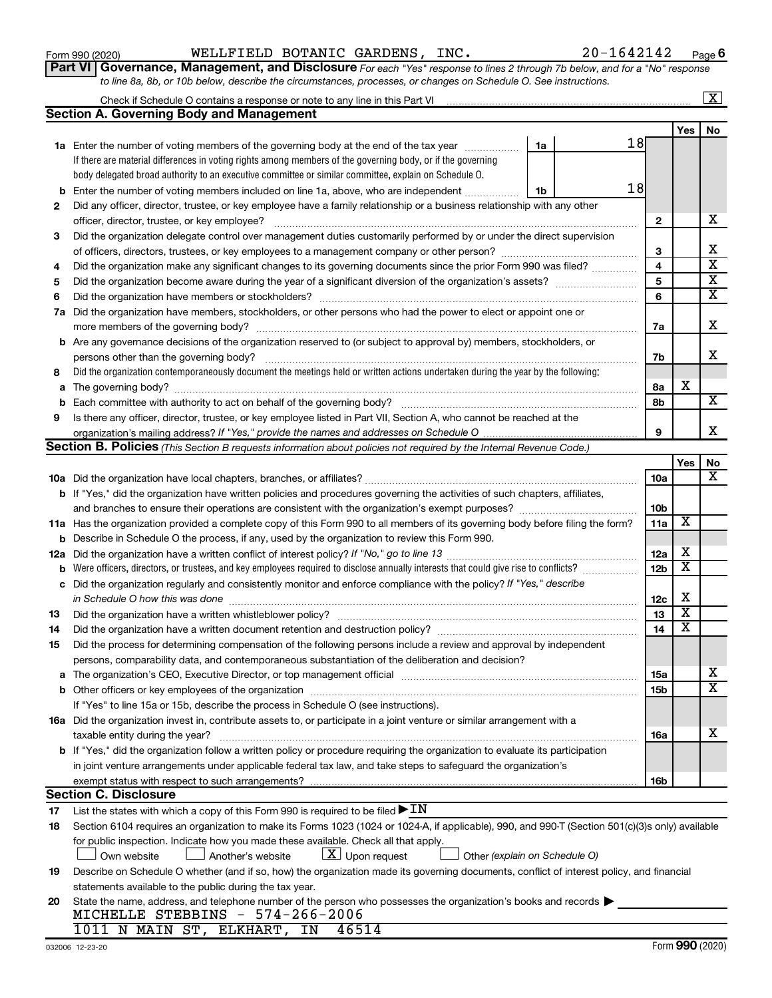|    | 18<br><b>b</b> Enter the number of voting members included on line 1a, above, who are independent<br>1b                                                                                                                        |            |                         |                         |  |  |
|----|--------------------------------------------------------------------------------------------------------------------------------------------------------------------------------------------------------------------------------|------------|-------------------------|-------------------------|--|--|
| 2  | Did any officer, director, trustee, or key employee have a family relationship or a business relationship with any other                                                                                                       |            |                         |                         |  |  |
|    | officer, director, trustee, or key employee?                                                                                                                                                                                   |            |                         |                         |  |  |
| 3  | Did the organization delegate control over management duties customarily performed by or under the direct supervision                                                                                                          |            |                         |                         |  |  |
|    |                                                                                                                                                                                                                                | 3          |                         | X                       |  |  |
| 4  | Did the organization make any significant changes to its governing documents since the prior Form 990 was filed?                                                                                                               | 4          |                         | $\overline{\mathbf{x}}$ |  |  |
| 5  |                                                                                                                                                                                                                                | 5          |                         | $\overline{\mathbf{X}}$ |  |  |
| 6  | Did the organization have members or stockholders?                                                                                                                                                                             | 6          |                         | $\overline{\mathbf{X}}$ |  |  |
|    | 7a Did the organization have members, stockholders, or other persons who had the power to elect or appoint one or                                                                                                              |            |                         |                         |  |  |
|    | more members of the governing body?                                                                                                                                                                                            | 7a         |                         | х                       |  |  |
|    | <b>b</b> Are any governance decisions of the organization reserved to (or subject to approval by) members, stockholders, or                                                                                                    |            |                         |                         |  |  |
|    | persons other than the governing body?                                                                                                                                                                                         | 7b         |                         | x                       |  |  |
| 8  | Did the organization contemporaneously document the meetings held or written actions undertaken during the year by the following:                                                                                              |            |                         |                         |  |  |
|    |                                                                                                                                                                                                                                | 8а         | x                       |                         |  |  |
| b  |                                                                                                                                                                                                                                | 8b         |                         | x                       |  |  |
| 9  | Is there any officer, director, trustee, or key employee listed in Part VII, Section A, who cannot be reached at the                                                                                                           |            |                         |                         |  |  |
|    |                                                                                                                                                                                                                                | 9          |                         | х                       |  |  |
|    | Section B. Policies (This Section B requests information about policies not required by the Internal Revenue Code.)                                                                                                            |            |                         |                         |  |  |
|    |                                                                                                                                                                                                                                |            | Yes                     | No                      |  |  |
|    |                                                                                                                                                                                                                                | 10a        |                         | х                       |  |  |
|    | b If "Yes," did the organization have written policies and procedures governing the activities of such chapters, affiliates,                                                                                                   |            |                         |                         |  |  |
|    | and branches to ensure their operations are consistent with the organization's exempt purposes?                                                                                                                                | 10b        |                         |                         |  |  |
|    | 11a Has the organization provided a complete copy of this Form 990 to all members of its governing body before filing the form?                                                                                                | 11a        | х                       |                         |  |  |
|    | <b>b</b> Describe in Schedule O the process, if any, used by the organization to review this Form 990.                                                                                                                         |            |                         |                         |  |  |
|    |                                                                                                                                                                                                                                | 12a        | х                       |                         |  |  |
| b  | Were officers, directors, or trustees, and key employees required to disclose annually interests that could give rise to conflicts?                                                                                            |            |                         |                         |  |  |
| с  | Did the organization regularly and consistently monitor and enforce compliance with the policy? If "Yes," describe                                                                                                             |            |                         |                         |  |  |
|    | in Schedule O how this was done manufactured and continuum and contact the was done manufactured and contact t                                                                                                                 |            |                         |                         |  |  |
| 13 |                                                                                                                                                                                                                                |            |                         |                         |  |  |
| 14 | Did the organization have a written document retention and destruction policy? [11] manufaction manufaction in                                                                                                                 | 13<br>14   | $\overline{\textbf{x}}$ |                         |  |  |
| 15 | Did the process for determining compensation of the following persons include a review and approval by independent                                                                                                             |            |                         |                         |  |  |
|    | persons, comparability data, and contemporaneous substantiation of the deliberation and decision?                                                                                                                              |            |                         |                         |  |  |
|    | a The organization's CEO, Executive Director, or top management official manufactured content content of the organization's CEO, Executive Director, or top management official manufactured content of the state of the state | <b>15a</b> |                         | x                       |  |  |
|    |                                                                                                                                                                                                                                | 15b        |                         | $\overline{\text{X}}$   |  |  |
|    | If "Yes" to line 15a or 15b, describe the process in Schedule O (see instructions).                                                                                                                                            |            |                         |                         |  |  |
|    | 16a Did the organization invest in, contribute assets to, or participate in a joint venture or similar arrangement with a                                                                                                      |            |                         |                         |  |  |
|    | taxable entity during the year?                                                                                                                                                                                                | 16a        |                         | х                       |  |  |
|    | <b>b</b> If "Yes," did the organization follow a written policy or procedure requiring the organization to evaluate its participation                                                                                          |            |                         |                         |  |  |
|    | in joint venture arrangements under applicable federal tax law, and take steps to safeguard the organization's                                                                                                                 |            |                         |                         |  |  |
|    | exempt status with respect to such arrangements?                                                                                                                                                                               | 16b        |                         |                         |  |  |
|    | <b>Section C. Disclosure</b>                                                                                                                                                                                                   |            |                         |                         |  |  |
| 17 | List the states with which a copy of this Form 990 is required to be filed $\blacktriangleright$ IN                                                                                                                            |            |                         |                         |  |  |
| 18 | Section 6104 requires an organization to make its Forms 1023 (1024 or 1024-A, if applicable), 990, and 990-T (Section 501(c)(3)s only) available                                                                               |            |                         |                         |  |  |
|    | for public inspection. Indicate how you made these available. Check all that apply.                                                                                                                                            |            |                         |                         |  |  |
|    | $ \mathbf{X} $ Upon request<br>Another's website<br>Other (explain on Schedule O)<br>Own website                                                                                                                               |            |                         |                         |  |  |
| 19 | Describe on Schedule O whether (and if so, how) the organization made its governing documents, conflict of interest policy, and financial                                                                                      |            |                         |                         |  |  |
|    | statements available to the public during the tax year.                                                                                                                                                                        |            |                         |                         |  |  |
| 20 | State the name, address, and telephone number of the person who possesses the organization's books and records                                                                                                                 |            |                         |                         |  |  |
|    | MICHELLE STEBBINS - 574-266-2006                                                                                                                                                                                               |            |                         |                         |  |  |
|    | 1011 N MAIN ST, ELKHART, IN<br>46514                                                                                                                                                                                           |            |                         |                         |  |  |

*to line 8a, 8b, or 10b below, describe the circumstances, processes, or changes on Schedule O. See instructions.*

**1a** Enter the number of voting members of the governing body at the end of the tax year *www.fronoming* 

Check if Schedule O contains a response or note to any line in this Part VI

**Section A. Governing Body and Management**

If there are material differences in voting rights among members of the governing body, or if the governing body delegated broad authority to an executive committee or similar committee, explain on Schedule O.

| NC.<br>--- | 6421<br>- |
|------------|-----------|
|            |           |

**1a**

18

 $\boxed{\text{X}}$ 

**Yes No**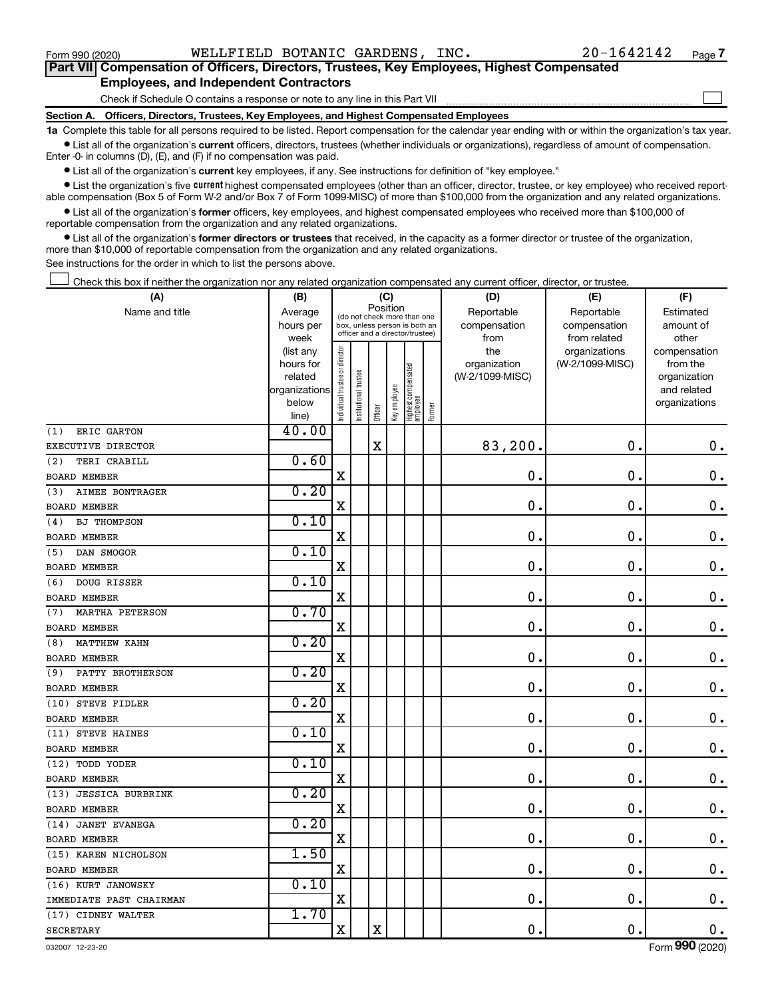$\Box$ 

| Part VII Compensation of Officers, Directors, Trustees, Key Employees, Highest Compensated |
|--------------------------------------------------------------------------------------------|
| <b>Employees, and Independent Contractors</b>                                              |

Check if Schedule O contains a response or note to any line in this Part VII

**Section A. Officers, Directors, Trustees, Key Employees, and Highest Compensated Employees**

**1a**  Complete this table for all persons required to be listed. Report compensation for the calendar year ending with or within the organization's tax year.  $\bullet$  List all of the organization's current officers, directors, trustees (whether individuals or organizations), regardless of amount of compensation.

Enter -0- in columns (D), (E), and (F) if no compensation was paid.

**•** List all of the organization's current key employees, if any. See instructions for definition of "key employee."

• List the organization's five *current* highest compensated employees (other than an officer, director, trustee, or key employee) who received reportable compensation (Box 5 of Form W-2 and/or Box 7 of Form 1099-MISC) of more than \$100,000 from the organization and any related organizations.

 $\bullet$  List all of the organization's former officers, key employees, and highest compensated employees who received more than \$100,000 of reportable compensation from the organization and any related organizations.

**•** List all of the organization's former directors or trustees that received, in the capacity as a former director or trustee of the organization, more than \$10,000 of reportable compensation from the organization and any related organizations.

See instructions for the order in which to list the persons above.

Check this box if neither the organization nor any related organization compensated any current officer, director, or trustee.  $\Box$ 

| Position<br>Name and title<br>Reportable<br>Reportable<br>Estimated<br>Average<br>(do not check more than one<br>compensation<br>hours per<br>box, unless person is both an<br>compensation<br>amount of<br>officer and a director/trustee)<br>from related<br>other<br>week<br>from<br>Individual trustee or director<br>the<br>(list any<br>organizations<br>compensation<br>hours for<br>organization<br>(W-2/1099-MISC)<br>from the<br>Highest compensated<br>employee<br>Institutional trustee<br>related<br>(W-2/1099-MISC)<br>organization<br>Key employee<br>organizations<br>and related<br>below<br>organizations<br>Former<br>Officer<br>line)<br>40.00<br>ERIC GARTON<br>(1)<br>$\rm X$<br>83,200.<br>$\mathbf 0$ .<br>$\mathbf 0$ .<br>EXECUTIVE DIRECTOR<br>0.60<br>(2)<br>TERI CRABILL<br>$\mathbf x$<br>$\mathbf 0$ .<br>$\mathbf 0$ .<br>$\mathbf 0$ .<br>0.20<br><b>AIMEE BONTRAGER</b><br>(3)<br>$\mathbf 0$<br>X<br>0<br>$\boldsymbol{0}$ .<br>0.10<br><b>BJ THOMPSON</b><br>(4)<br>$\mathbf X$<br>$\mathbf 0$<br>$\mathbf 0$<br>$\mathbf 0$ .<br>0.10<br>DAN SMOGOR<br>(5)<br>$\mathbf 0$<br>X<br>0<br>$\mathbf 0$ .<br>0.10<br>DOUG RISSER<br>(6)<br>$\mathbf x$<br>$\mathbf 0$<br>$\mathbf 0$<br>0.<br>0.70<br><b>MARTHA PETERSON</b><br>(7)<br>$\mathbf 0$<br>$\mathbf 0$<br>X<br>$\mathbf 0$ .<br>0.20<br><b>MATTHEW KAHN</b><br>(8)<br>$\mathbf X$<br>$\mathbf 0$<br>$\mathbf 0$<br>$\mathbf 0$ .<br>0.20<br>PATTY BROTHERSON<br>(9)<br>$\mathbf X$<br>$\mathbf 0$<br>$\mathbf 0$<br>$\mathbf 0$ .<br>0.20<br>(10) STEVE FIDLER<br>X<br>$\mathbf 0$<br>0<br>$\mathbf 0$ .<br>0.10<br>(11) STEVE HAINES<br>X<br>$\mathbf 0$<br>$\mathbf 0$<br>$\mathbf 0$ .<br>0.10<br>(12) TODD YODER<br>$\mathbf X$<br>0<br>$0$ .<br>0.<br>0.20<br>(13) JESSICA BURBRINK<br>X<br>0<br>$\mathbf 0$ .<br>$\mathbf 0$ .<br>0.20<br>(14) JANET EVANEGA<br>$\mathbf X$<br>$\mathbf 0$<br>$\mathbf 0$ .<br>0.<br>1.50<br>(15) KAREN NICHOLSON<br>$\mathbf X$<br>$\mathbf 0$ .<br>$\mathbf 0$ .<br>$\mathbf 0$ .<br>0.10<br>(16) KURT JANOWSKY<br>$\mathbf X$<br>0.<br>$\mathbf 0$ .<br>$0$ .<br>IMMEDIATE PAST CHAIRMAN<br>1.70<br>(17) CIDNEY WALTER<br>X<br>X<br>0.<br>$\mathbf 0$ .<br>$\mathbf 0$ .<br><b>SECRETARY</b> | (A)                 | (B) |  | (C) |  | (D) | (E) | (F) |
|----------------------------------------------------------------------------------------------------------------------------------------------------------------------------------------------------------------------------------------------------------------------------------------------------------------------------------------------------------------------------------------------------------------------------------------------------------------------------------------------------------------------------------------------------------------------------------------------------------------------------------------------------------------------------------------------------------------------------------------------------------------------------------------------------------------------------------------------------------------------------------------------------------------------------------------------------------------------------------------------------------------------------------------------------------------------------------------------------------------------------------------------------------------------------------------------------------------------------------------------------------------------------------------------------------------------------------------------------------------------------------------------------------------------------------------------------------------------------------------------------------------------------------------------------------------------------------------------------------------------------------------------------------------------------------------------------------------------------------------------------------------------------------------------------------------------------------------------------------------------------------------------------------------------------------------------------------------------------------------------------------------------------------------------------------------------------------------------------------------------------------------------------------------------------------------------------------------------------------|---------------------|-----|--|-----|--|-----|-----|-----|
|                                                                                                                                                                                                                                                                                                                                                                                                                                                                                                                                                                                                                                                                                                                                                                                                                                                                                                                                                                                                                                                                                                                                                                                                                                                                                                                                                                                                                                                                                                                                                                                                                                                                                                                                                                                                                                                                                                                                                                                                                                                                                                                                                                                                                                  |                     |     |  |     |  |     |     |     |
|                                                                                                                                                                                                                                                                                                                                                                                                                                                                                                                                                                                                                                                                                                                                                                                                                                                                                                                                                                                                                                                                                                                                                                                                                                                                                                                                                                                                                                                                                                                                                                                                                                                                                                                                                                                                                                                                                                                                                                                                                                                                                                                                                                                                                                  |                     |     |  |     |  |     |     |     |
|                                                                                                                                                                                                                                                                                                                                                                                                                                                                                                                                                                                                                                                                                                                                                                                                                                                                                                                                                                                                                                                                                                                                                                                                                                                                                                                                                                                                                                                                                                                                                                                                                                                                                                                                                                                                                                                                                                                                                                                                                                                                                                                                                                                                                                  |                     |     |  |     |  |     |     |     |
|                                                                                                                                                                                                                                                                                                                                                                                                                                                                                                                                                                                                                                                                                                                                                                                                                                                                                                                                                                                                                                                                                                                                                                                                                                                                                                                                                                                                                                                                                                                                                                                                                                                                                                                                                                                                                                                                                                                                                                                                                                                                                                                                                                                                                                  |                     |     |  |     |  |     |     |     |
|                                                                                                                                                                                                                                                                                                                                                                                                                                                                                                                                                                                                                                                                                                                                                                                                                                                                                                                                                                                                                                                                                                                                                                                                                                                                                                                                                                                                                                                                                                                                                                                                                                                                                                                                                                                                                                                                                                                                                                                                                                                                                                                                                                                                                                  |                     |     |  |     |  |     |     |     |
|                                                                                                                                                                                                                                                                                                                                                                                                                                                                                                                                                                                                                                                                                                                                                                                                                                                                                                                                                                                                                                                                                                                                                                                                                                                                                                                                                                                                                                                                                                                                                                                                                                                                                                                                                                                                                                                                                                                                                                                                                                                                                                                                                                                                                                  |                     |     |  |     |  |     |     |     |
|                                                                                                                                                                                                                                                                                                                                                                                                                                                                                                                                                                                                                                                                                                                                                                                                                                                                                                                                                                                                                                                                                                                                                                                                                                                                                                                                                                                                                                                                                                                                                                                                                                                                                                                                                                                                                                                                                                                                                                                                                                                                                                                                                                                                                                  |                     |     |  |     |  |     |     |     |
|                                                                                                                                                                                                                                                                                                                                                                                                                                                                                                                                                                                                                                                                                                                                                                                                                                                                                                                                                                                                                                                                                                                                                                                                                                                                                                                                                                                                                                                                                                                                                                                                                                                                                                                                                                                                                                                                                                                                                                                                                                                                                                                                                                                                                                  |                     |     |  |     |  |     |     |     |
|                                                                                                                                                                                                                                                                                                                                                                                                                                                                                                                                                                                                                                                                                                                                                                                                                                                                                                                                                                                                                                                                                                                                                                                                                                                                                                                                                                                                                                                                                                                                                                                                                                                                                                                                                                                                                                                                                                                                                                                                                                                                                                                                                                                                                                  |                     |     |  |     |  |     |     |     |
|                                                                                                                                                                                                                                                                                                                                                                                                                                                                                                                                                                                                                                                                                                                                                                                                                                                                                                                                                                                                                                                                                                                                                                                                                                                                                                                                                                                                                                                                                                                                                                                                                                                                                                                                                                                                                                                                                                                                                                                                                                                                                                                                                                                                                                  |                     |     |  |     |  |     |     |     |
|                                                                                                                                                                                                                                                                                                                                                                                                                                                                                                                                                                                                                                                                                                                                                                                                                                                                                                                                                                                                                                                                                                                                                                                                                                                                                                                                                                                                                                                                                                                                                                                                                                                                                                                                                                                                                                                                                                                                                                                                                                                                                                                                                                                                                                  |                     |     |  |     |  |     |     |     |
|                                                                                                                                                                                                                                                                                                                                                                                                                                                                                                                                                                                                                                                                                                                                                                                                                                                                                                                                                                                                                                                                                                                                                                                                                                                                                                                                                                                                                                                                                                                                                                                                                                                                                                                                                                                                                                                                                                                                                                                                                                                                                                                                                                                                                                  | <b>BOARD MEMBER</b> |     |  |     |  |     |     |     |
|                                                                                                                                                                                                                                                                                                                                                                                                                                                                                                                                                                                                                                                                                                                                                                                                                                                                                                                                                                                                                                                                                                                                                                                                                                                                                                                                                                                                                                                                                                                                                                                                                                                                                                                                                                                                                                                                                                                                                                                                                                                                                                                                                                                                                                  |                     |     |  |     |  |     |     |     |
|                                                                                                                                                                                                                                                                                                                                                                                                                                                                                                                                                                                                                                                                                                                                                                                                                                                                                                                                                                                                                                                                                                                                                                                                                                                                                                                                                                                                                                                                                                                                                                                                                                                                                                                                                                                                                                                                                                                                                                                                                                                                                                                                                                                                                                  | <b>BOARD MEMBER</b> |     |  |     |  |     |     |     |
|                                                                                                                                                                                                                                                                                                                                                                                                                                                                                                                                                                                                                                                                                                                                                                                                                                                                                                                                                                                                                                                                                                                                                                                                                                                                                                                                                                                                                                                                                                                                                                                                                                                                                                                                                                                                                                                                                                                                                                                                                                                                                                                                                                                                                                  |                     |     |  |     |  |     |     |     |
|                                                                                                                                                                                                                                                                                                                                                                                                                                                                                                                                                                                                                                                                                                                                                                                                                                                                                                                                                                                                                                                                                                                                                                                                                                                                                                                                                                                                                                                                                                                                                                                                                                                                                                                                                                                                                                                                                                                                                                                                                                                                                                                                                                                                                                  | BOARD MEMBER        |     |  |     |  |     |     |     |
|                                                                                                                                                                                                                                                                                                                                                                                                                                                                                                                                                                                                                                                                                                                                                                                                                                                                                                                                                                                                                                                                                                                                                                                                                                                                                                                                                                                                                                                                                                                                                                                                                                                                                                                                                                                                                                                                                                                                                                                                                                                                                                                                                                                                                                  |                     |     |  |     |  |     |     |     |
|                                                                                                                                                                                                                                                                                                                                                                                                                                                                                                                                                                                                                                                                                                                                                                                                                                                                                                                                                                                                                                                                                                                                                                                                                                                                                                                                                                                                                                                                                                                                                                                                                                                                                                                                                                                                                                                                                                                                                                                                                                                                                                                                                                                                                                  | <b>BOARD MEMBER</b> |     |  |     |  |     |     |     |
|                                                                                                                                                                                                                                                                                                                                                                                                                                                                                                                                                                                                                                                                                                                                                                                                                                                                                                                                                                                                                                                                                                                                                                                                                                                                                                                                                                                                                                                                                                                                                                                                                                                                                                                                                                                                                                                                                                                                                                                                                                                                                                                                                                                                                                  |                     |     |  |     |  |     |     |     |
|                                                                                                                                                                                                                                                                                                                                                                                                                                                                                                                                                                                                                                                                                                                                                                                                                                                                                                                                                                                                                                                                                                                                                                                                                                                                                                                                                                                                                                                                                                                                                                                                                                                                                                                                                                                                                                                                                                                                                                                                                                                                                                                                                                                                                                  | <b>BOARD MEMBER</b> |     |  |     |  |     |     |     |
|                                                                                                                                                                                                                                                                                                                                                                                                                                                                                                                                                                                                                                                                                                                                                                                                                                                                                                                                                                                                                                                                                                                                                                                                                                                                                                                                                                                                                                                                                                                                                                                                                                                                                                                                                                                                                                                                                                                                                                                                                                                                                                                                                                                                                                  |                     |     |  |     |  |     |     |     |
|                                                                                                                                                                                                                                                                                                                                                                                                                                                                                                                                                                                                                                                                                                                                                                                                                                                                                                                                                                                                                                                                                                                                                                                                                                                                                                                                                                                                                                                                                                                                                                                                                                                                                                                                                                                                                                                                                                                                                                                                                                                                                                                                                                                                                                  | <b>BOARD MEMBER</b> |     |  |     |  |     |     |     |
|                                                                                                                                                                                                                                                                                                                                                                                                                                                                                                                                                                                                                                                                                                                                                                                                                                                                                                                                                                                                                                                                                                                                                                                                                                                                                                                                                                                                                                                                                                                                                                                                                                                                                                                                                                                                                                                                                                                                                                                                                                                                                                                                                                                                                                  |                     |     |  |     |  |     |     |     |
|                                                                                                                                                                                                                                                                                                                                                                                                                                                                                                                                                                                                                                                                                                                                                                                                                                                                                                                                                                                                                                                                                                                                                                                                                                                                                                                                                                                                                                                                                                                                                                                                                                                                                                                                                                                                                                                                                                                                                                                                                                                                                                                                                                                                                                  | <b>BOARD MEMBER</b> |     |  |     |  |     |     |     |
|                                                                                                                                                                                                                                                                                                                                                                                                                                                                                                                                                                                                                                                                                                                                                                                                                                                                                                                                                                                                                                                                                                                                                                                                                                                                                                                                                                                                                                                                                                                                                                                                                                                                                                                                                                                                                                                                                                                                                                                                                                                                                                                                                                                                                                  |                     |     |  |     |  |     |     |     |
|                                                                                                                                                                                                                                                                                                                                                                                                                                                                                                                                                                                                                                                                                                                                                                                                                                                                                                                                                                                                                                                                                                                                                                                                                                                                                                                                                                                                                                                                                                                                                                                                                                                                                                                                                                                                                                                                                                                                                                                                                                                                                                                                                                                                                                  | <b>BOARD MEMBER</b> |     |  |     |  |     |     |     |
|                                                                                                                                                                                                                                                                                                                                                                                                                                                                                                                                                                                                                                                                                                                                                                                                                                                                                                                                                                                                                                                                                                                                                                                                                                                                                                                                                                                                                                                                                                                                                                                                                                                                                                                                                                                                                                                                                                                                                                                                                                                                                                                                                                                                                                  |                     |     |  |     |  |     |     |     |
|                                                                                                                                                                                                                                                                                                                                                                                                                                                                                                                                                                                                                                                                                                                                                                                                                                                                                                                                                                                                                                                                                                                                                                                                                                                                                                                                                                                                                                                                                                                                                                                                                                                                                                                                                                                                                                                                                                                                                                                                                                                                                                                                                                                                                                  | <b>BOARD MEMBER</b> |     |  |     |  |     |     |     |
|                                                                                                                                                                                                                                                                                                                                                                                                                                                                                                                                                                                                                                                                                                                                                                                                                                                                                                                                                                                                                                                                                                                                                                                                                                                                                                                                                                                                                                                                                                                                                                                                                                                                                                                                                                                                                                                                                                                                                                                                                                                                                                                                                                                                                                  |                     |     |  |     |  |     |     |     |
|                                                                                                                                                                                                                                                                                                                                                                                                                                                                                                                                                                                                                                                                                                                                                                                                                                                                                                                                                                                                                                                                                                                                                                                                                                                                                                                                                                                                                                                                                                                                                                                                                                                                                                                                                                                                                                                                                                                                                                                                                                                                                                                                                                                                                                  | <b>BOARD MEMBER</b> |     |  |     |  |     |     |     |
|                                                                                                                                                                                                                                                                                                                                                                                                                                                                                                                                                                                                                                                                                                                                                                                                                                                                                                                                                                                                                                                                                                                                                                                                                                                                                                                                                                                                                                                                                                                                                                                                                                                                                                                                                                                                                                                                                                                                                                                                                                                                                                                                                                                                                                  |                     |     |  |     |  |     |     |     |
|                                                                                                                                                                                                                                                                                                                                                                                                                                                                                                                                                                                                                                                                                                                                                                                                                                                                                                                                                                                                                                                                                                                                                                                                                                                                                                                                                                                                                                                                                                                                                                                                                                                                                                                                                                                                                                                                                                                                                                                                                                                                                                                                                                                                                                  | <b>BOARD MEMBER</b> |     |  |     |  |     |     |     |
|                                                                                                                                                                                                                                                                                                                                                                                                                                                                                                                                                                                                                                                                                                                                                                                                                                                                                                                                                                                                                                                                                                                                                                                                                                                                                                                                                                                                                                                                                                                                                                                                                                                                                                                                                                                                                                                                                                                                                                                                                                                                                                                                                                                                                                  |                     |     |  |     |  |     |     |     |
|                                                                                                                                                                                                                                                                                                                                                                                                                                                                                                                                                                                                                                                                                                                                                                                                                                                                                                                                                                                                                                                                                                                                                                                                                                                                                                                                                                                                                                                                                                                                                                                                                                                                                                                                                                                                                                                                                                                                                                                                                                                                                                                                                                                                                                  | <b>BOARD MEMBER</b> |     |  |     |  |     |     |     |
|                                                                                                                                                                                                                                                                                                                                                                                                                                                                                                                                                                                                                                                                                                                                                                                                                                                                                                                                                                                                                                                                                                                                                                                                                                                                                                                                                                                                                                                                                                                                                                                                                                                                                                                                                                                                                                                                                                                                                                                                                                                                                                                                                                                                                                  |                     |     |  |     |  |     |     |     |
|                                                                                                                                                                                                                                                                                                                                                                                                                                                                                                                                                                                                                                                                                                                                                                                                                                                                                                                                                                                                                                                                                                                                                                                                                                                                                                                                                                                                                                                                                                                                                                                                                                                                                                                                                                                                                                                                                                                                                                                                                                                                                                                                                                                                                                  | <b>BOARD MEMBER</b> |     |  |     |  |     |     |     |
|                                                                                                                                                                                                                                                                                                                                                                                                                                                                                                                                                                                                                                                                                                                                                                                                                                                                                                                                                                                                                                                                                                                                                                                                                                                                                                                                                                                                                                                                                                                                                                                                                                                                                                                                                                                                                                                                                                                                                                                                                                                                                                                                                                                                                                  |                     |     |  |     |  |     |     |     |
|                                                                                                                                                                                                                                                                                                                                                                                                                                                                                                                                                                                                                                                                                                                                                                                                                                                                                                                                                                                                                                                                                                                                                                                                                                                                                                                                                                                                                                                                                                                                                                                                                                                                                                                                                                                                                                                                                                                                                                                                                                                                                                                                                                                                                                  | <b>BOARD MEMBER</b> |     |  |     |  |     |     |     |
|                                                                                                                                                                                                                                                                                                                                                                                                                                                                                                                                                                                                                                                                                                                                                                                                                                                                                                                                                                                                                                                                                                                                                                                                                                                                                                                                                                                                                                                                                                                                                                                                                                                                                                                                                                                                                                                                                                                                                                                                                                                                                                                                                                                                                                  |                     |     |  |     |  |     |     |     |
|                                                                                                                                                                                                                                                                                                                                                                                                                                                                                                                                                                                                                                                                                                                                                                                                                                                                                                                                                                                                                                                                                                                                                                                                                                                                                                                                                                                                                                                                                                                                                                                                                                                                                                                                                                                                                                                                                                                                                                                                                                                                                                                                                                                                                                  |                     |     |  |     |  |     |     |     |
|                                                                                                                                                                                                                                                                                                                                                                                                                                                                                                                                                                                                                                                                                                                                                                                                                                                                                                                                                                                                                                                                                                                                                                                                                                                                                                                                                                                                                                                                                                                                                                                                                                                                                                                                                                                                                                                                                                                                                                                                                                                                                                                                                                                                                                  |                     |     |  |     |  |     |     |     |
|                                                                                                                                                                                                                                                                                                                                                                                                                                                                                                                                                                                                                                                                                                                                                                                                                                                                                                                                                                                                                                                                                                                                                                                                                                                                                                                                                                                                                                                                                                                                                                                                                                                                                                                                                                                                                                                                                                                                                                                                                                                                                                                                                                                                                                  |                     |     |  |     |  |     |     |     |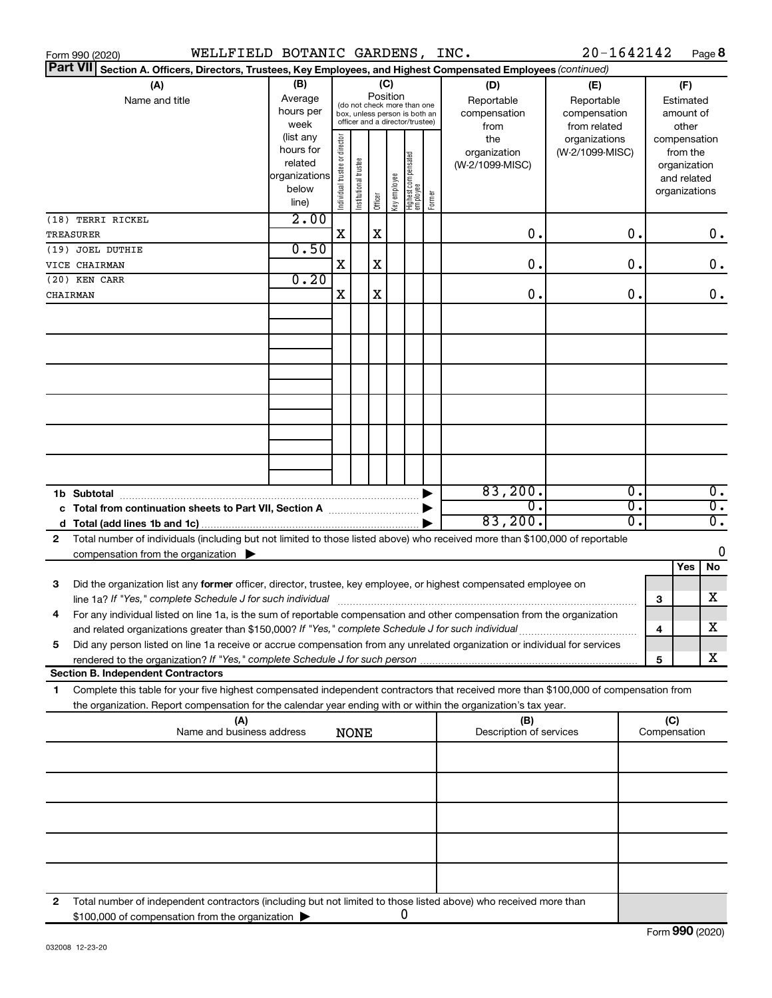|   | WELLFIELD BOTANIC GARDENS, INC.<br>Form 990 (2020)                                                                                                                                                                                  |                                                                      |                                |                       |         |                                                                                                                    |                                   |        |                                        | 20-1642142                       |                                           |                                                   |                                                                          | Page 8           |                                        |  |
|---|-------------------------------------------------------------------------------------------------------------------------------------------------------------------------------------------------------------------------------------|----------------------------------------------------------------------|--------------------------------|-----------------------|---------|--------------------------------------------------------------------------------------------------------------------|-----------------------------------|--------|----------------------------------------|----------------------------------|-------------------------------------------|---------------------------------------------------|--------------------------------------------------------------------------|------------------|----------------------------------------|--|
|   | <b>Part VII</b><br>Section A. Officers, Directors, Trustees, Key Employees, and Highest Compensated Employees (continued)                                                                                                           |                                                                      |                                |                       |         |                                                                                                                    |                                   |        |                                        |                                  |                                           |                                                   |                                                                          |                  |                                        |  |
|   | (A)<br>Name and title                                                                                                                                                                                                               | (B)<br>Average<br>hours per<br>week                                  |                                |                       |         | (C)<br>Position<br>(do not check more than one<br>box, unless person is both an<br>officer and a director/trustee) |                                   |        |                                        |                                  | (D)<br>Reportable<br>compensation<br>from | (E)<br>Reportable<br>compensation<br>from related |                                                                          |                  | (F)<br>Estimated<br>amount of<br>other |  |
|   |                                                                                                                                                                                                                                     | (list any<br>hours for<br>related<br>organizations<br>below<br>line) | Individual trustee or director | Institutional trustee | Officer | Key employee                                                                                                       | Highest compensated<br>  employee | Former | the<br>organization<br>(W-2/1099-MISC) | organizations<br>(W-2/1099-MISC) |                                           |                                                   | compensation<br>from the<br>organization<br>and related<br>organizations |                  |                                        |  |
|   | (18) TERRI RICKEL<br>TREASURER                                                                                                                                                                                                      | 2.00                                                                 | $\mathbf X$                    |                       | X       |                                                                                                                    |                                   |        | 0.                                     |                                  | 0.                                        |                                                   |                                                                          | $0$ .            |                                        |  |
|   | (19) JOEL DUTHIE                                                                                                                                                                                                                    | 0.50                                                                 |                                |                       |         |                                                                                                                    |                                   |        |                                        |                                  |                                           |                                                   |                                                                          |                  |                                        |  |
|   | VICE CHAIRMAN                                                                                                                                                                                                                       |                                                                      | X                              |                       | X       |                                                                                                                    |                                   |        | 0.                                     |                                  | 0.                                        |                                                   |                                                                          | 0.               |                                        |  |
|   | (20) KEN CARR                                                                                                                                                                                                                       | 0.20                                                                 |                                |                       |         |                                                                                                                    |                                   |        |                                        |                                  |                                           |                                                   |                                                                          |                  |                                        |  |
|   | CHAIRMAN                                                                                                                                                                                                                            |                                                                      | X                              |                       | X       |                                                                                                                    |                                   |        | 0.                                     |                                  | 0.                                        |                                                   |                                                                          | 0.               |                                        |  |
|   |                                                                                                                                                                                                                                     |                                                                      |                                |                       |         |                                                                                                                    |                                   |        |                                        |                                  |                                           |                                                   |                                                                          |                  |                                        |  |
|   |                                                                                                                                                                                                                                     |                                                                      |                                |                       |         |                                                                                                                    |                                   |        |                                        |                                  |                                           |                                                   |                                                                          |                  |                                        |  |
|   |                                                                                                                                                                                                                                     |                                                                      |                                |                       |         |                                                                                                                    |                                   |        |                                        |                                  |                                           |                                                   |                                                                          |                  |                                        |  |
|   |                                                                                                                                                                                                                                     |                                                                      |                                |                       |         |                                                                                                                    |                                   |        |                                        |                                  |                                           |                                                   |                                                                          |                  |                                        |  |
|   |                                                                                                                                                                                                                                     |                                                                      |                                |                       |         |                                                                                                                    |                                   |        |                                        |                                  |                                           |                                                   |                                                                          |                  |                                        |  |
|   |                                                                                                                                                                                                                                     |                                                                      |                                |                       |         |                                                                                                                    |                                   |        | 83,200.                                |                                  | σ.                                        |                                                   |                                                                          | $\overline{0}$ . |                                        |  |
|   | 1b Subtotal<br>c Total from continuation sheets to Part VII, Section A manuscreen continuum                                                                                                                                         |                                                                      |                                |                       |         |                                                                                                                    |                                   |        | $\overline{0}$                         |                                  | σ.                                        |                                                   |                                                                          | $\overline{0}$ . |                                        |  |
|   |                                                                                                                                                                                                                                     |                                                                      |                                |                       |         |                                                                                                                    |                                   |        | 83,200.                                |                                  | σ.                                        |                                                   |                                                                          | $\overline{0}$ . |                                        |  |
| 2 | Total number of individuals (including but not limited to those listed above) who received more than \$100,000 of reportable<br>compensation from the organization $\blacktriangleright$                                            |                                                                      |                                |                       |         |                                                                                                                    |                                   |        |                                        |                                  |                                           |                                                   |                                                                          | 0                |                                        |  |
|   |                                                                                                                                                                                                                                     |                                                                      |                                |                       |         |                                                                                                                    |                                   |        |                                        |                                  |                                           |                                                   | Yes                                                                      | No               |                                        |  |
| 3 | Did the organization list any former officer, director, trustee, key employee, or highest compensated employee on<br>line 1a? If "Yes," complete Schedule J for such individual manufactured content to the set of the set of the s |                                                                      |                                |                       |         |                                                                                                                    |                                   |        |                                        |                                  |                                           | 3                                                 |                                                                          | х                |                                        |  |
|   | For any individual listed on line 1a, is the sum of reportable compensation and other compensation from the organization<br>and related organizations greater than \$150,000? If "Yes," complete Schedule J for such individual     |                                                                      |                                |                       |         |                                                                                                                    |                                   |        |                                        |                                  |                                           | 4                                                 |                                                                          | х                |                                        |  |
| 5 | Did any person listed on line 1a receive or accrue compensation from any unrelated organization or individual for services                                                                                                          |                                                                      |                                |                       |         |                                                                                                                    |                                   |        |                                        |                                  |                                           |                                                   |                                                                          |                  |                                        |  |
|   | <b>Section B. Independent Contractors</b>                                                                                                                                                                                           |                                                                      |                                |                       |         |                                                                                                                    |                                   |        |                                        |                                  |                                           | 5                                                 |                                                                          | х                |                                        |  |
| 1 | Complete this table for your five highest compensated independent contractors that received more than \$100,000 of compensation from                                                                                                |                                                                      |                                |                       |         |                                                                                                                    |                                   |        |                                        |                                  |                                           |                                                   |                                                                          |                  |                                        |  |
|   | the organization. Report compensation for the calendar year ending with or within the organization's tax year.                                                                                                                      |                                                                      |                                |                       |         |                                                                                                                    |                                   |        |                                        |                                  |                                           |                                                   |                                                                          |                  |                                        |  |
|   | (A)<br>Name and business address                                                                                                                                                                                                    |                                                                      |                                | <b>NONE</b>           |         |                                                                                                                    |                                   |        | (B)<br>Description of services         |                                  |                                           | (C)<br>Compensation                               |                                                                          |                  |                                        |  |
|   |                                                                                                                                                                                                                                     |                                                                      |                                |                       |         |                                                                                                                    |                                   |        |                                        |                                  |                                           |                                                   |                                                                          |                  |                                        |  |
|   |                                                                                                                                                                                                                                     |                                                                      |                                |                       |         |                                                                                                                    |                                   |        |                                        |                                  |                                           |                                                   |                                                                          |                  |                                        |  |
|   |                                                                                                                                                                                                                                     |                                                                      |                                |                       |         |                                                                                                                    |                                   |        |                                        |                                  |                                           |                                                   |                                                                          |                  |                                        |  |
|   |                                                                                                                                                                                                                                     |                                                                      |                                |                       |         |                                                                                                                    |                                   |        |                                        |                                  |                                           |                                                   |                                                                          |                  |                                        |  |
|   |                                                                                                                                                                                                                                     |                                                                      |                                |                       |         |                                                                                                                    |                                   |        |                                        |                                  |                                           |                                                   |                                                                          |                  |                                        |  |
| 2 | Total number of independent contractors (including but not limited to those listed above) who received more than<br>\$100,000 of compensation from the organization                                                                 |                                                                      |                                |                       |         |                                                                                                                    | 0                                 |        |                                        |                                  |                                           |                                                   |                                                                          |                  |                                        |  |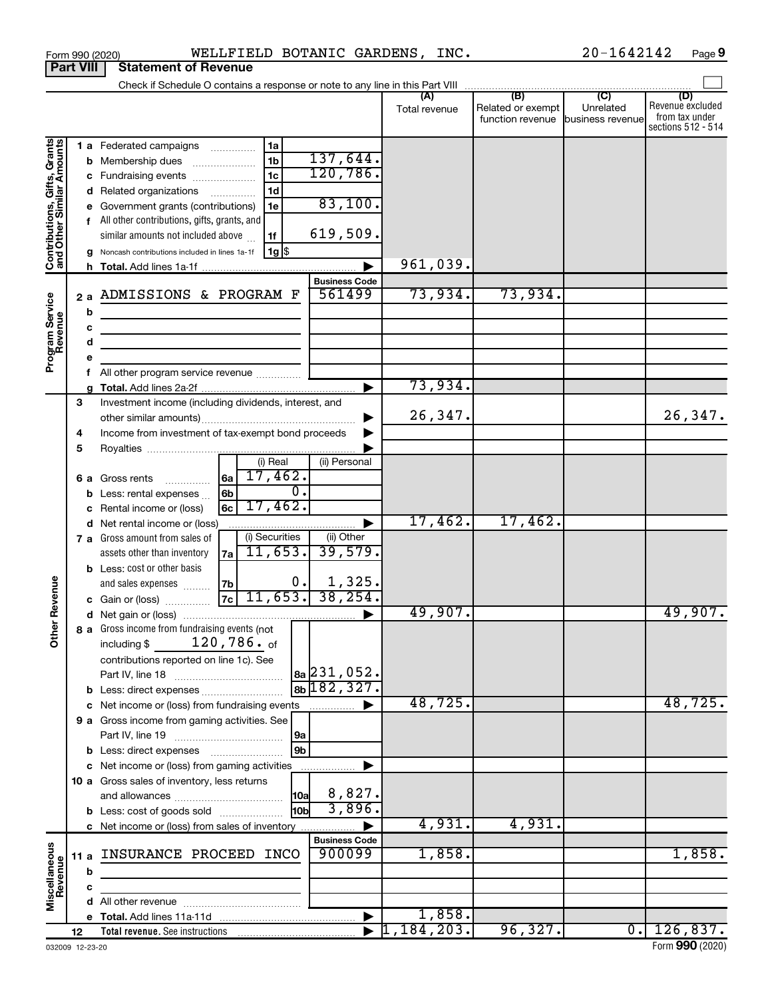|                                                           | <b>Part VIII</b>  | <b>Statement of Revenue</b>                                                                                                                                                                                                                                                                                                                                                                                                           |               |                                       |                               |                                                                 |
|-----------------------------------------------------------|-------------------|---------------------------------------------------------------------------------------------------------------------------------------------------------------------------------------------------------------------------------------------------------------------------------------------------------------------------------------------------------------------------------------------------------------------------------------|---------------|---------------------------------------|-------------------------------|-----------------------------------------------------------------|
|                                                           |                   |                                                                                                                                                                                                                                                                                                                                                                                                                                       |               |                                       |                               |                                                                 |
|                                                           |                   |                                                                                                                                                                                                                                                                                                                                                                                                                                       | Total revenue | Related or exempt<br>function revenue | Unrelated<br>business revenue | (D)<br>Revenue excluded<br>from tax under<br>sections 512 - 514 |
| Contributions, Gifts, Grants<br>and Other Similar Amounts | b<br>d<br>h       | 1 a Federated campaigns<br>1a<br>137,644.<br>1 <sub>b</sub><br>Membership dues<br>120,786.<br>1 <sub>c</sub><br>c Fundraising events<br>1d<br>Related organizations<br>$\overline{\phantom{a}}$<br>83,100.<br>Government grants (contributions)<br>1e<br>f All other contributions, gifts, grants, and<br>619,509.<br>similar amounts not included above<br>1f<br>$1g$ $\frac{1}{3}$<br>Noncash contributions included in lines 1a-1f | 961,039.      |                                       |                               |                                                                 |
|                                                           |                   | <b>Business Code</b>                                                                                                                                                                                                                                                                                                                                                                                                                  |               |                                       |                               |                                                                 |
| Program Service<br>Revenue                                | 2a<br>b<br>c<br>d | 561499<br>ADMISSIONS & PROGRAM F<br>the control of the control of the control of the control of the<br><u> 1989 - Johann Barbara, martin a</u>                                                                                                                                                                                                                                                                                        | 73,934.       | 73,934.                               |                               |                                                                 |
|                                                           | е                 |                                                                                                                                                                                                                                                                                                                                                                                                                                       |               |                                       |                               |                                                                 |
|                                                           | f                 |                                                                                                                                                                                                                                                                                                                                                                                                                                       | 73,934.       |                                       |                               |                                                                 |
|                                                           | 3<br>4            | Investment income (including dividends, interest, and<br>Income from investment of tax-exempt bond proceeds                                                                                                                                                                                                                                                                                                                           | 26,347.       |                                       |                               | 26,347.                                                         |
|                                                           | 5                 | (i) Real<br>(ii) Personal                                                                                                                                                                                                                                                                                                                                                                                                             |               |                                       |                               |                                                                 |
|                                                           | b                 | 17,462.<br>6a<br><b>6 a</b> Gross rents<br>$\overline{0}$ .<br>6b<br>Less: rental expenses<br>17,462.<br>6с<br>Rental income or (loss)                                                                                                                                                                                                                                                                                                |               |                                       |                               |                                                                 |
|                                                           | d                 | Net rental income or (loss)<br>▶                                                                                                                                                                                                                                                                                                                                                                                                      | 17,462.       | 17,462.                               |                               |                                                                 |
| Revenue                                                   |                   | (i) Securities<br>(ii) Other<br>7 a Gross amount from sales of<br>39,579.<br>11,653.<br>assets other than inventory<br>7a<br><b>b</b> Less: cost or other basis<br>$\frac{1,325}{38,254}$<br>0.<br>7b<br>and sales expenses<br>$7c$ 11,653.<br>c Gain or (loss)                                                                                                                                                                       |               |                                       |                               |                                                                 |
|                                                           |                   |                                                                                                                                                                                                                                                                                                                                                                                                                                       | 49,907.       |                                       |                               | 49,907.                                                         |
| $\tilde{\vec{b}}$                                         |                   | 8 a Gross income from fundraising events (not<br>120,786. of<br>including \$<br>contributions reported on line 1c). See<br>$ a_2 $ 231, 052.<br>$8b$ 182, 327.<br><b>b</b> Less: direct expenses                                                                                                                                                                                                                                      |               |                                       |                               |                                                                 |
|                                                           |                   | c Net income or (loss) from fundraising events                                                                                                                                                                                                                                                                                                                                                                                        | 48,725.       |                                       |                               | 48,725.                                                         |
|                                                           |                   | 9 a Gross income from gaming activities. See<br> 9a<br>9 <sub>b</sub>                                                                                                                                                                                                                                                                                                                                                                 |               |                                       |                               |                                                                 |
|                                                           |                   | c Net income or (loss) from gaming activities                                                                                                                                                                                                                                                                                                                                                                                         |               |                                       |                               |                                                                 |
|                                                           |                   | 10 a Gross sales of inventory, less returns<br>8,827.<br> 10a <br>3,896.<br>10bl<br><b>b</b> Less: cost of goods sold                                                                                                                                                                                                                                                                                                                 |               |                                       |                               |                                                                 |
|                                                           |                   | c Net income or (loss) from sales of inventory                                                                                                                                                                                                                                                                                                                                                                                        | 4,931.        | 4,931.                                |                               |                                                                 |
| Miscellaneous<br>Revenue                                  | 11 a              | <b>Business Code</b><br>900099<br>INSURANCE PROCEED INCO                                                                                                                                                                                                                                                                                                                                                                              | 1,858.        |                                       |                               | 1,858.                                                          |
|                                                           | b<br>c            |                                                                                                                                                                                                                                                                                                                                                                                                                                       |               |                                       |                               |                                                                 |
|                                                           | d                 |                                                                                                                                                                                                                                                                                                                                                                                                                                       |               |                                       |                               |                                                                 |
|                                                           |                   |                                                                                                                                                                                                                                                                                                                                                                                                                                       | 1,858.        |                                       |                               |                                                                 |
|                                                           | 12                |                                                                                                                                                                                                                                                                                                                                                                                                                                       | 1,184,203.    | 96,327.                               | $\overline{0}$ .              | 126,837.                                                        |

Form 990 (2020)  $\blacksquare$  WELLFIELD BOTANIC GARDENS, INC.  $20-1642142$  Page

**9**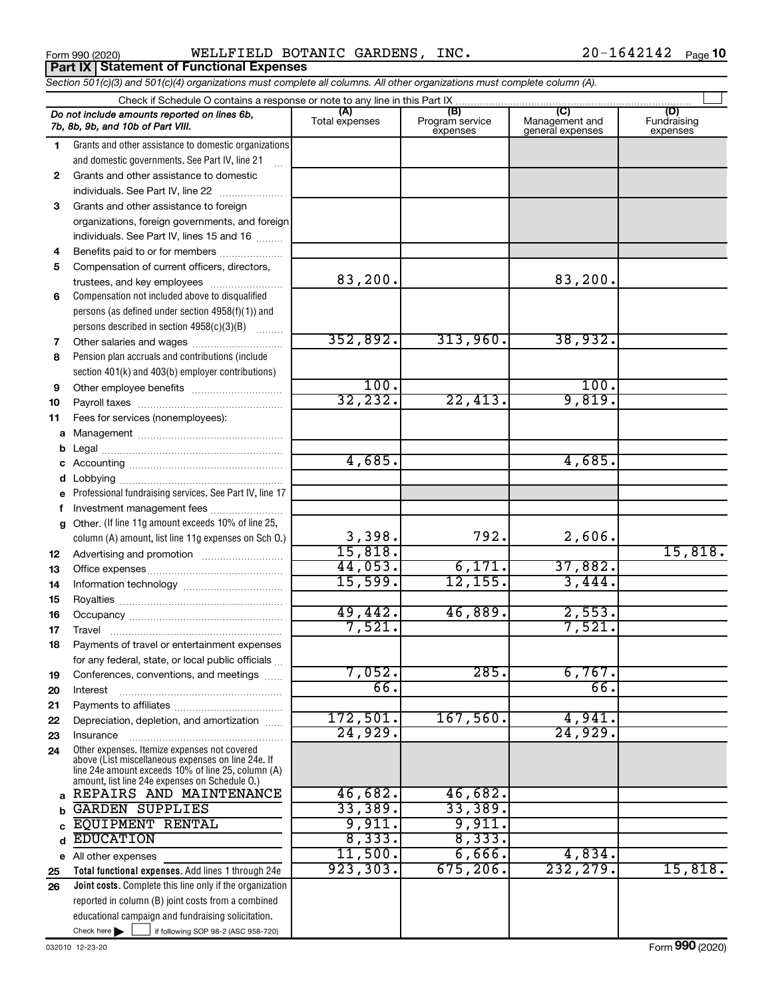Form 990 (2020) Page WELLFIELD BOTANIC GARDENS, INC. 20-1642142 **Part IX Statement of Functional Expenses**

20-1642142 Page 10

| Section 501(c)(3) and 501(c)(4) organizations must complete all columns. All other organizations must complete column (A). |                                                                                                      |                       |                                    |                                                      |                                |  |  |  |  |
|----------------------------------------------------------------------------------------------------------------------------|------------------------------------------------------------------------------------------------------|-----------------------|------------------------------------|------------------------------------------------------|--------------------------------|--|--|--|--|
| Check if Schedule O contains a response or note to any line in this Part IX.                                               |                                                                                                      |                       |                                    |                                                      |                                |  |  |  |  |
|                                                                                                                            | Do not include amounts reported on lines 6b,<br>7b, 8b, 9b, and 10b of Part VIII.                    | (A)<br>Total expenses | (B)<br>Program service<br>expenses | $\overline{C}$<br>Management and<br>general expenses | (D)<br>Fundraising<br>expenses |  |  |  |  |
| 1                                                                                                                          | Grants and other assistance to domestic organizations                                                |                       |                                    |                                                      |                                |  |  |  |  |
|                                                                                                                            | and domestic governments. See Part IV, line 21                                                       |                       |                                    |                                                      |                                |  |  |  |  |
| 2                                                                                                                          | Grants and other assistance to domestic                                                              |                       |                                    |                                                      |                                |  |  |  |  |
|                                                                                                                            | individuals. See Part IV, line 22                                                                    |                       |                                    |                                                      |                                |  |  |  |  |
| 3                                                                                                                          | Grants and other assistance to foreign                                                               |                       |                                    |                                                      |                                |  |  |  |  |
|                                                                                                                            | organizations, foreign governments, and foreign                                                      |                       |                                    |                                                      |                                |  |  |  |  |
|                                                                                                                            | individuals. See Part IV, lines 15 and 16                                                            |                       |                                    |                                                      |                                |  |  |  |  |
| 4                                                                                                                          | Benefits paid to or for members                                                                      |                       |                                    |                                                      |                                |  |  |  |  |
| 5                                                                                                                          | Compensation of current officers, directors,                                                         |                       |                                    |                                                      |                                |  |  |  |  |
|                                                                                                                            | trustees, and key employees                                                                          | 83,200.               |                                    | 83,200.                                              |                                |  |  |  |  |
| 6                                                                                                                          | Compensation not included above to disqualified                                                      |                       |                                    |                                                      |                                |  |  |  |  |
|                                                                                                                            | persons (as defined under section 4958(f)(1)) and                                                    |                       |                                    |                                                      |                                |  |  |  |  |
|                                                                                                                            | persons described in section 4958(c)(3)(B)                                                           |                       |                                    |                                                      |                                |  |  |  |  |
| 7                                                                                                                          | Other salaries and wages                                                                             | 352,892.              | 313,960.                           | 38,932.                                              |                                |  |  |  |  |
| 8                                                                                                                          | Pension plan accruals and contributions (include                                                     |                       |                                    |                                                      |                                |  |  |  |  |
|                                                                                                                            | section 401(k) and 403(b) employer contributions)                                                    |                       |                                    |                                                      |                                |  |  |  |  |
| 9                                                                                                                          |                                                                                                      | 100.                  |                                    | 100.                                                 |                                |  |  |  |  |
| 10                                                                                                                         |                                                                                                      | 32,232.               | 22,413.                            | 9,819.                                               |                                |  |  |  |  |
| 11                                                                                                                         | Fees for services (nonemployees):                                                                    |                       |                                    |                                                      |                                |  |  |  |  |
| a                                                                                                                          |                                                                                                      |                       |                                    |                                                      |                                |  |  |  |  |
|                                                                                                                            |                                                                                                      |                       |                                    |                                                      |                                |  |  |  |  |
|                                                                                                                            |                                                                                                      | 4,685.                |                                    | 4,685.                                               |                                |  |  |  |  |
|                                                                                                                            |                                                                                                      |                       |                                    |                                                      |                                |  |  |  |  |
| е                                                                                                                          | Professional fundraising services. See Part IV, line 17                                              |                       |                                    |                                                      |                                |  |  |  |  |
|                                                                                                                            | Investment management fees                                                                           |                       |                                    |                                                      |                                |  |  |  |  |
| g                                                                                                                          | Other. (If line 11g amount exceeds 10% of line 25,                                                   |                       | 792.                               |                                                      |                                |  |  |  |  |
|                                                                                                                            | column (A) amount, list line 11g expenses on Sch O.)                                                 | 3,398.<br>15,818.     |                                    | 2,606.                                               | 15,818.                        |  |  |  |  |
| 12                                                                                                                         |                                                                                                      | 44,053.               | 6,171.                             | 37,882.                                              |                                |  |  |  |  |
| 13                                                                                                                         |                                                                                                      | 15,599.               | 12, 155.                           | 3,444.                                               |                                |  |  |  |  |
| 14                                                                                                                         |                                                                                                      |                       |                                    |                                                      |                                |  |  |  |  |
| 15                                                                                                                         |                                                                                                      | 49,442.               | 46,889.                            | 2,553.                                               |                                |  |  |  |  |
| 16                                                                                                                         |                                                                                                      | 7,521.                |                                    | 7,521.                                               |                                |  |  |  |  |
| 17                                                                                                                         |                                                                                                      |                       |                                    |                                                      |                                |  |  |  |  |
| 18                                                                                                                         | Payments of travel or entertainment expenses<br>for any federal, state, or local public officials    |                       |                                    |                                                      |                                |  |  |  |  |
|                                                                                                                            | Conferences, conventions, and meetings                                                               | 7,052.                | 285.                               | 6,767.                                               |                                |  |  |  |  |
| 19<br>20                                                                                                                   | Interest                                                                                             | 66.                   |                                    | 66.                                                  |                                |  |  |  |  |
| 21                                                                                                                         |                                                                                                      |                       |                                    |                                                      |                                |  |  |  |  |
| 22                                                                                                                         | Depreciation, depletion, and amortization                                                            | 172,501.              | 167,560.                           | 4,941.                                               |                                |  |  |  |  |
| 23                                                                                                                         | Insurance                                                                                            | 24,929.               |                                    | 24,929.                                              |                                |  |  |  |  |
| 24                                                                                                                         | Other expenses. Itemize expenses not covered                                                         |                       |                                    |                                                      |                                |  |  |  |  |
|                                                                                                                            | above (List miscellaneous expenses on line 24e. If                                                   |                       |                                    |                                                      |                                |  |  |  |  |
|                                                                                                                            | line 24e amount exceeds 10% of line 25, column (A)<br>amount, list line 24e expenses on Schedule O.) |                       |                                    |                                                      |                                |  |  |  |  |
| a                                                                                                                          | REPAIRS AND MAINTENANCE                                                                              | 46,682.               | 46,682.                            |                                                      |                                |  |  |  |  |
| h                                                                                                                          | <b>GARDEN SUPPLIES</b>                                                                               | 33,389.               | 33,389.                            |                                                      |                                |  |  |  |  |
|                                                                                                                            | <b>EQUIPMENT RENTAL</b>                                                                              | 9,911.                | 9,911.                             |                                                      |                                |  |  |  |  |
| d                                                                                                                          | <b>EDUCATION</b>                                                                                     | 8,333.                | 8,333.                             |                                                      |                                |  |  |  |  |
|                                                                                                                            | e All other expenses                                                                                 | 11,500.               | 6,666.                             | 4,834.                                               |                                |  |  |  |  |
| 25                                                                                                                         | Total functional expenses. Add lines 1 through 24e                                                   | 923, 303.             | 675, 206.                          | 232, 279.                                            | 15,818.                        |  |  |  |  |
| 26                                                                                                                         | Joint costs. Complete this line only if the organization                                             |                       |                                    |                                                      |                                |  |  |  |  |
|                                                                                                                            | reported in column (B) joint costs from a combined                                                   |                       |                                    |                                                      |                                |  |  |  |  |
|                                                                                                                            | educational campaign and fundraising solicitation.                                                   |                       |                                    |                                                      |                                |  |  |  |  |
|                                                                                                                            | Check here $\blacktriangleright$<br>if following SOP 98-2 (ASC 958-720)                              |                       |                                    |                                                      |                                |  |  |  |  |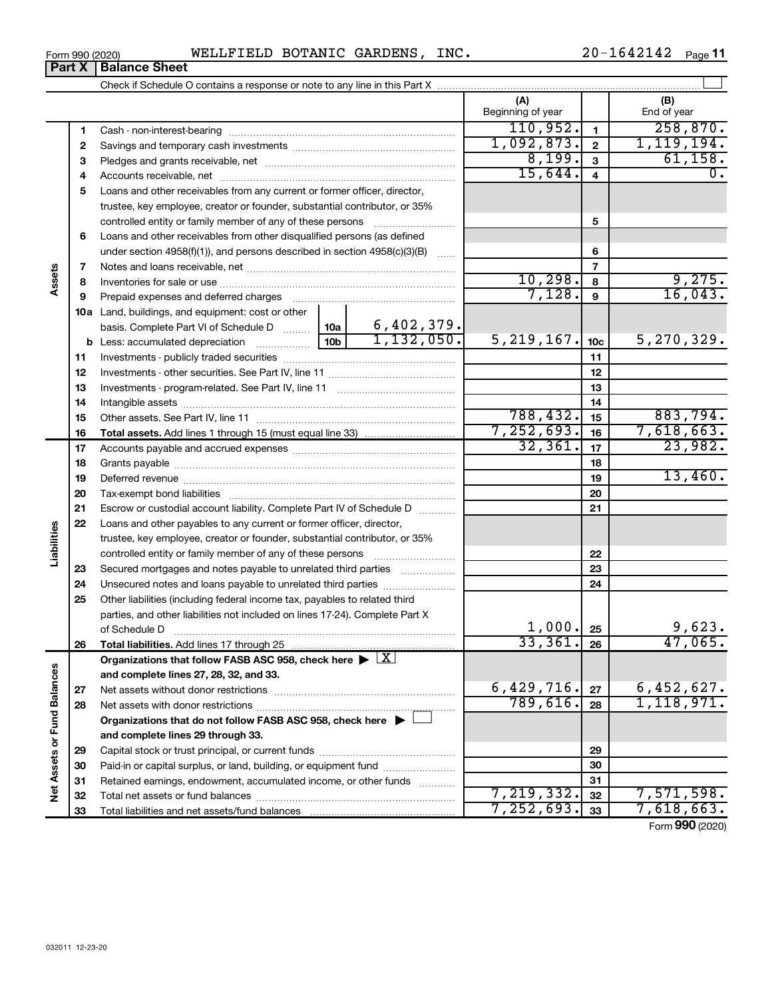| Form 990 (2020) | WELLFIELD BOTANIC GARDENS, INC. |  |  |  | $20 - 1642142$ Page 11 |  |  |
|-----------------|---------------------------------|--|--|--|------------------------|--|--|
|-----------------|---------------------------------|--|--|--|------------------------|--|--|

|                             | Part X | <b>Balance Sheet</b>                                                                                   |                 |            |                          |                 |                    |
|-----------------------------|--------|--------------------------------------------------------------------------------------------------------|-----------------|------------|--------------------------|-----------------|--------------------|
|                             |        |                                                                                                        |                 |            |                          |                 |                    |
|                             |        |                                                                                                        |                 |            | (A)<br>Beginning of year |                 | (B)<br>End of year |
|                             | 1      |                                                                                                        |                 |            | 110,952.                 | $\mathbf{1}$    | 258,870.           |
|                             | 2      |                                                                                                        |                 |            | 1,092,873.               | $\mathbf{2}$    | 1,119,194.         |
|                             | З      |                                                                                                        |                 |            | 8,199.                   | $\mathbf{3}$    | 61, 158.           |
|                             | 4      |                                                                                                        |                 |            | 15,644.                  | 4               | 0.                 |
|                             | 5      | Loans and other receivables from any current or former officer, director,                              |                 |            |                          |                 |                    |
|                             |        | trustee, key employee, creator or founder, substantial contributor, or 35%                             |                 |            |                          |                 |                    |
|                             |        | controlled entity or family member of any of these persons                                             |                 |            |                          | 5               |                    |
|                             | 6      | Loans and other receivables from other disqualified persons (as defined                                |                 |            |                          |                 |                    |
|                             |        | under section $4958(f)(1)$ , and persons described in section $4958(c)(3)(B)$                          |                 | $\ldots$   |                          | 6               |                    |
|                             | 7      |                                                                                                        |                 |            |                          | $\overline{7}$  |                    |
| Assets                      | 8      |                                                                                                        |                 |            | 10, 298.                 | 8               | 9,275.             |
|                             | 9      | Prepaid expenses and deferred charges                                                                  |                 |            | 7,128.                   | 9               | 16,043.            |
|                             |        | <b>10a</b> Land, buildings, and equipment: cost or other                                               |                 |            |                          |                 |                    |
|                             |        | basis. Complete Part VI of Schedule D    10a   6,402,379.                                              |                 |            |                          |                 |                    |
|                             |        | <b>b</b> Less: accumulated depreciation                                                                | 10 <sub>b</sub> | 1,132,050. | 5, 219, 167.             | 10 <sub>c</sub> | 5,270,329.         |
|                             | 11     |                                                                                                        |                 |            |                          | 11              |                    |
|                             | 12     |                                                                                                        |                 | 12         |                          |                 |                    |
|                             | 13     |                                                                                                        |                 | 13         |                          |                 |                    |
|                             | 14     |                                                                                                        |                 |            |                          | 14              |                    |
|                             | 15     |                                                                                                        | 788,432.        | 15         | 883,794.                 |                 |                    |
|                             | 16     |                                                                                                        |                 |            | 7, 252, 693.             | 16              | 7,618,663.         |
|                             | 17     |                                                                                                        |                 |            | 32, 361.                 | 17              | 23,982.            |
|                             | 18     |                                                                                                        |                 |            |                          | 18              |                    |
|                             | 19     |                                                                                                        |                 |            |                          | 19              | 13,460.            |
|                             | 20     |                                                                                                        |                 |            |                          | 20              |                    |
|                             | 21     | Escrow or custodial account liability. Complete Part IV of Schedule D                                  |                 |            |                          | 21              |                    |
| Liabilities                 | 22     | Loans and other payables to any current or former officer, director,                                   |                 |            |                          |                 |                    |
|                             |        | trustee, key employee, creator or founder, substantial contributor, or 35%                             |                 |            |                          |                 |                    |
|                             |        | controlled entity or family member of any of these persons                                             |                 |            |                          | 22              |                    |
|                             | 23     | Secured mortgages and notes payable to unrelated third parties                                         |                 |            |                          | 23              |                    |
|                             | 24     | Unsecured notes and loans payable to unrelated third parties                                           |                 |            |                          | 24              |                    |
|                             | 25     | Other liabilities (including federal income tax, payables to related third                             |                 |            |                          |                 |                    |
|                             |        | parties, and other liabilities not included on lines 17-24). Complete Part X<br>of Schedule D          |                 |            | 1,000.                   | 25              | 9,623.             |
|                             | 26     | Total liabilities. Add lines 17 through 25                                                             |                 |            | 33,361.                  | 26              | 47,065.            |
|                             |        | Organizations that follow FASB ASC 958, check here $\blacktriangleright \lfloor \underline{X} \rfloor$ |                 |            |                          |                 |                    |
|                             |        | and complete lines 27, 28, 32, and 33.                                                                 |                 |            |                          |                 |                    |
|                             | 27     |                                                                                                        |                 |            | 6,429,716.               | 27              | 6,452,627.         |
|                             | 28     |                                                                                                        |                 |            | 789,616.                 | 28              | 1,118,971.         |
|                             |        | Organizations that do not follow FASB ASC 958, check here $\blacktriangleright \bot$                   |                 |            |                          |                 |                    |
|                             |        | and complete lines 29 through 33.                                                                      |                 |            |                          |                 |                    |
|                             | 29     |                                                                                                        |                 |            |                          | 29              |                    |
|                             | 30     | Paid-in or capital surplus, or land, building, or equipment fund                                       |                 |            |                          | 30              |                    |
|                             | 31     | Retained earnings, endowment, accumulated income, or other funds                                       |                 |            |                          | 31              |                    |
| Net Assets or Fund Balances | 32     |                                                                                                        |                 |            | 7, 219, 332.             | 32              | 7,571,598.         |
|                             | 33     |                                                                                                        |                 |            | 7, 252, 693.             | 33              | 7,618,663.         |
|                             |        |                                                                                                        |                 |            |                          |                 | Form 990 (2020)    |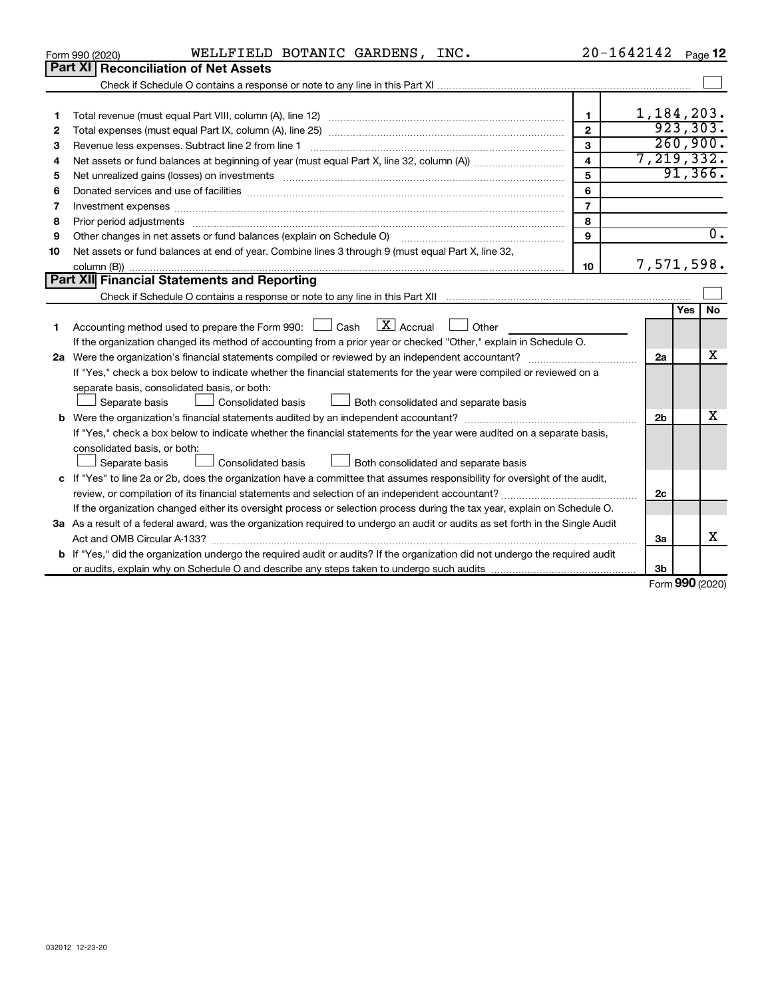| 032012 12-23-20 |  |  |
|-----------------|--|--|

| 2  |                                                                                                                                                                                                                                | $\mathbf{2}$   |                | 923, 303.  |          |  |
|----|--------------------------------------------------------------------------------------------------------------------------------------------------------------------------------------------------------------------------------|----------------|----------------|------------|----------|--|
| з  |                                                                                                                                                                                                                                | 3              |                |            | 260,900. |  |
| 4  |                                                                                                                                                                                                                                | 4              | 7, 219, 332.   |            |          |  |
| 5  |                                                                                                                                                                                                                                | 5              |                |            | 91,366.  |  |
| 6  |                                                                                                                                                                                                                                | 6              |                |            |          |  |
| 7  | Investment expenses www.communication.communication.com/interaction.com/interaction.com/interaction.com/interaction.com/interaction.com/interaction.com/interaction.com/interaction.com/interaction.com/interaction.com/intera | $\overline{7}$ |                |            |          |  |
| 8  | Prior period adjustments www.communication.communication.communication.com/                                                                                                                                                    | 8              |                |            |          |  |
| 9  | Other changes in net assets or fund balances (explain on Schedule O)                                                                                                                                                           | 9              |                |            | 0.       |  |
| 10 | Net assets or fund balances at end of year. Combine lines 3 through 9 (must equal Part X, line 32,                                                                                                                             |                |                |            |          |  |
|    |                                                                                                                                                                                                                                | 10             | 7,571,598.     |            |          |  |
|    | Part XII Financial Statements and Reporting                                                                                                                                                                                    |                |                |            |          |  |
|    |                                                                                                                                                                                                                                |                |                |            |          |  |
|    |                                                                                                                                                                                                                                |                |                | <b>Yes</b> | No       |  |
| 1  | Accounting method used to prepare the Form 990: $\Box$ Cash $\Box X$ Accrual $\Box$ Other                                                                                                                                      |                |                |            |          |  |
|    | If the organization changed its method of accounting from a prior year or checked "Other," explain in Schedule O.                                                                                                              |                |                |            |          |  |
|    | Were the organization's financial statements compiled or reviewed by an independent accountant?<br>2a                                                                                                                          |                |                |            |          |  |
|    | If "Yes," check a box below to indicate whether the financial statements for the year were compiled or reviewed on a                                                                                                           |                |                |            |          |  |
|    | separate basis, consolidated basis, or both:                                                                                                                                                                                   |                |                |            |          |  |
|    | Consolidated basis<br>Separate basis<br>Both consolidated and separate basis                                                                                                                                                   |                |                |            |          |  |
|    |                                                                                                                                                                                                                                |                | 2 <sub>b</sub> |            | х        |  |
|    | If "Yes," check a box below to indicate whether the financial statements for the year were audited on a separate basis,                                                                                                        |                |                |            |          |  |
|    | consolidated basis, or both:                                                                                                                                                                                                   |                |                |            |          |  |
|    | <b>Consolidated basis</b><br>Separate basis<br>Both consolidated and separate basis                                                                                                                                            |                |                |            |          |  |
|    | c If "Yes" to line 2a or 2b, does the organization have a committee that assumes responsibility for oversight of the audit,                                                                                                    |                |                |            |          |  |
|    |                                                                                                                                                                                                                                |                | 2c             |            |          |  |
|    | If the organization changed either its oversight process or selection process during the tax year, explain on Schedule O.                                                                                                      |                |                |            |          |  |
|    | 3a As a result of a federal award, was the organization required to undergo an audit or audits as set forth in the Single Audit                                                                                                |                |                |            |          |  |
|    |                                                                                                                                                                                                                                |                | За             |            | x        |  |
|    | <b>b</b> If "Yes," did the organization undergo the required audit or audits? If the organization did not undergo the required audit                                                                                           |                |                |            |          |  |
|    |                                                                                                                                                                                                                                |                | 3 <sub>b</sub> |            |          |  |

Form (2020) **990**

 $\Box$ 

1,184,203.

**1**

 $\perp$ 

| 20-1642142<br>INC.<br>WELLFIELD BOTANIC GARDENS,<br>Page<br>Form 990 (2020) |
|-----------------------------------------------------------------------------|
|-----------------------------------------------------------------------------|

Check if Schedule O contains a response or note to any line in this Part XI .................................

**1** Total revenue (must equal Part VIII, column (A), line 12) *www.www.www.www.www.www.www.*ww...

| Form 990 (2020) |                                             | WELLFIELD |
|-----------------|---------------------------------------------|-----------|
|                 | <b>Part XI Reconciliation of Net Assets</b> |           |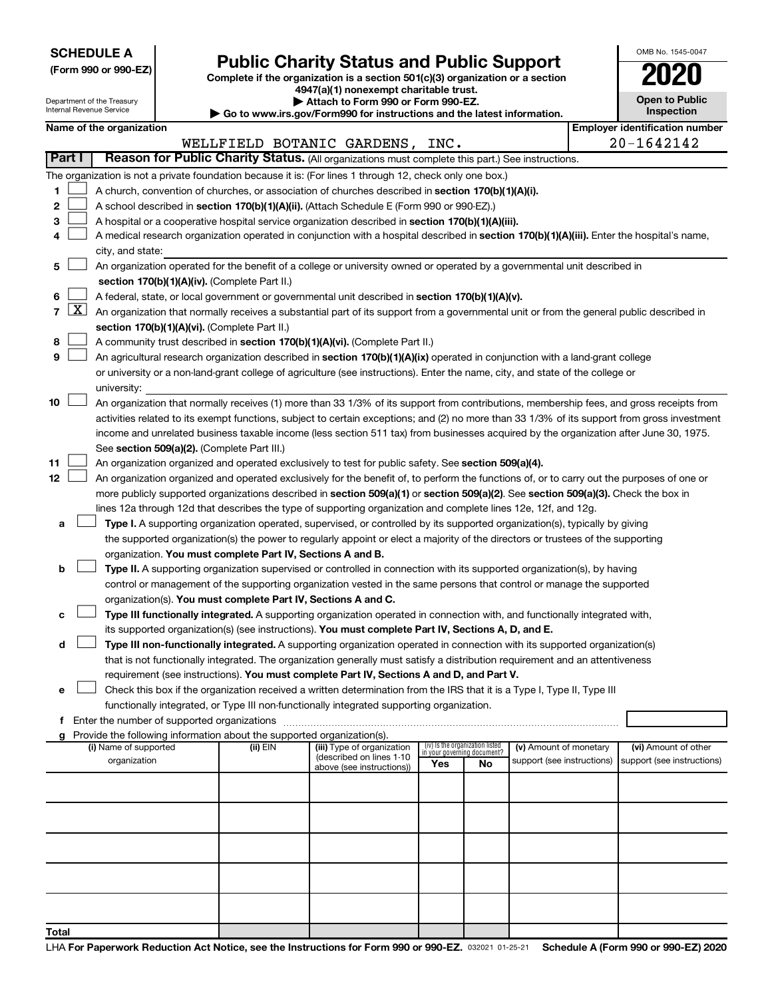**SCHEDULE A**

| (Form 990 or 990-EZ) |  |  |  |  |
|----------------------|--|--|--|--|
|----------------------|--|--|--|--|

## Form 990 or 990-EZ) **Public Charity Status and Public Support**<br>
Complete if the organization is a section 501(c)(3) organization or a section<br> **2020**

**4947(a)(1) nonexempt charitable trust.**

| OMB No 1545-0047                    |
|-------------------------------------|
| U                                   |
| <b>Open to Public</b><br>Inspection |

 $\exists$ 

|    |                 | Department of the Treasury<br>Attach to Form 990 or Form 990-EZ.<br>Internal Revenue Service<br>Go to www.irs.gov/Form990 for instructions and the latest information. |  |                                                                        | <b>Open to Public</b><br><b>Inspection</b>                                                                                                   |                                                                |    |                            |  |                                       |
|----|-----------------|------------------------------------------------------------------------------------------------------------------------------------------------------------------------|--|------------------------------------------------------------------------|----------------------------------------------------------------------------------------------------------------------------------------------|----------------------------------------------------------------|----|----------------------------|--|---------------------------------------|
|    |                 | Name of the organization                                                                                                                                               |  |                                                                        |                                                                                                                                              |                                                                |    |                            |  | <b>Employer identification number</b> |
|    |                 |                                                                                                                                                                        |  |                                                                        | WELLFIELD BOTANIC GARDENS, INC.                                                                                                              |                                                                |    |                            |  | $20 - 1642142$                        |
|    | Part I          |                                                                                                                                                                        |  |                                                                        | Reason for Public Charity Status. (All organizations must complete this part.) See instructions.                                             |                                                                |    |                            |  |                                       |
|    |                 |                                                                                                                                                                        |  |                                                                        | The organization is not a private foundation because it is: (For lines 1 through 12, check only one box.)                                    |                                                                |    |                            |  |                                       |
| 1  |                 |                                                                                                                                                                        |  |                                                                        | A church, convention of churches, or association of churches described in section 170(b)(1)(A)(i).                                           |                                                                |    |                            |  |                                       |
| 2  |                 |                                                                                                                                                                        |  |                                                                        | A school described in section 170(b)(1)(A)(ii). (Attach Schedule E (Form 990 or 990-EZ).)                                                    |                                                                |    |                            |  |                                       |
| 3  |                 |                                                                                                                                                                        |  |                                                                        | A hospital or a cooperative hospital service organization described in section 170(b)(1)(A)(iii).                                            |                                                                |    |                            |  |                                       |
| 4  |                 |                                                                                                                                                                        |  |                                                                        | A medical research organization operated in conjunction with a hospital described in section 170(b)(1)(A)(iii). Enter the hospital's name,   |                                                                |    |                            |  |                                       |
|    |                 | city, and state:                                                                                                                                                       |  |                                                                        |                                                                                                                                              |                                                                |    |                            |  |                                       |
| 5  |                 |                                                                                                                                                                        |  |                                                                        | An organization operated for the benefit of a college or university owned or operated by a governmental unit described in                    |                                                                |    |                            |  |                                       |
|    |                 |                                                                                                                                                                        |  | section 170(b)(1)(A)(iv). (Complete Part II.)                          |                                                                                                                                              |                                                                |    |                            |  |                                       |
| 6  |                 |                                                                                                                                                                        |  |                                                                        |                                                                                                                                              |                                                                |    |                            |  |                                       |
|    | $7 \mid X \mid$ |                                                                                                                                                                        |  |                                                                        | A federal, state, or local government or governmental unit described in section 170(b)(1)(A)(v).                                             |                                                                |    |                            |  |                                       |
|    |                 |                                                                                                                                                                        |  |                                                                        | An organization that normally receives a substantial part of its support from a governmental unit or from the general public described in    |                                                                |    |                            |  |                                       |
|    |                 |                                                                                                                                                                        |  | section 170(b)(1)(A)(vi). (Complete Part II.)                          |                                                                                                                                              |                                                                |    |                            |  |                                       |
| 8  |                 |                                                                                                                                                                        |  |                                                                        | A community trust described in section 170(b)(1)(A)(vi). (Complete Part II.)                                                                 |                                                                |    |                            |  |                                       |
| 9  |                 |                                                                                                                                                                        |  |                                                                        | An agricultural research organization described in section 170(b)(1)(A)(ix) operated in conjunction with a land-grant college                |                                                                |    |                            |  |                                       |
|    |                 |                                                                                                                                                                        |  |                                                                        | or university or a non-land-grant college of agriculture (see instructions). Enter the name, city, and state of the college or               |                                                                |    |                            |  |                                       |
|    |                 | university:                                                                                                                                                            |  |                                                                        |                                                                                                                                              |                                                                |    |                            |  |                                       |
| 10 |                 |                                                                                                                                                                        |  |                                                                        | An organization that normally receives (1) more than 33 1/3% of its support from contributions, membership fees, and gross receipts from     |                                                                |    |                            |  |                                       |
|    |                 |                                                                                                                                                                        |  |                                                                        | activities related to its exempt functions, subject to certain exceptions; and (2) no more than 33 1/3% of its support from gross investment |                                                                |    |                            |  |                                       |
|    |                 |                                                                                                                                                                        |  |                                                                        | income and unrelated business taxable income (less section 511 tax) from businesses acquired by the organization after June 30, 1975.        |                                                                |    |                            |  |                                       |
|    |                 |                                                                                                                                                                        |  | See section 509(a)(2). (Complete Part III.)                            |                                                                                                                                              |                                                                |    |                            |  |                                       |
| 11 |                 |                                                                                                                                                                        |  |                                                                        | An organization organized and operated exclusively to test for public safety. See section 509(a)(4).                                         |                                                                |    |                            |  |                                       |
| 12 |                 |                                                                                                                                                                        |  |                                                                        | An organization organized and operated exclusively for the benefit of, to perform the functions of, or to carry out the purposes of one or   |                                                                |    |                            |  |                                       |
|    |                 |                                                                                                                                                                        |  |                                                                        | more publicly supported organizations described in section 509(a)(1) or section 509(a)(2). See section 509(a)(3). Check the box in           |                                                                |    |                            |  |                                       |
|    |                 |                                                                                                                                                                        |  |                                                                        | lines 12a through 12d that describes the type of supporting organization and complete lines 12e, 12f, and 12g.                               |                                                                |    |                            |  |                                       |
| а  |                 |                                                                                                                                                                        |  |                                                                        | Type I. A supporting organization operated, supervised, or controlled by its supported organization(s), typically by giving                  |                                                                |    |                            |  |                                       |
|    |                 |                                                                                                                                                                        |  |                                                                        | the supported organization(s) the power to regularly appoint or elect a majority of the directors or trustees of the supporting              |                                                                |    |                            |  |                                       |
|    |                 |                                                                                                                                                                        |  | organization. You must complete Part IV, Sections A and B.             |                                                                                                                                              |                                                                |    |                            |  |                                       |
| b  |                 |                                                                                                                                                                        |  |                                                                        | Type II. A supporting organization supervised or controlled in connection with its supported organization(s), by having                      |                                                                |    |                            |  |                                       |
|    |                 |                                                                                                                                                                        |  |                                                                        | control or management of the supporting organization vested in the same persons that control or manage the supported                         |                                                                |    |                            |  |                                       |
|    |                 |                                                                                                                                                                        |  | organization(s). You must complete Part IV, Sections A and C.          |                                                                                                                                              |                                                                |    |                            |  |                                       |
| с  |                 |                                                                                                                                                                        |  |                                                                        | Type III functionally integrated. A supporting organization operated in connection with, and functionally integrated with,                   |                                                                |    |                            |  |                                       |
|    |                 |                                                                                                                                                                        |  |                                                                        | its supported organization(s) (see instructions). You must complete Part IV, Sections A, D, and E.                                           |                                                                |    |                            |  |                                       |
| d  |                 |                                                                                                                                                                        |  |                                                                        | Type III non-functionally integrated. A supporting organization operated in connection with its supported organization(s)                    |                                                                |    |                            |  |                                       |
|    |                 |                                                                                                                                                                        |  |                                                                        | that is not functionally integrated. The organization generally must satisfy a distribution requirement and an attentiveness                 |                                                                |    |                            |  |                                       |
|    |                 |                                                                                                                                                                        |  |                                                                        | requirement (see instructions). You must complete Part IV, Sections A and D, and Part V.                                                     |                                                                |    |                            |  |                                       |
| е  |                 |                                                                                                                                                                        |  |                                                                        | Check this box if the organization received a written determination from the IRS that it is a Type I, Type II, Type III                      |                                                                |    |                            |  |                                       |
|    |                 |                                                                                                                                                                        |  |                                                                        | functionally integrated, or Type III non-functionally integrated supporting organization.                                                    |                                                                |    |                            |  |                                       |
|    |                 |                                                                                                                                                                        |  |                                                                        |                                                                                                                                              |                                                                |    |                            |  |                                       |
| a  |                 |                                                                                                                                                                        |  | Provide the following information about the supported organization(s). |                                                                                                                                              |                                                                |    |                            |  |                                       |
|    |                 | (i) Name of supported                                                                                                                                                  |  | (ii) EIN                                                               | (iii) Type of organization                                                                                                                   | (iv) Is the organization listed<br>in your governing document? |    | (v) Amount of monetary     |  | (vi) Amount of other                  |
|    |                 | organization                                                                                                                                                           |  |                                                                        | (described on lines 1-10<br>above (see instructions))                                                                                        | Yes                                                            | No | support (see instructions) |  | support (see instructions)            |
|    |                 |                                                                                                                                                                        |  |                                                                        |                                                                                                                                              |                                                                |    |                            |  |                                       |
|    |                 |                                                                                                                                                                        |  |                                                                        |                                                                                                                                              |                                                                |    |                            |  |                                       |
|    |                 |                                                                                                                                                                        |  |                                                                        |                                                                                                                                              |                                                                |    |                            |  |                                       |
|    |                 |                                                                                                                                                                        |  |                                                                        |                                                                                                                                              |                                                                |    |                            |  |                                       |
|    |                 |                                                                                                                                                                        |  |                                                                        |                                                                                                                                              |                                                                |    |                            |  |                                       |
|    |                 |                                                                                                                                                                        |  |                                                                        |                                                                                                                                              |                                                                |    |                            |  |                                       |
|    |                 |                                                                                                                                                                        |  |                                                                        |                                                                                                                                              |                                                                |    |                            |  |                                       |
|    |                 |                                                                                                                                                                        |  |                                                                        |                                                                                                                                              |                                                                |    |                            |  |                                       |
|    |                 |                                                                                                                                                                        |  |                                                                        |                                                                                                                                              |                                                                |    |                            |  |                                       |
|    |                 |                                                                                                                                                                        |  |                                                                        |                                                                                                                                              |                                                                |    |                            |  |                                       |
|    |                 |                                                                                                                                                                        |  |                                                                        |                                                                                                                                              |                                                                |    |                            |  |                                       |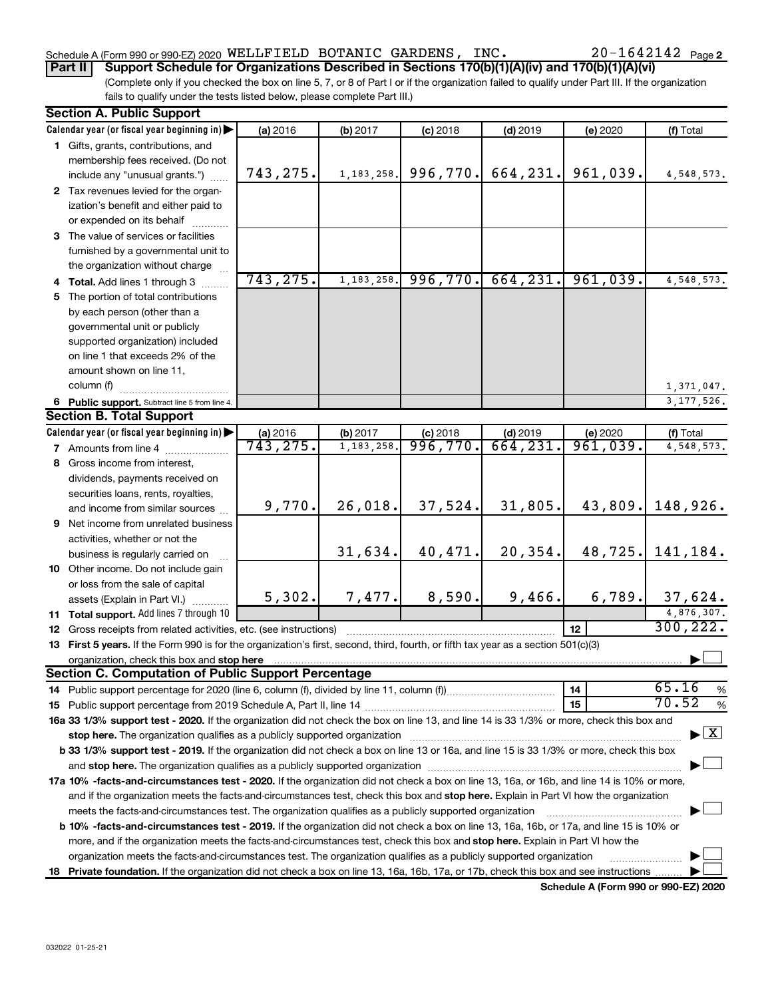## Schedule A (Form 990 or 990-EZ) 2020 Page WELLFIELD BOTANIC GARDENS, INC. 20-1642142

**Part II Support Schedule for Organizations Described in Sections 170(b)(1)(A)(iv) and 170(b)(1)(A)(vi)**

(Complete only if you checked the box on line 5, 7, or 8 of Part I or if the organization failed to qualify under Part III. If the organization fails to qualify under the tests listed below, please complete Part III.)

| <b>Section A. Public Support</b>                                                                                                                                                                                                                                                                                                                                                                                |           |              |            |            |          |              |
|-----------------------------------------------------------------------------------------------------------------------------------------------------------------------------------------------------------------------------------------------------------------------------------------------------------------------------------------------------------------------------------------------------------------|-----------|--------------|------------|------------|----------|--------------|
| Calendar year (or fiscal year beginning in)                                                                                                                                                                                                                                                                                                                                                                     | (a) 2016  | (b) 2017     | $(c)$ 2018 | $(d)$ 2019 | (e) 2020 | (f) Total    |
| 1 Gifts, grants, contributions, and                                                                                                                                                                                                                                                                                                                                                                             |           |              |            |            |          |              |
| membership fees received. (Do not                                                                                                                                                                                                                                                                                                                                                                               |           |              |            |            |          |              |
| include any "unusual grants.")                                                                                                                                                                                                                                                                                                                                                                                  | 743,275.  | 1, 183, 258. | 996,770.   | 664,231.   | 961,039. | 4,548,573.   |
| 2 Tax revenues levied for the organ-                                                                                                                                                                                                                                                                                                                                                                            |           |              |            |            |          |              |
| ization's benefit and either paid to                                                                                                                                                                                                                                                                                                                                                                            |           |              |            |            |          |              |
| or expended on its behalf                                                                                                                                                                                                                                                                                                                                                                                       |           |              |            |            |          |              |
| 3 The value of services or facilities                                                                                                                                                                                                                                                                                                                                                                           |           |              |            |            |          |              |
| furnished by a governmental unit to                                                                                                                                                                                                                                                                                                                                                                             |           |              |            |            |          |              |
| the organization without charge                                                                                                                                                                                                                                                                                                                                                                                 |           |              |            |            |          |              |
| 4 Total. Add lines 1 through 3                                                                                                                                                                                                                                                                                                                                                                                  | 743,275.  | 1, 183, 258. | 996,770.   | 664, 231.  | 961,039. | 4,548,573.   |
| 5 The portion of total contributions                                                                                                                                                                                                                                                                                                                                                                            |           |              |            |            |          |              |
| by each person (other than a                                                                                                                                                                                                                                                                                                                                                                                    |           |              |            |            |          |              |
| governmental unit or publicly                                                                                                                                                                                                                                                                                                                                                                                   |           |              |            |            |          |              |
| supported organization) included                                                                                                                                                                                                                                                                                                                                                                                |           |              |            |            |          |              |
| on line 1 that exceeds 2% of the                                                                                                                                                                                                                                                                                                                                                                                |           |              |            |            |          |              |
| amount shown on line 11,                                                                                                                                                                                                                                                                                                                                                                                        |           |              |            |            |          |              |
| column (f)                                                                                                                                                                                                                                                                                                                                                                                                      |           |              |            |            |          | 1,371,047.   |
| 6 Public support. Subtract line 5 from line 4.                                                                                                                                                                                                                                                                                                                                                                  |           |              |            |            |          | 3, 177, 526. |
| <b>Section B. Total Support</b>                                                                                                                                                                                                                                                                                                                                                                                 |           |              |            |            |          |              |
| Calendar year (or fiscal year beginning in)                                                                                                                                                                                                                                                                                                                                                                     | (a) 2016  | (b) 2017     | $(c)$ 2018 | $(d)$ 2019 | (e) 2020 | (f) Total    |
| 7 Amounts from line 4                                                                                                                                                                                                                                                                                                                                                                                           | 743, 275. | 1, 183, 258. | 996,770.   | 664,231    | 961,039. | 4,548,573.   |
| 8 Gross income from interest,                                                                                                                                                                                                                                                                                                                                                                                   |           |              |            |            |          |              |
| dividends, payments received on                                                                                                                                                                                                                                                                                                                                                                                 |           |              |            |            |          |              |
|                                                                                                                                                                                                                                                                                                                                                                                                                 |           |              |            |            |          |              |
| securities loans, rents, royalties,<br>and income from similar sources                                                                                                                                                                                                                                                                                                                                          | 9,770.    | 26,018.      | 37,524.    | 31,805.    | 43,809.  | 148,926.     |
|                                                                                                                                                                                                                                                                                                                                                                                                                 |           |              |            |            |          |              |
| 9 Net income from unrelated business                                                                                                                                                                                                                                                                                                                                                                            |           |              |            |            |          |              |
| activities, whether or not the                                                                                                                                                                                                                                                                                                                                                                                  |           | 31,634.      | 40,471.    | 20,354.    | 48,725.  | 141,184.     |
| business is regularly carried on                                                                                                                                                                                                                                                                                                                                                                                |           |              |            |            |          |              |
| 10 Other income. Do not include gain                                                                                                                                                                                                                                                                                                                                                                            |           |              |            |            |          |              |
| or loss from the sale of capital                                                                                                                                                                                                                                                                                                                                                                                | 5,302.    | 7,477.       | 8,590.     | 9,466.     | 6,789.   | 37,624.      |
| assets (Explain in Part VI.)                                                                                                                                                                                                                                                                                                                                                                                    |           |              |            |            |          | 4,876,307.   |
| 11 Total support. Add lines 7 through 10                                                                                                                                                                                                                                                                                                                                                                        |           |              |            |            |          | 300, 222.    |
| <b>12</b> Gross receipts from related activities, etc. (see instructions)                                                                                                                                                                                                                                                                                                                                       |           |              |            |            | 12       |              |
| 13 First 5 years. If the Form 990 is for the organization's first, second, third, fourth, or fifth tax year as a section 501(c)(3)                                                                                                                                                                                                                                                                              |           |              |            |            |          |              |
| organization, check this box and stop here contain and the contained and the contained and stop here contained and stop here contained and stop here and stop here are all the contained and stop here are all the contained a<br><b>Section C. Computation of Public Support Percentage</b>                                                                                                                    |           |              |            |            |          |              |
|                                                                                                                                                                                                                                                                                                                                                                                                                 |           |              |            |            |          | 65.16        |
|                                                                                                                                                                                                                                                                                                                                                                                                                 |           |              |            |            | 14       | %<br>70.52   |
|                                                                                                                                                                                                                                                                                                                                                                                                                 |           |              |            |            | 15       | %            |
| 16a 33 1/3% support test - 2020. If the organization did not check the box on line 13, and line 14 is 33 1/3% or more, check this box and                                                                                                                                                                                                                                                                       |           |              |            |            |          |              |
| $\blacktriangleright$ $\mathbf{X}$<br>stop here. The organization qualifies as a publicly supported organization manufactured content and the organization manufactured and the state of the state of the state of the state of the state of the state of the state<br>b 33 1/3% support test - 2019. If the organization did not check a box on line 13 or 16a, and line 15 is 33 1/3% or more, check this box |           |              |            |            |          |              |
|                                                                                                                                                                                                                                                                                                                                                                                                                 |           |              |            |            |          |              |
|                                                                                                                                                                                                                                                                                                                                                                                                                 |           |              |            |            |          |              |
| 17a 10% -facts-and-circumstances test - 2020. If the organization did not check a box on line 13, 16a, or 16b, and line 14 is 10% or more,                                                                                                                                                                                                                                                                      |           |              |            |            |          |              |
| and if the organization meets the facts-and-circumstances test, check this box and stop here. Explain in Part VI how the organization                                                                                                                                                                                                                                                                           |           |              |            |            |          |              |
| meets the facts-and-circumstances test. The organization qualifies as a publicly supported organization                                                                                                                                                                                                                                                                                                         |           |              |            |            |          |              |
| <b>b 10%</b> -facts-and-circumstances test - 2019. If the organization did not check a box on line 13, 16a, 16b, or 17a, and line 15 is 10% or                                                                                                                                                                                                                                                                  |           |              |            |            |          |              |
| more, and if the organization meets the facts-and-circumstances test, check this box and stop here. Explain in Part VI how the                                                                                                                                                                                                                                                                                  |           |              |            |            |          |              |
| organization meets the facts-and-circumstances test. The organization qualifies as a publicly supported organization                                                                                                                                                                                                                                                                                            |           |              |            |            |          |              |
| 18 Private foundation. If the organization did not check a box on line 13, 16a, 16b, 17a, or 17b, check this box and see instructions                                                                                                                                                                                                                                                                           |           |              |            |            |          |              |

**Schedule A (Form 990 or 990-EZ) 2020**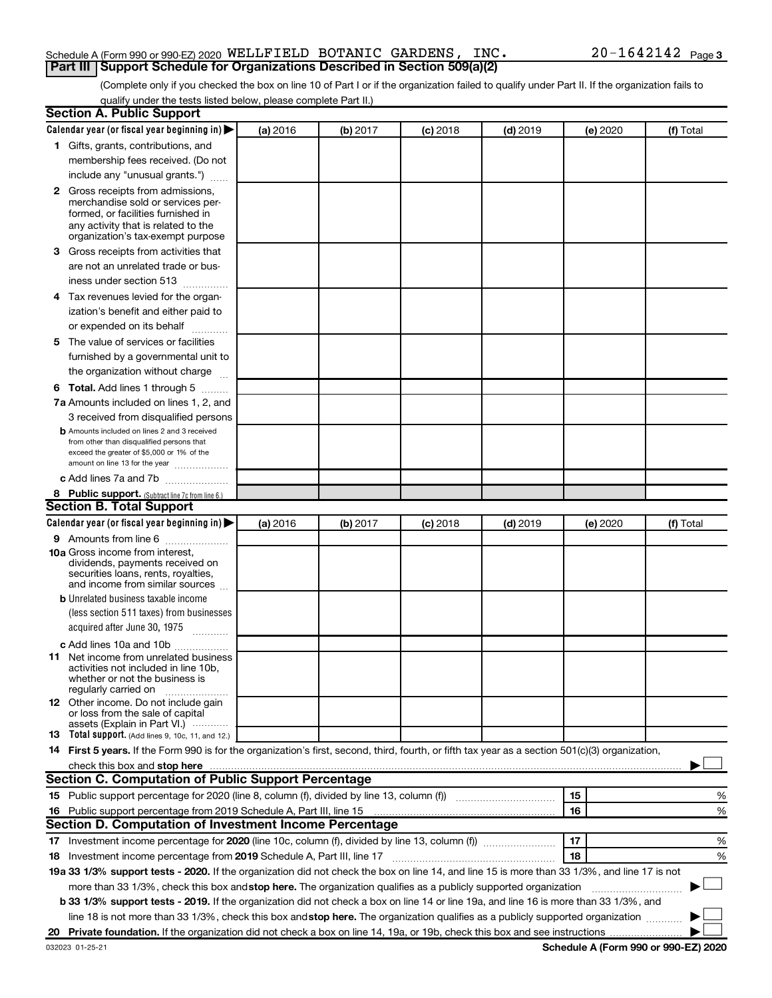## Schedule A (Form 990 or 990-EZ) 2020 Page WELLFIELD BOTANIC GARDENS, INC. 20-1642142**Part III Support Schedule for Organizations Described in Section 509(a)(2)**

(Complete only if you checked the box on line 10 of Part I or if the organization failed to qualify under Part II. If the organization fails to qualify under the tests listed below, please complete Part II.)

| <b>Section A. Public Support</b>                                                                                                                 |          |          |            |            |          |           |
|--------------------------------------------------------------------------------------------------------------------------------------------------|----------|----------|------------|------------|----------|-----------|
| Calendar year (or fiscal year beginning in)                                                                                                      | (a) 2016 | (b) 2017 | $(c)$ 2018 | $(d)$ 2019 | (e) 2020 | (f) Total |
| 1 Gifts, grants, contributions, and                                                                                                              |          |          |            |            |          |           |
| membership fees received. (Do not                                                                                                                |          |          |            |            |          |           |
| include any "unusual grants.")                                                                                                                   |          |          |            |            |          |           |
| 2 Gross receipts from admissions,                                                                                                                |          |          |            |            |          |           |
| merchandise sold or services per-                                                                                                                |          |          |            |            |          |           |
| formed, or facilities furnished in                                                                                                               |          |          |            |            |          |           |
| any activity that is related to the<br>organization's tax-exempt purpose                                                                         |          |          |            |            |          |           |
| 3 Gross receipts from activities that                                                                                                            |          |          |            |            |          |           |
| are not an unrelated trade or bus-                                                                                                               |          |          |            |            |          |           |
| iness under section 513                                                                                                                          |          |          |            |            |          |           |
| 4 Tax revenues levied for the organ-                                                                                                             |          |          |            |            |          |           |
| ization's benefit and either paid to                                                                                                             |          |          |            |            |          |           |
| or expended on its behalf                                                                                                                        |          |          |            |            |          |           |
| 5 The value of services or facilities                                                                                                            |          |          |            |            |          |           |
| furnished by a governmental unit to                                                                                                              |          |          |            |            |          |           |
| the organization without charge                                                                                                                  |          |          |            |            |          |           |
| <b>6 Total.</b> Add lines 1 through 5                                                                                                            |          |          |            |            |          |           |
| 7a Amounts included on lines 1, 2, and                                                                                                           |          |          |            |            |          |           |
| 3 received from disqualified persons                                                                                                             |          |          |            |            |          |           |
| <b>b</b> Amounts included on lines 2 and 3 received                                                                                              |          |          |            |            |          |           |
| from other than disqualified persons that                                                                                                        |          |          |            |            |          |           |
| exceed the greater of \$5,000 or 1% of the                                                                                                       |          |          |            |            |          |           |
| amount on line 13 for the year                                                                                                                   |          |          |            |            |          |           |
| c Add lines 7a and 7b                                                                                                                            |          |          |            |            |          |           |
| 8 Public support. (Subtract line 7c from line 6.)                                                                                                |          |          |            |            |          |           |
| <b>Section B. Total Support</b>                                                                                                                  |          |          |            |            |          |           |
| Calendar year (or fiscal year beginning in)                                                                                                      | (a) 2016 | (b) 2017 | (c) 2018   | $(d)$ 2019 | (e) 2020 | (f) Total |
| 9 Amounts from line 6                                                                                                                            |          |          |            |            |          |           |
| <b>10a</b> Gross income from interest,<br>dividends, payments received on                                                                        |          |          |            |            |          |           |
| securities loans, rents, royalties,                                                                                                              |          |          |            |            |          |           |
| and income from similar sources                                                                                                                  |          |          |            |            |          |           |
| <b>b</b> Unrelated business taxable income                                                                                                       |          |          |            |            |          |           |
| (less section 511 taxes) from businesses                                                                                                         |          |          |            |            |          |           |
| acquired after June 30, 1975<br>$\frac{1}{2}$                                                                                                    |          |          |            |            |          |           |
| c Add lines 10a and 10b                                                                                                                          |          |          |            |            |          |           |
| 11 Net income from unrelated business                                                                                                            |          |          |            |            |          |           |
| activities not included in line 10b.<br>whether or not the business is                                                                           |          |          |            |            |          |           |
| regularly carried on                                                                                                                             |          |          |            |            |          |           |
| <b>12</b> Other income. Do not include gain                                                                                                      |          |          |            |            |          |           |
| or loss from the sale of capital<br>assets (Explain in Part VI.)                                                                                 |          |          |            |            |          |           |
| <b>13</b> Total support. (Add lines 9, 10c, 11, and 12.)                                                                                         |          |          |            |            |          |           |
| 14 First 5 years. If the Form 990 is for the organization's first, second, third, fourth, or fifth tax year as a section 501(c)(3) organization, |          |          |            |            |          |           |
|                                                                                                                                                  |          |          |            |            |          |           |
| Section C. Computation of Public Support Percentage                                                                                              |          |          |            |            |          |           |
|                                                                                                                                                  |          |          |            |            | 15       | %         |
| 16 Public support percentage from 2019 Schedule A, Part III, line 15                                                                             |          |          |            |            | 16       | %         |
| Section D. Computation of Investment Income Percentage                                                                                           |          |          |            |            |          |           |
|                                                                                                                                                  |          |          |            |            | 17       | %         |
| 18 Investment income percentage from 2019 Schedule A, Part III, line 17                                                                          |          |          |            |            | 18       | %         |
| 19a 33 1/3% support tests - 2020. If the organization did not check the box on line 14, and line 15 is more than 33 1/3%, and line 17 is not     |          |          |            |            |          |           |
| more than 33 1/3%, check this box and stop here. The organization qualifies as a publicly supported organization                                 |          |          |            |            |          |           |
| b 33 1/3% support tests - 2019. If the organization did not check a box on line 14 or line 19a, and line 16 is more than 33 1/3%, and            |          |          |            |            |          |           |
| line 18 is not more than 33 1/3%, check this box and stop here. The organization qualifies as a publicly supported organization                  |          |          |            |            |          |           |
|                                                                                                                                                  |          |          |            |            |          |           |
|                                                                                                                                                  |          |          |            |            |          |           |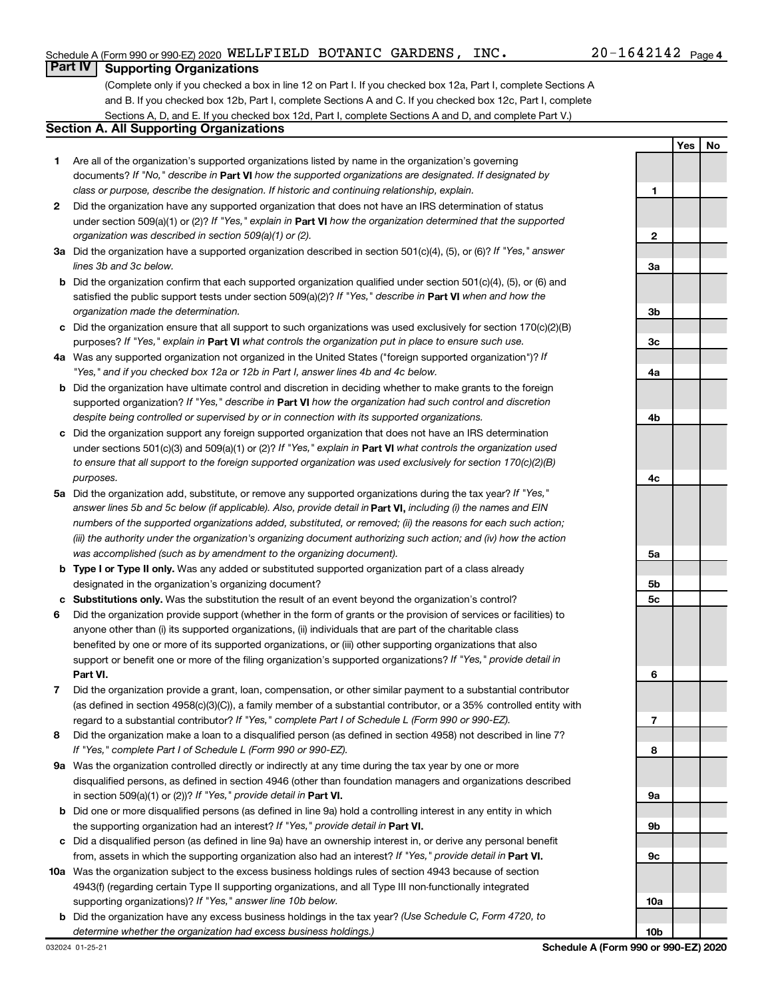## **Part IV Supporting Organizations**

(Complete only if you checked a box in line 12 on Part I. If you checked box 12a, Part I, complete Sections A and B. If you checked box 12b, Part I, complete Sections A and C. If you checked box 12c, Part I, complete Sections A, D, and E. If you checked box 12d, Part I, complete Sections A and D, and complete Part V.)

## **Section A. All Supporting Organizations**

- **1** Are all of the organization's supported organizations listed by name in the organization's governing documents? If "No," describe in Part VI how the supported organizations are designated. If designated by *class or purpose, describe the designation. If historic and continuing relationship, explain.*
- **2** Did the organization have any supported organization that does not have an IRS determination of status under section 509(a)(1) or (2)? If "Yes," explain in Part **VI** how the organization determined that the supported *organization was described in section 509(a)(1) or (2).*
- **3a** Did the organization have a supported organization described in section 501(c)(4), (5), or (6)? If "Yes," answer *lines 3b and 3c below.*
- **b** Did the organization confirm that each supported organization qualified under section 501(c)(4), (5), or (6) and satisfied the public support tests under section 509(a)(2)? If "Yes," describe in Part VI when and how the *organization made the determination.*
- **c** Did the organization ensure that all support to such organizations was used exclusively for section 170(c)(2)(B) purposes? If "Yes," explain in Part VI what controls the organization put in place to ensure such use.
- **4 a** *If* Was any supported organization not organized in the United States ("foreign supported organization")? *"Yes," and if you checked box 12a or 12b in Part I, answer lines 4b and 4c below.*
- **b** Did the organization have ultimate control and discretion in deciding whether to make grants to the foreign supported organization? If "Yes," describe in Part VI how the organization had such control and discretion *despite being controlled or supervised by or in connection with its supported organizations.*
- **c** Did the organization support any foreign supported organization that does not have an IRS determination under sections 501(c)(3) and 509(a)(1) or (2)? If "Yes," explain in Part VI what controls the organization used *to ensure that all support to the foreign supported organization was used exclusively for section 170(c)(2)(B) purposes.*
- **5a** Did the organization add, substitute, or remove any supported organizations during the tax year? If "Yes," answer lines 5b and 5c below (if applicable). Also, provide detail in **Part VI,** including (i) the names and EIN *numbers of the supported organizations added, substituted, or removed; (ii) the reasons for each such action; (iii) the authority under the organization's organizing document authorizing such action; and (iv) how the action was accomplished (such as by amendment to the organizing document).*
- **b** Type I or Type II only. Was any added or substituted supported organization part of a class already designated in the organization's organizing document?
- **c Substitutions only.**  Was the substitution the result of an event beyond the organization's control?
- **6** Did the organization provide support (whether in the form of grants or the provision of services or facilities) to **Part VI.** support or benefit one or more of the filing organization's supported organizations? If "Yes," provide detail in anyone other than (i) its supported organizations, (ii) individuals that are part of the charitable class benefited by one or more of its supported organizations, or (iii) other supporting organizations that also
- **7** Did the organization provide a grant, loan, compensation, or other similar payment to a substantial contributor regard to a substantial contributor? If "Yes," complete Part I of Schedule L (Form 990 or 990-EZ). (as defined in section 4958(c)(3)(C)), a family member of a substantial contributor, or a 35% controlled entity with
- **8** Did the organization make a loan to a disqualified person (as defined in section 4958) not described in line 7? *If "Yes," complete Part I of Schedule L (Form 990 or 990-EZ).*
- **9 a** Was the organization controlled directly or indirectly at any time during the tax year by one or more in section 509(a)(1) or (2))? If "Yes," provide detail in **Part VI.** disqualified persons, as defined in section 4946 (other than foundation managers and organizations described
- **b** Did one or more disqualified persons (as defined in line 9a) hold a controlling interest in any entity in which the supporting organization had an interest? If "Yes," provide detail in Part VI.
- **c** Did a disqualified person (as defined in line 9a) have an ownership interest in, or derive any personal benefit from, assets in which the supporting organization also had an interest? If "Yes," provide detail in Part VI.
- **10 a** Was the organization subject to the excess business holdings rules of section 4943 because of section supporting organizations)? If "Yes," answer line 10b below. 4943(f) (regarding certain Type II supporting organizations, and all Type III non-functionally integrated
	- **b** Did the organization have any excess business holdings in the tax year? (Use Schedule C, Form 4720, to *determine whether the organization had excess business holdings.)*

**Yes No 1 2 3a 3b 3c 4a 4b 4c 5a 5b 5c 6 7 8 9a 9b 9c 10a 10b**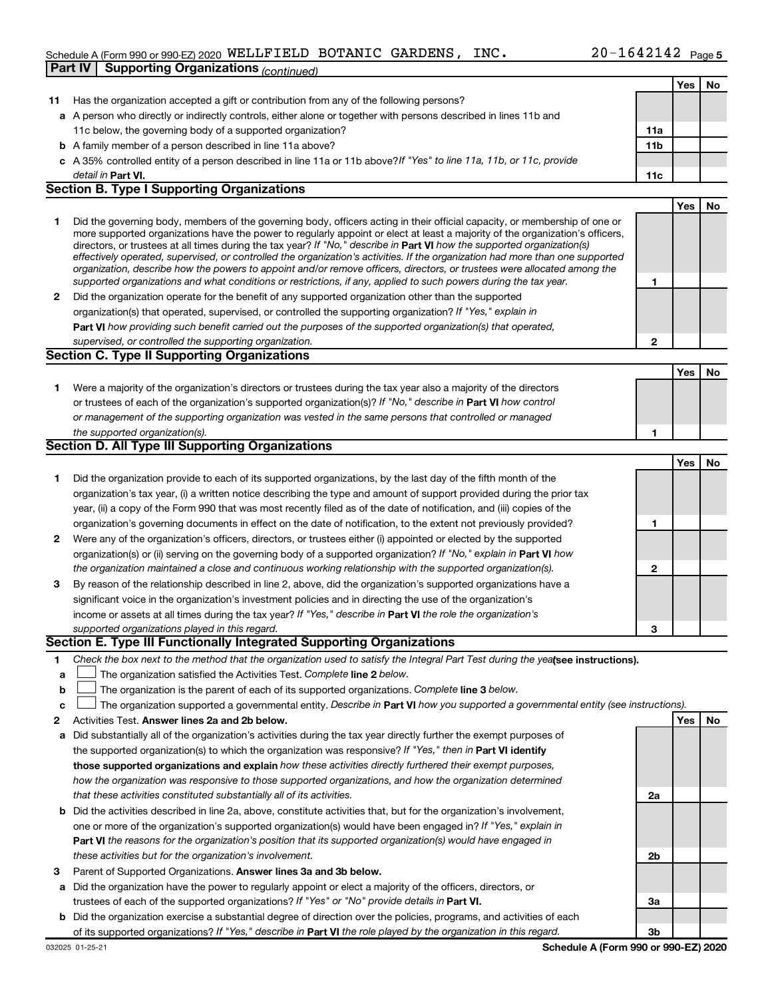## Schedule A (Form 990 or 990-EZ) 2020 Page WELLFIELD BOTANIC GARDENS, INC. 20-1642142**Part IV Supporting Organizations** *(continued)*

|              |                                                                                                                                                                                                                                                            |              | Yes | No  |
|--------------|------------------------------------------------------------------------------------------------------------------------------------------------------------------------------------------------------------------------------------------------------------|--------------|-----|-----|
| 11           | Has the organization accepted a gift or contribution from any of the following persons?                                                                                                                                                                    |              |     |     |
|              | a A person who directly or indirectly controls, either alone or together with persons described in lines 11b and                                                                                                                                           |              |     |     |
|              | 11c below, the governing body of a supported organization?                                                                                                                                                                                                 | 11a          |     |     |
|              | <b>b</b> A family member of a person described in line 11a above?                                                                                                                                                                                          | 11b          |     |     |
|              | c A 35% controlled entity of a person described in line 11a or 11b above? If "Yes" to line 11a, 11b, or 11c, provide                                                                                                                                       |              |     |     |
|              | detail in Part VI.                                                                                                                                                                                                                                         | 11c          |     |     |
|              | <b>Section B. Type I Supporting Organizations</b>                                                                                                                                                                                                          |              |     |     |
|              |                                                                                                                                                                                                                                                            |              | Yes | No. |
| 1.           | Did the governing body, members of the governing body, officers acting in their official capacity, or membership of one or                                                                                                                                 |              |     |     |
|              | more supported organizations have the power to regularly appoint or elect at least a majority of the organization's officers,                                                                                                                              |              |     |     |
|              | directors, or trustees at all times during the tax year? If "No," describe in Part VI how the supported organization(s)                                                                                                                                    |              |     |     |
|              | effectively operated, supervised, or controlled the organization's activities. If the organization had more than one supported<br>organization, describe how the powers to appoint and/or remove officers, directors, or trustees were allocated among the |              |     |     |
|              | supported organizations and what conditions or restrictions, if any, applied to such powers during the tax year.                                                                                                                                           | 1            |     |     |
| $\mathbf{2}$ | Did the organization operate for the benefit of any supported organization other than the supported                                                                                                                                                        |              |     |     |
|              | organization(s) that operated, supervised, or controlled the supporting organization? If "Yes," explain in                                                                                                                                                 |              |     |     |
|              | Part VI how providing such benefit carried out the purposes of the supported organization(s) that operated,                                                                                                                                                |              |     |     |
|              | supervised, or controlled the supporting organization.                                                                                                                                                                                                     | $\mathbf{2}$ |     |     |
|              | <b>Section C. Type II Supporting Organizations</b>                                                                                                                                                                                                         |              |     |     |
|              |                                                                                                                                                                                                                                                            |              | Yes | No  |
| 1.           | Were a majority of the organization's directors or trustees during the tax year also a majority of the directors                                                                                                                                           |              |     |     |
|              | or trustees of each of the organization's supported organization(s)? If "No," describe in Part VI how control                                                                                                                                              |              |     |     |
|              | or management of the supporting organization was vested in the same persons that controlled or managed                                                                                                                                                     |              |     |     |
|              | the supported organization(s).                                                                                                                                                                                                                             | 1            |     |     |
|              | Section D. All Type III Supporting Organizations                                                                                                                                                                                                           |              |     |     |
|              |                                                                                                                                                                                                                                                            |              | Yes | No  |
| 1.           | Did the organization provide to each of its supported organizations, by the last day of the fifth month of the                                                                                                                                             |              |     |     |
|              | organization's tax year, (i) a written notice describing the type and amount of support provided during the prior tax                                                                                                                                      |              |     |     |
|              | year, (ii) a copy of the Form 990 that was most recently filed as of the date of notification, and (iii) copies of the                                                                                                                                     |              |     |     |
|              | organization's governing documents in effect on the date of notification, to the extent not previously provided?                                                                                                                                           | 1            |     |     |
| $\mathbf{2}$ | Were any of the organization's officers, directors, or trustees either (i) appointed or elected by the supported                                                                                                                                           |              |     |     |
|              | organization(s) or (ii) serving on the governing body of a supported organization? If "No," explain in Part VI how                                                                                                                                         |              |     |     |
|              | the organization maintained a close and continuous working relationship with the supported organization(s).                                                                                                                                                | $\mathbf{2}$ |     |     |
| 3            | By reason of the relationship described in line 2, above, did the organization's supported organizations have a                                                                                                                                            |              |     |     |
|              | significant voice in the organization's investment policies and in directing the use of the organization's                                                                                                                                                 |              |     |     |
|              | income or assets at all times during the tax year? If "Yes," describe in Part VI the role the organization's                                                                                                                                               |              |     |     |
|              | supported organizations played in this regard.                                                                                                                                                                                                             | 3            |     |     |
|              | Section E. Type III Functionally Integrated Supporting Organizations                                                                                                                                                                                       |              |     |     |
| 1.           | Check the box next to the method that the organization used to satisfy the Integral Part Test during the yealsee instructions).                                                                                                                            |              |     |     |
| a            | The organization satisfied the Activities Test. Complete line 2 below.                                                                                                                                                                                     |              |     |     |
| b            | The organization is the parent of each of its supported organizations. Complete line 3 below.                                                                                                                                                              |              |     |     |
| c            | The organization supported a governmental entity. Describe in Part VI how you supported a governmental entity (see instructions).                                                                                                                          |              |     |     |
| 2            | Activities Test. Answer lines 2a and 2b below.                                                                                                                                                                                                             |              | Yes | No  |
| а            | Did substantially all of the organization's activities during the tax year directly further the exempt purposes of                                                                                                                                         |              |     |     |
|              | the supported organization(s) to which the organization was responsive? If "Yes," then in Part VI identify                                                                                                                                                 |              |     |     |
|              | those supported organizations and explain how these activities directly furthered their exempt purposes,                                                                                                                                                   |              |     |     |
|              | how the organization was responsive to those supported organizations, and how the organization determined                                                                                                                                                  |              |     |     |
|              | that these activities constituted substantially all of its activities.                                                                                                                                                                                     | 2a           |     |     |
|              | <b>b</b> Did the activities described in line 2a, above, constitute activities that, but for the organization's involvement,                                                                                                                               |              |     |     |
|              | one or more of the organization's supported organization(s) would have been engaged in? If "Yes," explain in                                                                                                                                               |              |     |     |
|              | <b>Part VI</b> the reasons for the organization's position that its supported organization(s) would have engaged in                                                                                                                                        |              |     |     |
|              | these activities but for the organization's involvement.                                                                                                                                                                                                   | 2b           |     |     |
| 3            | Parent of Supported Organizations. Answer lines 3a and 3b below.                                                                                                                                                                                           |              |     |     |
| а            | Did the organization have the power to regularly appoint or elect a majority of the officers, directors, or                                                                                                                                                |              |     |     |
|              | trustees of each of the supported organizations? If "Yes" or "No" provide details in Part VI.                                                                                                                                                              | За           |     |     |
|              | <b>b</b> Did the organization exercise a substantial degree of direction over the policies, programs, and activities of each                                                                                                                               |              |     |     |
|              | of its supported organizations? If "Yes," describe in Part VI the role played by the organization in this regard.                                                                                                                                          | 3b           |     |     |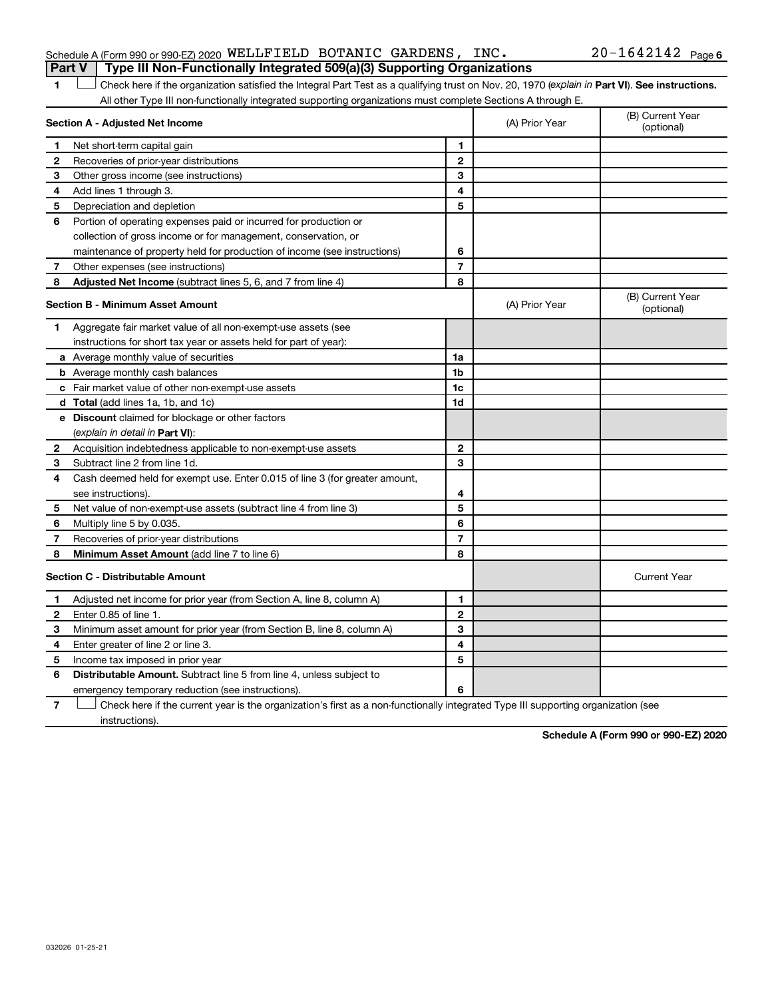## Schedule A (Form 990 or 990-EZ) 2020 Page WELLFIELD BOTANIC GARDENS, INC. 20-1642142**Part V Type III Non-Functionally Integrated 509(a)(3) Supporting Organizations**

## 20-1642142 Page 6

1 **Letter See instructions.** Check here if the organization satisfied the Integral Part Test as a qualifying trust on Nov. 20, 1970 (*explain in* Part **VI**). See instructions. All other Type III non-functionally integrated supporting organizations must complete Sections A through E.

| Section A - Adjusted Net Income |                                                                             |                | (A) Prior Year | (B) Current Year<br>(optional) |
|---------------------------------|-----------------------------------------------------------------------------|----------------|----------------|--------------------------------|
| 1                               | Net short-term capital gain                                                 | 1              |                |                                |
| 2                               | Recoveries of prior-year distributions                                      | $\overline{2}$ |                |                                |
| 3                               | Other gross income (see instructions)                                       | 3              |                |                                |
| 4                               | Add lines 1 through 3.                                                      | 4              |                |                                |
| 5                               | Depreciation and depletion                                                  | 5              |                |                                |
| 6                               | Portion of operating expenses paid or incurred for production or            |                |                |                                |
|                                 | collection of gross income or for management, conservation, or              |                |                |                                |
|                                 | maintenance of property held for production of income (see instructions)    | 6              |                |                                |
| 7                               | Other expenses (see instructions)                                           | $\overline{7}$ |                |                                |
| 8                               | Adjusted Net Income (subtract lines 5, 6, and 7 from line 4)                | 8              |                |                                |
|                                 | <b>Section B - Minimum Asset Amount</b>                                     |                | (A) Prior Year | (B) Current Year<br>(optional) |
| 1.                              | Aggregate fair market value of all non-exempt-use assets (see               |                |                |                                |
|                                 | instructions for short tax year or assets held for part of year):           |                |                |                                |
|                                 | a Average monthly value of securities                                       | 1a             |                |                                |
|                                 | <b>b</b> Average monthly cash balances                                      | 1 <sub>b</sub> |                |                                |
|                                 | c Fair market value of other non-exempt-use assets                          | 1 <sub>c</sub> |                |                                |
|                                 | d Total (add lines 1a, 1b, and 1c)                                          | 1d             |                |                                |
|                                 | <b>e</b> Discount claimed for blockage or other factors                     |                |                |                                |
|                                 | (explain in detail in Part VI):                                             |                |                |                                |
| 2                               | Acquisition indebtedness applicable to non-exempt-use assets                | $\mathbf{2}$   |                |                                |
| 3                               | Subtract line 2 from line 1d.                                               | 3              |                |                                |
| 4                               | Cash deemed held for exempt use. Enter 0.015 of line 3 (for greater amount, |                |                |                                |
|                                 | see instructions).                                                          | 4              |                |                                |
| 5                               | Net value of non-exempt-use assets (subtract line 4 from line 3)            | 5              |                |                                |
| 6                               | Multiply line 5 by 0.035.                                                   | 6              |                |                                |
| 7                               | Recoveries of prior-year distributions                                      | $\overline{7}$ |                |                                |
| 8                               | Minimum Asset Amount (add line 7 to line 6)                                 | 8              |                |                                |
|                                 | <b>Section C - Distributable Amount</b>                                     |                |                | <b>Current Year</b>            |
| 1.                              | Adjusted net income for prior year (from Section A, line 8, column A)       | 1              |                |                                |
| 2                               | Enter 0.85 of line 1.                                                       | $\mathbf{2}$   |                |                                |
| 3                               | Minimum asset amount for prior year (from Section B, line 8, column A)      | 3              |                |                                |
| 4                               | Enter greater of line 2 or line 3.                                          | 4              |                |                                |
| 5                               | Income tax imposed in prior year                                            | 5              |                |                                |
| 6                               | <b>Distributable Amount.</b> Subtract line 5 from line 4, unless subject to |                |                |                                |
|                                 | emergency temporary reduction (see instructions).                           | 6              |                |                                |
|                                 |                                                                             |                |                |                                |

**7** Check here if the current year is the organization's first as a non-functionally integrated Type III supporting organization (see † instructions).

**Schedule A (Form 990 or 990-EZ) 2020**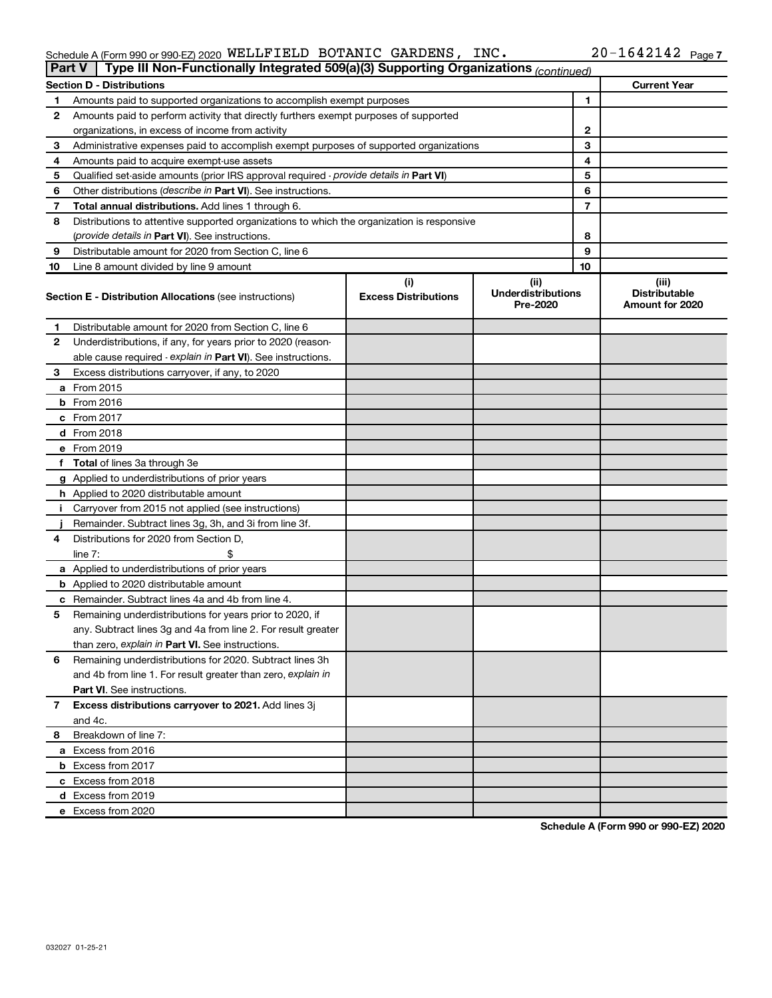### Schedule A (Form 990 or 990-EZ) 2020 WELLLFIELD BOTANIC GARDENS, INC.  $20-1042142$  Page WELLFIELD BOTANIC GARDENS, INC. 20-1642142

| <b>Part V</b> | Type III Non-Functionally Integrated 509(a)(3) Supporting Organizations (continued)        |                             |                                       |              |                                                |  |
|---------------|--------------------------------------------------------------------------------------------|-----------------------------|---------------------------------------|--------------|------------------------------------------------|--|
|               | <b>Section D - Distributions</b>                                                           |                             |                                       |              | <b>Current Year</b>                            |  |
| 1             | Amounts paid to supported organizations to accomplish exempt purposes                      |                             |                                       | $\mathbf{1}$ |                                                |  |
| 2             | Amounts paid to perform activity that directly furthers exempt purposes of supported       |                             |                                       |              |                                                |  |
|               | organizations, in excess of income from activity                                           |                             |                                       | $\mathbf{2}$ |                                                |  |
| 3             | Administrative expenses paid to accomplish exempt purposes of supported organizations      |                             |                                       | 3            |                                                |  |
| 4             | Amounts paid to acquire exempt-use assets                                                  |                             |                                       | 4            |                                                |  |
| 5             | Qualified set-aside amounts (prior IRS approval required - provide details in Part VI)     |                             |                                       | 5            |                                                |  |
| 6             | Other distributions ( <i>describe in Part VI</i> ). See instructions.                      |                             |                                       | 6            |                                                |  |
| 7             | Total annual distributions. Add lines 1 through 6.                                         |                             |                                       | 7            |                                                |  |
| 8             | Distributions to attentive supported organizations to which the organization is responsive |                             |                                       |              |                                                |  |
|               | (provide details in Part VI). See instructions.                                            |                             |                                       | 8            |                                                |  |
| 9             | Distributable amount for 2020 from Section C, line 6                                       |                             |                                       | 9            |                                                |  |
| 10            | Line 8 amount divided by line 9 amount                                                     |                             |                                       | 10           |                                                |  |
|               |                                                                                            | (i)                         | (ii)                                  |              | (iii)                                          |  |
|               | <b>Section E - Distribution Allocations (see instructions)</b>                             | <b>Excess Distributions</b> | <b>Underdistributions</b><br>Pre-2020 |              | <b>Distributable</b><br><b>Amount for 2020</b> |  |
| 1             | Distributable amount for 2020 from Section C, line 6                                       |                             |                                       |              |                                                |  |
| 2             | Underdistributions, if any, for years prior to 2020 (reason-                               |                             |                                       |              |                                                |  |
|               | able cause required - explain in Part VI). See instructions.                               |                             |                                       |              |                                                |  |
| 3             | Excess distributions carryover, if any, to 2020                                            |                             |                                       |              |                                                |  |
|               | a From 2015                                                                                |                             |                                       |              |                                                |  |
|               | <b>b</b> From 2016                                                                         |                             |                                       |              |                                                |  |
|               | c From 2017                                                                                |                             |                                       |              |                                                |  |
|               | d From 2018                                                                                |                             |                                       |              |                                                |  |
|               | e From 2019                                                                                |                             |                                       |              |                                                |  |
|               | f Total of lines 3a through 3e                                                             |                             |                                       |              |                                                |  |
|               | g Applied to underdistributions of prior years                                             |                             |                                       |              |                                                |  |
|               | h Applied to 2020 distributable amount                                                     |                             |                                       |              |                                                |  |
| Ť.            | Carryover from 2015 not applied (see instructions)                                         |                             |                                       |              |                                                |  |
|               | Remainder. Subtract lines 3g, 3h, and 3i from line 3f.                                     |                             |                                       |              |                                                |  |
| 4             | Distributions for 2020 from Section D,                                                     |                             |                                       |              |                                                |  |
|               | line $7:$                                                                                  |                             |                                       |              |                                                |  |
|               | a Applied to underdistributions of prior years                                             |                             |                                       |              |                                                |  |
|               | <b>b</b> Applied to 2020 distributable amount                                              |                             |                                       |              |                                                |  |
|               | c Remainder. Subtract lines 4a and 4b from line 4.                                         |                             |                                       |              |                                                |  |
| 5             | Remaining underdistributions for years prior to 2020, if                                   |                             |                                       |              |                                                |  |
|               | any. Subtract lines 3g and 4a from line 2. For result greater                              |                             |                                       |              |                                                |  |
|               | than zero, explain in Part VI. See instructions.                                           |                             |                                       |              |                                                |  |
| 6             | Remaining underdistributions for 2020. Subtract lines 3h                                   |                             |                                       |              |                                                |  |
|               | and 4b from line 1. For result greater than zero, explain in                               |                             |                                       |              |                                                |  |
|               | <b>Part VI.</b> See instructions.                                                          |                             |                                       |              |                                                |  |
| 7             | Excess distributions carryover to 2021. Add lines 3j                                       |                             |                                       |              |                                                |  |
|               | and 4c.                                                                                    |                             |                                       |              |                                                |  |
| 8             | Breakdown of line 7:                                                                       |                             |                                       |              |                                                |  |
|               | a Excess from 2016                                                                         |                             |                                       |              |                                                |  |
|               | <b>b</b> Excess from 2017                                                                  |                             |                                       |              |                                                |  |
|               | c Excess from 2018                                                                         |                             |                                       |              |                                                |  |
|               | d Excess from 2019                                                                         |                             |                                       |              |                                                |  |
|               | e Excess from 2020                                                                         |                             |                                       |              |                                                |  |

**Schedule A (Form 990 or 990-EZ) 2020**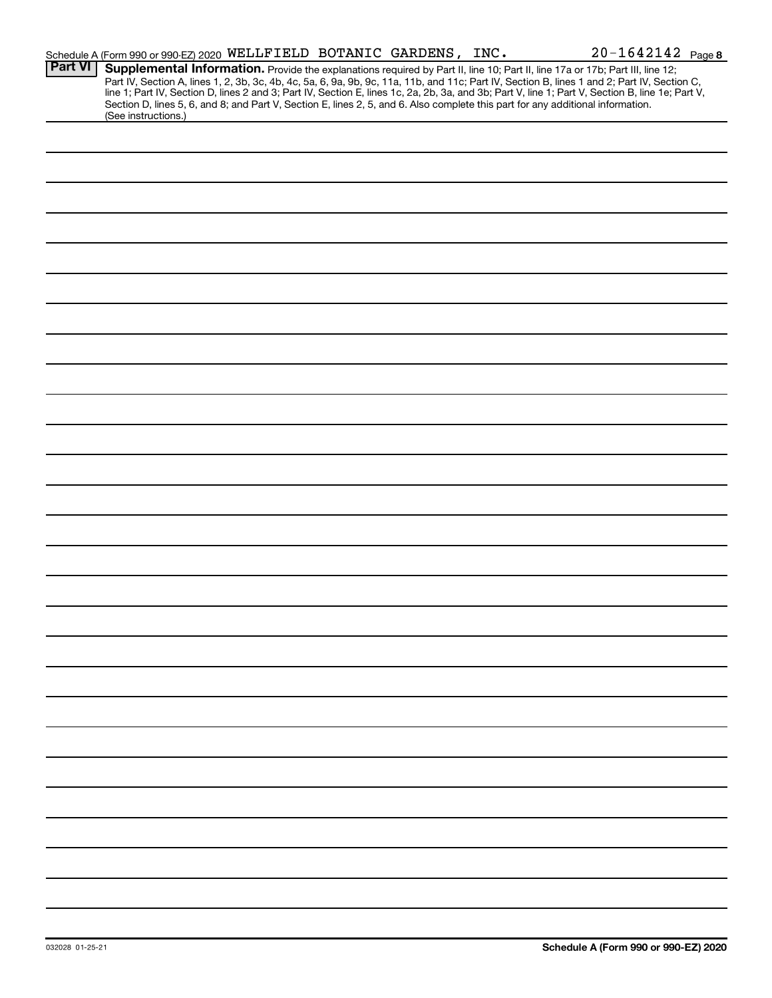|                | Schedule A (Form 990 or 990-EZ) 2020 WELLFIELD BOTANIC GARDENS, INC.                                                                                                                                                                                                                                                                                                                                                                                                                                                                                                                        |  | $20 - 1642142$ Page 8 |
|----------------|---------------------------------------------------------------------------------------------------------------------------------------------------------------------------------------------------------------------------------------------------------------------------------------------------------------------------------------------------------------------------------------------------------------------------------------------------------------------------------------------------------------------------------------------------------------------------------------------|--|-----------------------|
| <b>Part VI</b> | Supplemental Information. Provide the explanations required by Part II, line 10; Part II, line 17a or 17b; Part III, line 12;<br>Part IV, Section A, lines 1, 2, 3b, 3c, 4b, 4c, 5a, 6, 9a, 9b, 9c, 11a, 11b, and 11c; Part IV, Section B, lines 1 and 2; Part IV, Section C,<br>line 1; Part IV, Section D, lines 2 and 3; Part IV, Section E, lines 1c, 2a, 2b, 3a, and 3b; Part V, line 1; Part V, Section B, line 1e; Part V,<br>Section D, lines 5, 6, and 8; and Part V, Section E, lines 2, 5, and 6. Also complete this part for any additional information.<br>(See instructions.) |  |                       |
|                |                                                                                                                                                                                                                                                                                                                                                                                                                                                                                                                                                                                             |  |                       |
|                |                                                                                                                                                                                                                                                                                                                                                                                                                                                                                                                                                                                             |  |                       |
|                |                                                                                                                                                                                                                                                                                                                                                                                                                                                                                                                                                                                             |  |                       |
|                |                                                                                                                                                                                                                                                                                                                                                                                                                                                                                                                                                                                             |  |                       |
|                |                                                                                                                                                                                                                                                                                                                                                                                                                                                                                                                                                                                             |  |                       |
|                |                                                                                                                                                                                                                                                                                                                                                                                                                                                                                                                                                                                             |  |                       |
|                |                                                                                                                                                                                                                                                                                                                                                                                                                                                                                                                                                                                             |  |                       |
|                |                                                                                                                                                                                                                                                                                                                                                                                                                                                                                                                                                                                             |  |                       |
|                |                                                                                                                                                                                                                                                                                                                                                                                                                                                                                                                                                                                             |  |                       |
|                |                                                                                                                                                                                                                                                                                                                                                                                                                                                                                                                                                                                             |  |                       |
|                |                                                                                                                                                                                                                                                                                                                                                                                                                                                                                                                                                                                             |  |                       |
|                |                                                                                                                                                                                                                                                                                                                                                                                                                                                                                                                                                                                             |  |                       |
|                |                                                                                                                                                                                                                                                                                                                                                                                                                                                                                                                                                                                             |  |                       |
|                |                                                                                                                                                                                                                                                                                                                                                                                                                                                                                                                                                                                             |  |                       |
|                |                                                                                                                                                                                                                                                                                                                                                                                                                                                                                                                                                                                             |  |                       |
|                |                                                                                                                                                                                                                                                                                                                                                                                                                                                                                                                                                                                             |  |                       |
|                |                                                                                                                                                                                                                                                                                                                                                                                                                                                                                                                                                                                             |  |                       |
|                |                                                                                                                                                                                                                                                                                                                                                                                                                                                                                                                                                                                             |  |                       |
|                |                                                                                                                                                                                                                                                                                                                                                                                                                                                                                                                                                                                             |  |                       |
|                |                                                                                                                                                                                                                                                                                                                                                                                                                                                                                                                                                                                             |  |                       |
|                |                                                                                                                                                                                                                                                                                                                                                                                                                                                                                                                                                                                             |  |                       |
|                |                                                                                                                                                                                                                                                                                                                                                                                                                                                                                                                                                                                             |  |                       |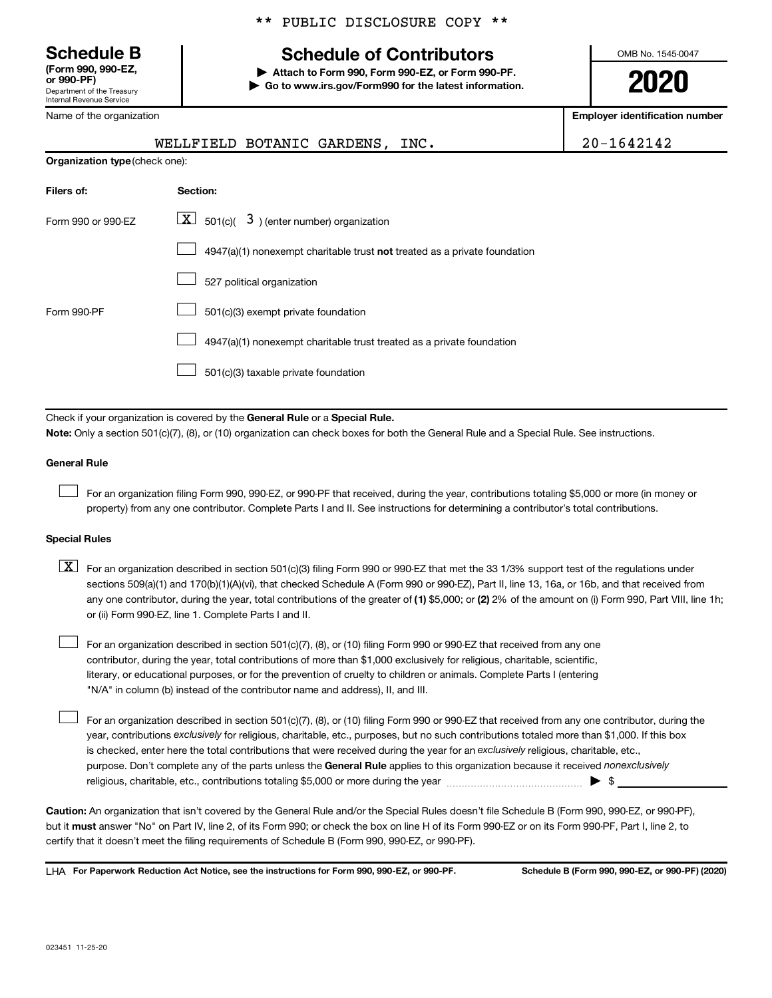**(Form 990, 990-EZ,**

Department of the Treasury Internal Revenue Service

Name of the organization

## **Schedule B Schedule of Contributors**

**or 990-PF) | Attach to Form 990, Form 990-EZ, or Form 990-PF. | Go to www.irs.gov/Form990 for the latest information.** OMB No. 1545-0047

**2020**

**Employer identification number**

| ivallic VI the Vigaliization   |                                                                                                                                                                                                                                                                                                                                                                                                                                                                                                           | Linpioyer iuentincation numbe |  |  |  |  |  |
|--------------------------------|-----------------------------------------------------------------------------------------------------------------------------------------------------------------------------------------------------------------------------------------------------------------------------------------------------------------------------------------------------------------------------------------------------------------------------------------------------------------------------------------------------------|-------------------------------|--|--|--|--|--|
|                                | $20 - 1642142$                                                                                                                                                                                                                                                                                                                                                                                                                                                                                            |                               |  |  |  |  |  |
| Organization type (check one): |                                                                                                                                                                                                                                                                                                                                                                                                                                                                                                           |                               |  |  |  |  |  |
| Filers of:                     | Section:                                                                                                                                                                                                                                                                                                                                                                                                                                                                                                  |                               |  |  |  |  |  |
| Form 990 or 990-EZ             | $\lfloor x \rfloor$ 501(c)( 3) (enter number) organization                                                                                                                                                                                                                                                                                                                                                                                                                                                |                               |  |  |  |  |  |
|                                | 4947(a)(1) nonexempt charitable trust not treated as a private foundation                                                                                                                                                                                                                                                                                                                                                                                                                                 |                               |  |  |  |  |  |
|                                | 527 political organization                                                                                                                                                                                                                                                                                                                                                                                                                                                                                |                               |  |  |  |  |  |
| Form 990-PF                    | 501(c)(3) exempt private foundation                                                                                                                                                                                                                                                                                                                                                                                                                                                                       |                               |  |  |  |  |  |
|                                | 4947(a)(1) nonexempt charitable trust treated as a private foundation                                                                                                                                                                                                                                                                                                                                                                                                                                     |                               |  |  |  |  |  |
|                                | 501(c)(3) taxable private foundation                                                                                                                                                                                                                                                                                                                                                                                                                                                                      |                               |  |  |  |  |  |
|                                |                                                                                                                                                                                                                                                                                                                                                                                                                                                                                                           |                               |  |  |  |  |  |
|                                | Check if your organization is covered by the General Rule or a Special Rule.<br>Note: Only a section 501(c)(7), (8), or (10) organization can check boxes for both the General Rule and a Special Rule. See instructions.                                                                                                                                                                                                                                                                                 |                               |  |  |  |  |  |
| <b>General Rule</b>            |                                                                                                                                                                                                                                                                                                                                                                                                                                                                                                           |                               |  |  |  |  |  |
|                                | For an organization filing Form 990, 990-EZ, or 990-PF that received, during the year, contributions totaling \$5,000 or more (in money or<br>property) from any one contributor. Complete Parts I and II. See instructions for determining a contributor's total contributions.                                                                                                                                                                                                                          |                               |  |  |  |  |  |
| <b>Special Rules</b>           |                                                                                                                                                                                                                                                                                                                                                                                                                                                                                                           |                               |  |  |  |  |  |
| $\lfloor x \rfloor$            | For an organization described in section 501(c)(3) filing Form 990 or 990-EZ that met the 33 1/3% support test of the regulations under<br>sections 509(a)(1) and 170(b)(1)(A)(vi), that checked Schedule A (Form 990 or 990-EZ), Part II, line 13, 16a, or 16b, and that received from<br>any one contributor, during the year, total contributions of the greater of (1) \$5,000; or (2) 2% of the amount on (i) Form 990, Part VIII, line 1h;<br>or (ii) Form 990-EZ, line 1. Complete Parts I and II. |                               |  |  |  |  |  |
|                                | For an organization described in section 501(c)(7), (8), or (10) filing Form 990 or 990-EZ that received from any one<br>contributor, during the year, total contributions of more than \$1,000 exclusively for religious, charitable, scientific,<br>literary, or educational purposes, or for the prevention of cruelty to children or animals. Complete Parts I (entering<br>"N/A" in column (b) instead of the contributor name and address), II, and III.                                            |                               |  |  |  |  |  |

purpose. Don't complete any of the parts unless the General Rule applies to this organization because it received nonexclusively year, contributions exclusively for religious, charitable, etc., purposes, but no such contributions totaled more than \$1,000. If this box is checked, enter here the total contributions that were received during the year for an exclusively religious, charitable, etc., For an organization described in section 501(c)(7), (8), or (10) filing Form 990 or 990-EZ that received from any one contributor, during the religious, charitable, etc., contributions totaling \$5,000 or more during the year  $\ldots$  $\ldots$  $\ldots$  $\ldots$  $\ldots$  $\ldots$  $\Box$ 

**Caution:**  An organization that isn't covered by the General Rule and/or the Special Rules doesn't file Schedule B (Form 990, 990-EZ, or 990-PF),  **must** but it answer "No" on Part IV, line 2, of its Form 990; or check the box on line H of its Form 990-EZ or on its Form 990-PF, Part I, line 2, to certify that it doesn't meet the filing requirements of Schedule B (Form 990, 990-EZ, or 990-PF).

**For Paperwork Reduction Act Notice, see the instructions for Form 990, 990-EZ, or 990-PF. Schedule B (Form 990, 990-EZ, or 990-PF) (2020)** LHA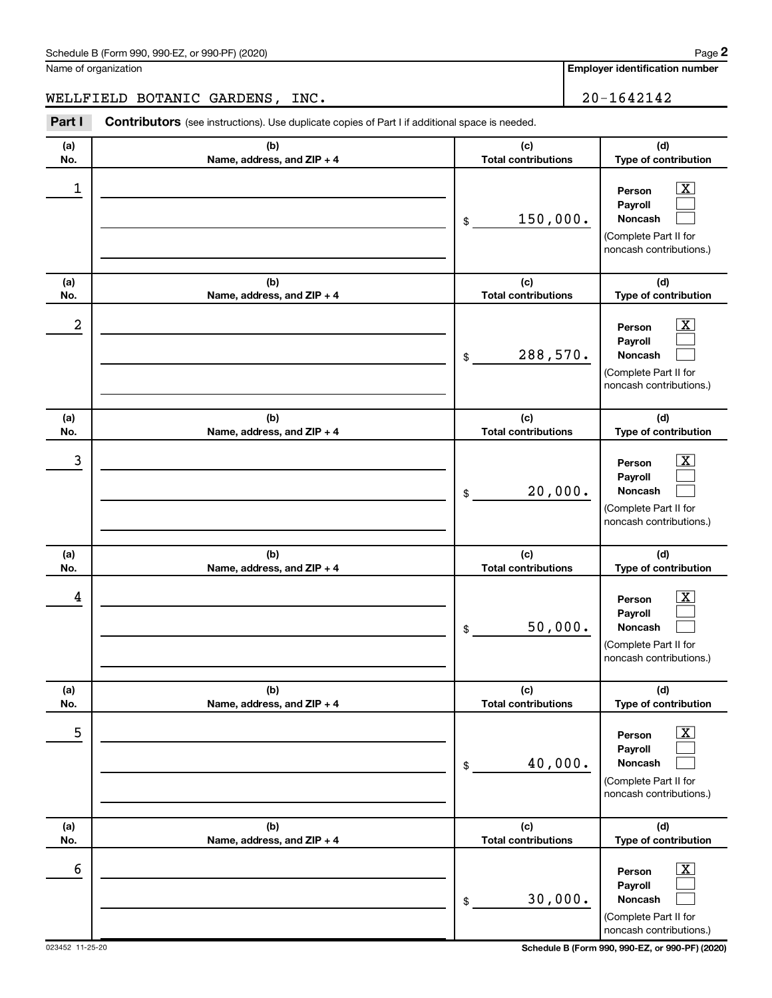Name of organization

**Employer identification number**

WELLFIELD BOTANIC GARDENS, INC.  $\vert$  20-1642142

**(a) No. (b) Name, address, and ZIP + 4 (c) Total contributions (d) Type of contribution Person Payroll Noncash (a) No. (b) Name, address, and ZIP + 4 (c) Total contributions (d) Type of contribution Person Payroll Noncash (a) No. (b) Name, address, and ZIP + 4 (c) Total contributions (d) Type of contribution Person Payroll Noncash (a) No. (b) Name, address, and ZIP + 4 (c) Total contributions (d) Type of contribution Person Payroll Noncash (a) No. (b) Name, address, and ZIP + 4 (c) Total contributions (d) Type of contribution Person Payroll Noncash (a) No. (b) Name, address, and ZIP + 4 (c) Total contributions (d) Type of contribution Person Payroll Noncash Part I** Contributors (see instructions). Use duplicate copies of Part I if additional space is needed. \$ (Complete Part II for noncash contributions.) \$ (Complete Part II for noncash contributions.) \$ (Complete Part II for noncash contributions.) \$ (Complete Part II for noncash contributions.) \$ (Complete Part II for noncash contributions.) \$ (Complete Part II for  $\lfloor x \rfloor$  $\Box$  $\Box$  $\overline{\mathbf{X}}$  $\Box$  $\Box$  $\boxed{\textbf{X}}$  $\Box$  $\Box$  $\boxed{\textbf{X}}$  $\Box$  $\Box$  $\boxed{\text{X}}$  $\Box$  $\Box$  $\boxed{\text{X}}$  $\Box$  $\Box$  $\begin{array}{|c|c|c|c|c|}\hline \ \text{1} & \text{Person} & \text{X} \ \hline \end{array}$ 150,000.  $2$  Person  $\overline{\text{X}}$ 288,570.  $\begin{array}{|c|c|c|c|c|c|}\hline \text{3} & \text{Person} & \text{X} \ \hline \end{array}$ 20,000.  $\begin{array}{|c|c|c|c|c|}\hline \text{4} & \text{Person} & \text{\textbf{X}}\ \hline \end{array}$ 50,000. 5 X 40,000.  $\overline{6}$  Person  $\overline{X}$ 30,000.

023452 11-25-20 **Schedule B (Form 990, 990-EZ, or 990-PF) (2020)** noncash contributions.)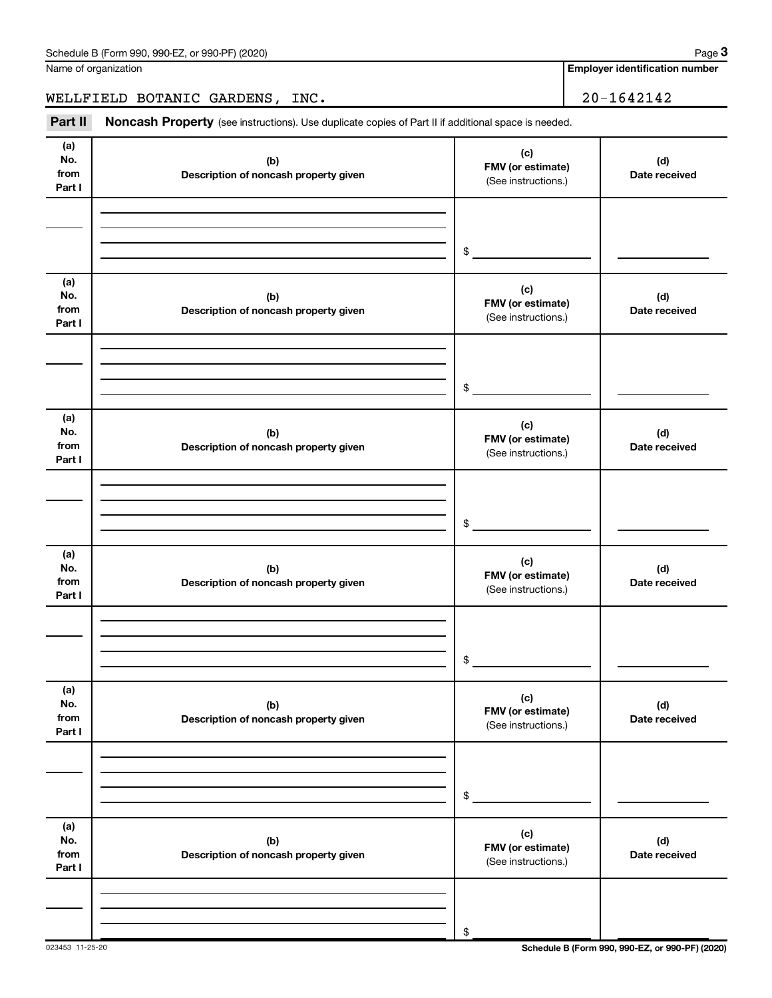Name of organization

**Employer identification number**

WELLFIELD BOTANIC GARDENS, INC. 20-1642142

Part II Noncash Property (see instructions). Use duplicate copies of Part II if additional space is needed.

| (a)<br>No.<br>from<br>Part I | (b)<br>Description of noncash property given | (c)<br>FMV (or estimate)<br>(See instructions.) | (d)<br>Date received |
|------------------------------|----------------------------------------------|-------------------------------------------------|----------------------|
|                              |                                              | $\frac{1}{2}$                                   |                      |
| (a)<br>No.<br>from<br>Part I | (b)<br>Description of noncash property given | (c)<br>FMV (or estimate)<br>(See instructions.) | (d)<br>Date received |
|                              |                                              | $\frac{1}{2}$                                   |                      |
| (a)<br>No.<br>from<br>Part I | (b)<br>Description of noncash property given | (c)<br>FMV (or estimate)<br>(See instructions.) | (d)<br>Date received |
|                              |                                              | $\frac{1}{2}$                                   |                      |
| (a)<br>No.<br>from<br>Part I | (b)<br>Description of noncash property given | (c)<br>FMV (or estimate)<br>(See instructions.) | (d)<br>Date received |
|                              |                                              | $\frac{1}{2}$                                   |                      |
| (a)<br>No.<br>from<br>Part I | (b)<br>Description of noncash property given | (c)<br>FMV (or estimate)<br>(See instructions.) | (d)<br>Date received |
|                              |                                              | $\,$                                            |                      |
| (a)<br>No.<br>from<br>Part I | (b)<br>Description of noncash property given | (c)<br>FMV (or estimate)<br>(See instructions.) | (d)<br>Date received |
|                              |                                              | \$                                              |                      |

023453 11-25-20 **Schedule B (Form 990, 990-EZ, or 990-PF) (2020)**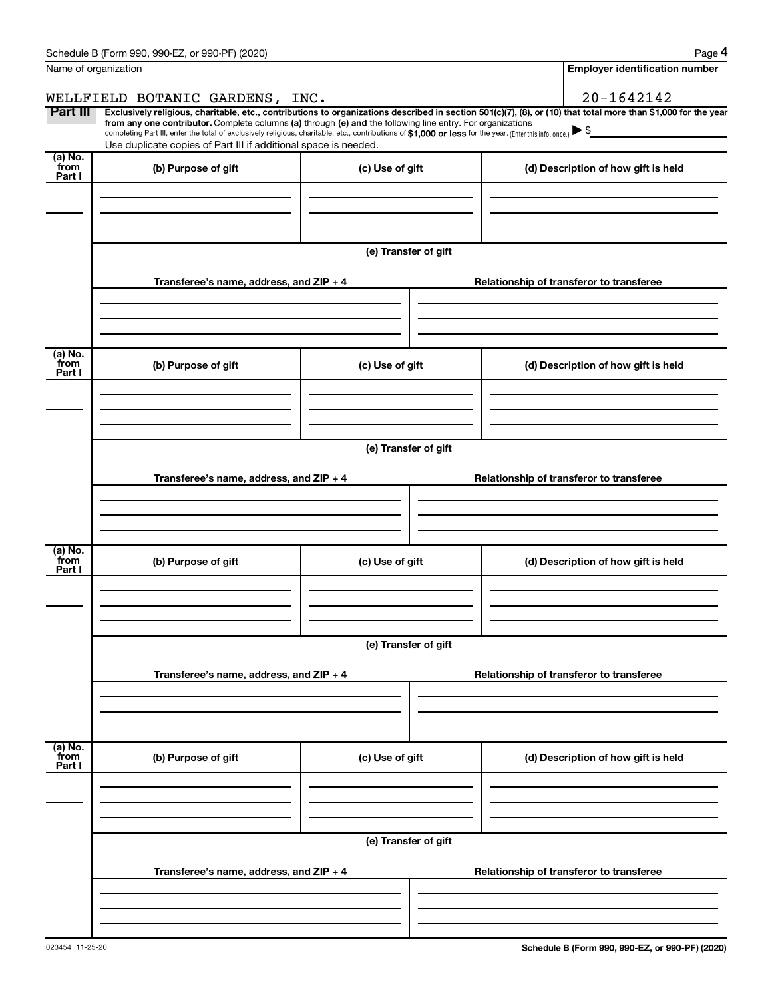|                           | Schedule B (Form 990, 990-EZ, or 990-PF) (2020)                                                                                                                                                                                                                                                 |                                       | Page 4                                                                                                                                                         |  |  |  |
|---------------------------|-------------------------------------------------------------------------------------------------------------------------------------------------------------------------------------------------------------------------------------------------------------------------------------------------|---------------------------------------|----------------------------------------------------------------------------------------------------------------------------------------------------------------|--|--|--|
|                           | Name of organization                                                                                                                                                                                                                                                                            | <b>Employer identification number</b> |                                                                                                                                                                |  |  |  |
|                           | WELLFIELD BOTANIC GARDENS, INC.                                                                                                                                                                                                                                                                 |                                       | 20-1642142                                                                                                                                                     |  |  |  |
| Part III                  | from any one contributor. Complete columns (a) through (e) and the following line entry. For organizations<br>completing Part III, enter the total of exclusively religious, charitable, etc., contributions of \$1,000 or less for the year. (Enter this info. once.) $\blacktriangleright$ \$ |                                       | Exclusively religious, charitable, etc., contributions to organizations described in section 501(c)(7), (8), or (10) that total more than \$1,000 for the year |  |  |  |
|                           | Use duplicate copies of Part III if additional space is needed.                                                                                                                                                                                                                                 |                                       |                                                                                                                                                                |  |  |  |
| (a) No.<br>from<br>Part I | (b) Purpose of gift                                                                                                                                                                                                                                                                             | (c) Use of gift                       | (d) Description of how gift is held                                                                                                                            |  |  |  |
|                           |                                                                                                                                                                                                                                                                                                 |                                       |                                                                                                                                                                |  |  |  |
|                           |                                                                                                                                                                                                                                                                                                 | (e) Transfer of gift                  |                                                                                                                                                                |  |  |  |
|                           | Transferee's name, address, and ZIP + 4                                                                                                                                                                                                                                                         |                                       | Relationship of transferor to transferee                                                                                                                       |  |  |  |
| (a) No.                   |                                                                                                                                                                                                                                                                                                 |                                       |                                                                                                                                                                |  |  |  |
| from<br>Part I            | (b) Purpose of gift                                                                                                                                                                                                                                                                             | (c) Use of gift                       | (d) Description of how gift is held                                                                                                                            |  |  |  |
|                           |                                                                                                                                                                                                                                                                                                 |                                       |                                                                                                                                                                |  |  |  |
|                           | (e) Transfer of gift                                                                                                                                                                                                                                                                            |                                       |                                                                                                                                                                |  |  |  |
|                           | Transferee's name, address, and ZIP + 4                                                                                                                                                                                                                                                         |                                       | Relationship of transferor to transferee                                                                                                                       |  |  |  |
|                           |                                                                                                                                                                                                                                                                                                 |                                       |                                                                                                                                                                |  |  |  |
| (a) No.<br>from<br>Part I | (b) Purpose of gift                                                                                                                                                                                                                                                                             | (c) Use of gift                       | (d) Description of how gift is held                                                                                                                            |  |  |  |
|                           |                                                                                                                                                                                                                                                                                                 |                                       |                                                                                                                                                                |  |  |  |
|                           |                                                                                                                                                                                                                                                                                                 | (e) Transfer of gift                  |                                                                                                                                                                |  |  |  |
|                           | Transferee's name, address, and ZIP + 4                                                                                                                                                                                                                                                         |                                       | Relationship of transferor to transferee                                                                                                                       |  |  |  |
|                           |                                                                                                                                                                                                                                                                                                 |                                       |                                                                                                                                                                |  |  |  |
| (a) No.<br>from<br>Part I | (b) Purpose of gift                                                                                                                                                                                                                                                                             | (c) Use of gift                       | (d) Description of how gift is held                                                                                                                            |  |  |  |
|                           |                                                                                                                                                                                                                                                                                                 |                                       |                                                                                                                                                                |  |  |  |
|                           |                                                                                                                                                                                                                                                                                                 | (e) Transfer of gift                  |                                                                                                                                                                |  |  |  |
|                           | Transferee's name, address, and ZIP + 4                                                                                                                                                                                                                                                         |                                       | Relationship of transferor to transferee                                                                                                                       |  |  |  |
|                           |                                                                                                                                                                                                                                                                                                 |                                       |                                                                                                                                                                |  |  |  |
|                           |                                                                                                                                                                                                                                                                                                 |                                       |                                                                                                                                                                |  |  |  |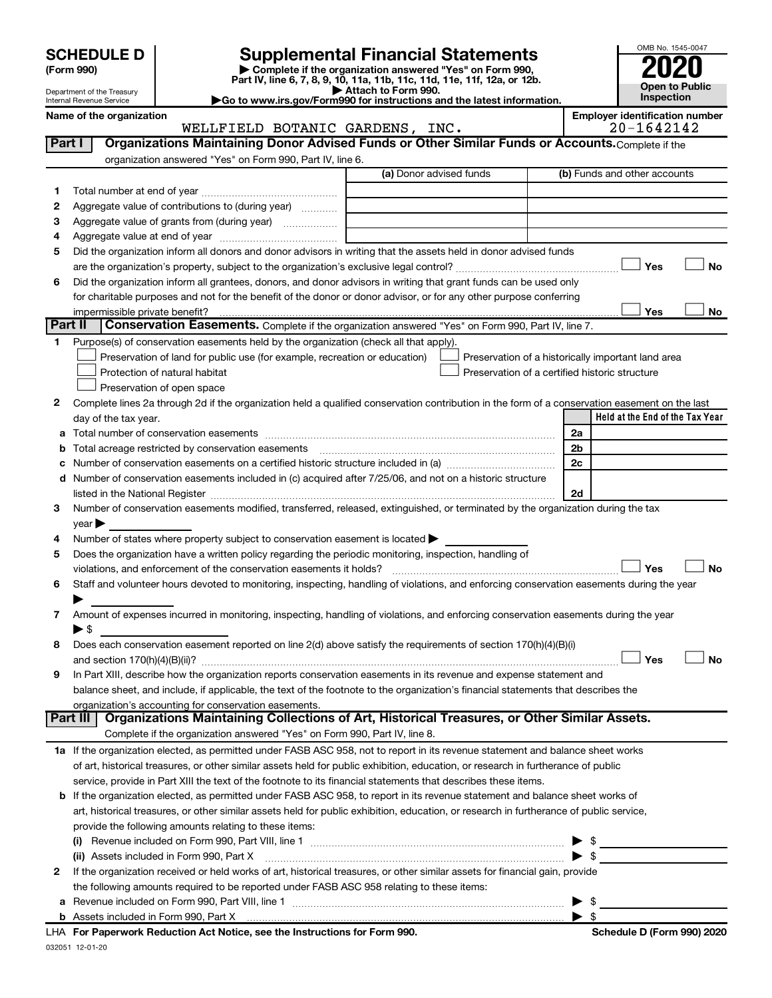Department of the Treasury Internal Revenue Service

| (Form 990) |
|------------|
|------------|

032051 12-01-20

# **SCHEDULE D Supplemental Financial Statements**<br> **Form 990 2020**<br> **Part IV** line 6.7.8.9.10, 11a, 11b, 11d, 11d, 11d, 11d, 11d, 12a, 0r, 12b

**(Form 990) | Complete if the organization answered "Yes" on Form 990, Part IV, line 6, 7, 8, 9, 10, 11a, 11b, 11c, 11d, 11e, 11f, 12a, or 12b.**

**| Attach to Form 990. |Go to www.irs.gov/Form990 for instructions and the latest information.**



Name of the organization<br>**WELLFIELD BOTANIC GARDENS, INC. Employer identification number**<br>20-1642142 WELLFIELD BOTANIC GARDENS, INC.

| Part I       | Organizations Maintaining Donor Advised Funds or Other Similar Funds or Accounts. Complete if the                                              |                         |                                                    |
|--------------|------------------------------------------------------------------------------------------------------------------------------------------------|-------------------------|----------------------------------------------------|
|              | organization answered "Yes" on Form 990, Part IV, line 6.                                                                                      | (a) Donor advised funds | (b) Funds and other accounts                       |
| 1            |                                                                                                                                                |                         |                                                    |
| 2            | Aggregate value of contributions to (during year)                                                                                              |                         |                                                    |
| 3            | Aggregate value of grants from (during year)                                                                                                   |                         |                                                    |
| 4            |                                                                                                                                                |                         |                                                    |
| 5            | Did the organization inform all donors and donor advisors in writing that the assets held in donor advised funds                               |                         |                                                    |
|              |                                                                                                                                                |                         | <b>No</b><br>Yes                                   |
| 6            | Did the organization inform all grantees, donors, and donor advisors in writing that grant funds can be used only                              |                         |                                                    |
|              | for charitable purposes and not for the benefit of the donor or donor advisor, or for any other purpose conferring                             |                         |                                                    |
|              |                                                                                                                                                |                         | Yes<br>No                                          |
| Part II      | Conservation Easements. Complete if the organization answered "Yes" on Form 990, Part IV, line 7.                                              |                         |                                                    |
| 1            | Purpose(s) of conservation easements held by the organization (check all that apply).                                                          |                         |                                                    |
|              | Preservation of land for public use (for example, recreation or education)                                                                     |                         | Preservation of a historically important land area |
|              | Protection of natural habitat                                                                                                                  |                         | Preservation of a certified historic structure     |
|              | Preservation of open space                                                                                                                     |                         |                                                    |
| 2            | Complete lines 2a through 2d if the organization held a qualified conservation contribution in the form of a conservation easement on the last |                         |                                                    |
|              | day of the tax year.                                                                                                                           |                         | Held at the End of the Tax Year                    |
|              |                                                                                                                                                |                         | 2a                                                 |
| b            | Total acreage restricted by conservation easements [11] [12] manufactured acreage restricted by conservation easements                         |                         | 2 <sub>b</sub>                                     |
|              |                                                                                                                                                |                         | 2c                                                 |
|              | d Number of conservation easements included in (c) acquired after 7/25/06, and not on a historic structure                                     |                         |                                                    |
|              |                                                                                                                                                |                         | 2d                                                 |
| 3            | Number of conservation easements modified, transferred, released, extinguished, or terminated by the organization during the tax               |                         |                                                    |
|              | year                                                                                                                                           |                         |                                                    |
| 4            | Number of states where property subject to conservation easement is located >                                                                  |                         |                                                    |
| 5            | Does the organization have a written policy regarding the periodic monitoring, inspection, handling of                                         |                         |                                                    |
|              | violations, and enforcement of the conservation easements it holds?                                                                            |                         | Yes<br><b>No</b>                                   |
| 6            | Staff and volunteer hours devoted to monitoring, inspecting, handling of violations, and enforcing conservation easements during the year      |                         |                                                    |
|              |                                                                                                                                                |                         |                                                    |
| 7            | Amount of expenses incurred in monitoring, inspecting, handling of violations, and enforcing conservation easements during the year            |                         |                                                    |
|              | $\blacktriangleright$ \$                                                                                                                       |                         |                                                    |
| 8            | Does each conservation easement reported on line 2(d) above satisfy the requirements of section 170(h)(4)(B)(i)                                |                         |                                                    |
|              |                                                                                                                                                |                         | Yes<br><b>No</b>                                   |
| 9            | In Part XIII, describe how the organization reports conservation easements in its revenue and expense statement and                            |                         |                                                    |
|              | balance sheet, and include, if applicable, the text of the footnote to the organization's financial statements that describes the              |                         |                                                    |
|              | organization's accounting for conservation easements.                                                                                          |                         |                                                    |
|              | Organizations Maintaining Collections of Art, Historical Treasures, or Other Similar Assets.<br>Part III                                       |                         |                                                    |
|              | Complete if the organization answered "Yes" on Form 990, Part IV, line 8.                                                                      |                         |                                                    |
|              | 1a If the organization elected, as permitted under FASB ASC 958, not to report in its revenue statement and balance sheet works                |                         |                                                    |
|              | of art, historical treasures, or other similar assets held for public exhibition, education, or research in furtherance of public              |                         |                                                    |
|              | service, provide in Part XIII the text of the footnote to its financial statements that describes these items.                                 |                         |                                                    |
|              | b If the organization elected, as permitted under FASB ASC 958, to report in its revenue statement and balance sheet works of                  |                         |                                                    |
|              | art, historical treasures, or other similar assets held for public exhibition, education, or research in furtherance of public service,        |                         |                                                    |
|              | provide the following amounts relating to these items:                                                                                         |                         |                                                    |
|              |                                                                                                                                                |                         | $\triangleright$ \$                                |
|              | (ii) Assets included in Form 990, Part X                                                                                                       |                         | $\blacktriangleright$ \$                           |
| $\mathbf{2}$ | If the organization received or held works of art, historical treasures, or other similar assets for financial gain, provide                   |                         |                                                    |
|              | the following amounts required to be reported under FASB ASC 958 relating to these items:                                                      |                         |                                                    |
|              |                                                                                                                                                |                         | - \$<br>▶                                          |
|              | LHA For Paperwork Reduction Act Notice, see the Instructions for Form 990.                                                                     |                         |                                                    |
|              |                                                                                                                                                |                         | Schedule D (Form 990) 2020                         |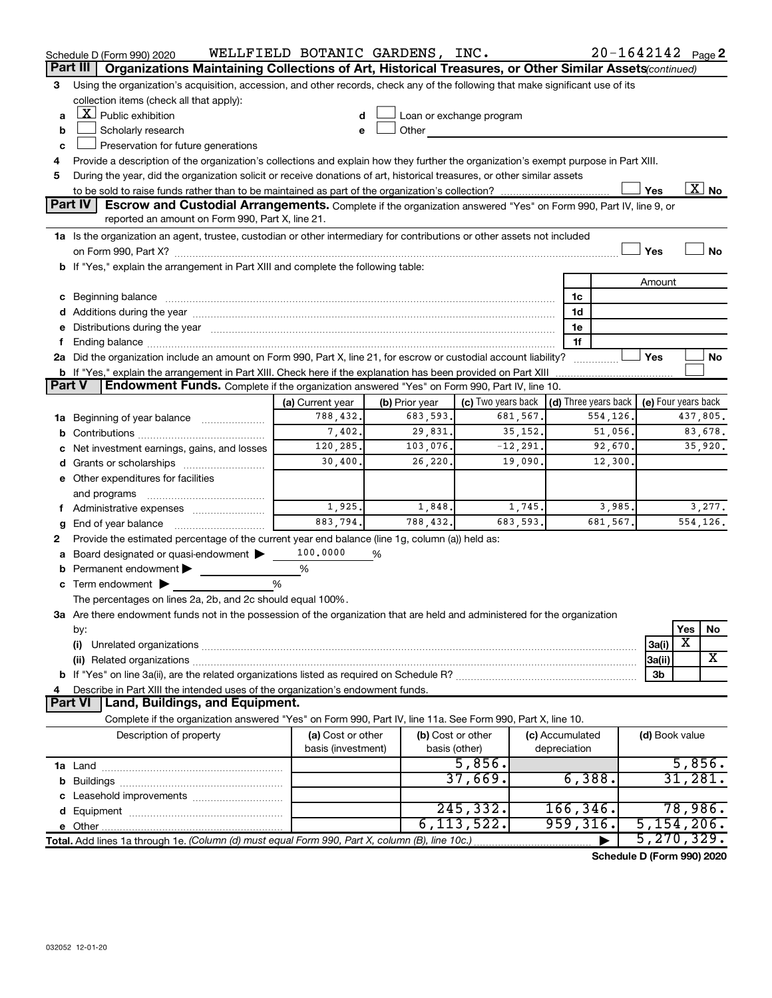|               | Schedule D (Form 990) 2020                                                                                                                                                                                                     | WELLFIELD BOTANIC GARDENS, INC.         |                   |                                                                                                                                                                                                                                |                                 |          | 20-1642142 Page 2   |          |                          |
|---------------|--------------------------------------------------------------------------------------------------------------------------------------------------------------------------------------------------------------------------------|-----------------------------------------|-------------------|--------------------------------------------------------------------------------------------------------------------------------------------------------------------------------------------------------------------------------|---------------------------------|----------|---------------------|----------|--------------------------|
|               | Organizations Maintaining Collections of Art, Historical Treasures, or Other Similar Assets (continued)<br>Part III                                                                                                            |                                         |                   |                                                                                                                                                                                                                                |                                 |          |                     |          |                          |
| 3             | Using the organization's acquisition, accession, and other records, check any of the following that make significant use of its                                                                                                |                                         |                   |                                                                                                                                                                                                                                |                                 |          |                     |          |                          |
|               | collection items (check all that apply):                                                                                                                                                                                       |                                         |                   |                                                                                                                                                                                                                                |                                 |          |                     |          |                          |
| a             | $\lfloor \mathbf{X} \rfloor$ Public exhibition                                                                                                                                                                                 |                                         |                   | Loan or exchange program                                                                                                                                                                                                       |                                 |          |                     |          |                          |
| b             | Scholarly research                                                                                                                                                                                                             | e                                       |                   | Other the contract of the contract of the contract of the contract of the contract of the contract of the contract of the contract of the contract of the contract of the contract of the contract of the contract of the cont |                                 |          |                     |          |                          |
| c             | Preservation for future generations                                                                                                                                                                                            |                                         |                   |                                                                                                                                                                                                                                |                                 |          |                     |          |                          |
| 4             | Provide a description of the organization's collections and explain how they further the organization's exempt purpose in Part XIII.                                                                                           |                                         |                   |                                                                                                                                                                                                                                |                                 |          |                     |          |                          |
| 5             | During the year, did the organization solicit or receive donations of art, historical treasures, or other similar assets                                                                                                       |                                         |                   |                                                                                                                                                                                                                                |                                 |          |                     |          |                          |
|               | <b>Part IV</b>                                                                                                                                                                                                                 |                                         |                   |                                                                                                                                                                                                                                |                                 |          | Yes                 |          | $\overline{\text{X}}$ No |
|               | <b>Escrow and Custodial Arrangements.</b> Complete if the organization answered "Yes" on Form 990, Part IV, line 9, or<br>reported an amount on Form 990, Part X, line 21.                                                     |                                         |                   |                                                                                                                                                                                                                                |                                 |          |                     |          |                          |
|               |                                                                                                                                                                                                                                |                                         |                   |                                                                                                                                                                                                                                |                                 |          |                     |          |                          |
|               | 1a Is the organization an agent, trustee, custodian or other intermediary for contributions or other assets not included                                                                                                       |                                         |                   |                                                                                                                                                                                                                                |                                 |          | Yes                 |          | <b>No</b>                |
|               | b If "Yes," explain the arrangement in Part XIII and complete the following table:                                                                                                                                             |                                         |                   |                                                                                                                                                                                                                                |                                 |          |                     |          |                          |
|               |                                                                                                                                                                                                                                |                                         |                   |                                                                                                                                                                                                                                |                                 |          | Amount              |          |                          |
|               |                                                                                                                                                                                                                                |                                         |                   |                                                                                                                                                                                                                                | 1c                              |          |                     |          |                          |
|               | c Beginning balance measurements and the contract of the contract of the contract of the contract of the contract of the contract of the contract of the contract of the contract of the contract of the contract of the contr |                                         |                   |                                                                                                                                                                                                                                | 1d                              |          |                     |          |                          |
|               | e Distributions during the year manufactured and continuum and contact the year manufactured and contact the year manufactured and contact the year manufactured and contact the year manufactured and contact the year manufa |                                         |                   |                                                                                                                                                                                                                                | 1e                              |          |                     |          |                          |
|               |                                                                                                                                                                                                                                |                                         |                   |                                                                                                                                                                                                                                | 1f                              |          |                     |          |                          |
|               | 2a Did the organization include an amount on Form 990, Part X, line 21, for escrow or custodial account liability?                                                                                                             |                                         |                   |                                                                                                                                                                                                                                |                                 |          | Yes                 |          | No                       |
|               |                                                                                                                                                                                                                                |                                         |                   |                                                                                                                                                                                                                                |                                 |          |                     |          |                          |
| <b>Part V</b> | <b>Endowment Funds.</b> Complete if the organization answered "Yes" on Form 990, Part IV, line 10.                                                                                                                             |                                         |                   |                                                                                                                                                                                                                                |                                 |          |                     |          |                          |
|               |                                                                                                                                                                                                                                | (a) Current year                        | (b) Prior year    | (c) Two years back $\vert$ (d) Three years back $\vert$                                                                                                                                                                        |                                 |          | (e) Four years back |          |                          |
|               | 1a Beginning of year balance                                                                                                                                                                                                   | 788,432.                                | 683,593.          | 681,567.                                                                                                                                                                                                                       |                                 | 554,126. |                     | 437,805. |                          |
|               |                                                                                                                                                                                                                                | 7,402.                                  | 29,831.           | 35, 152.                                                                                                                                                                                                                       |                                 | 51,056.  |                     |          | 83,678.                  |
|               | c Net investment earnings, gains, and losses                                                                                                                                                                                   | 120,285.                                | 103,076.          | $-12, 291.$                                                                                                                                                                                                                    |                                 | 92,670.  |                     |          | 35,920.                  |
|               | d Grants or scholarships                                                                                                                                                                                                       | 30,400.                                 | 26, 220.          | 19,090.                                                                                                                                                                                                                        |                                 | 12,300.  |                     |          |                          |
|               | e Other expenditures for facilities                                                                                                                                                                                            |                                         |                   |                                                                                                                                                                                                                                |                                 |          |                     |          |                          |
|               | and programs                                                                                                                                                                                                                   |                                         |                   |                                                                                                                                                                                                                                |                                 |          |                     |          |                          |
|               | f Administrative expenses                                                                                                                                                                                                      | 1,925.                                  | 1,848.            | 1,745.                                                                                                                                                                                                                         |                                 | 3,985.   |                     |          | 3,277.                   |
| g             |                                                                                                                                                                                                                                | 883,794.                                | 788,432.          | 683,593.                                                                                                                                                                                                                       |                                 | 681,567. |                     | 554,126. |                          |
| 2             | Provide the estimated percentage of the current year end balance (line 1g, column (a)) held as:                                                                                                                                |                                         |                   |                                                                                                                                                                                                                                |                                 |          |                     |          |                          |
|               | a Board designated or quasi-endowment >                                                                                                                                                                                        | 100,0000                                | %                 |                                                                                                                                                                                                                                |                                 |          |                     |          |                          |
|               | <b>b</b> Permanent endowment $\blacktriangleright$                                                                                                                                                                             | %                                       |                   |                                                                                                                                                                                                                                |                                 |          |                     |          |                          |
|               | $\mathbf c$ Term endowment $\blacktriangleright$                                                                                                                                                                               | %                                       |                   |                                                                                                                                                                                                                                |                                 |          |                     |          |                          |
|               | The percentages on lines 2a, 2b, and 2c should equal 100%.                                                                                                                                                                     |                                         |                   |                                                                                                                                                                                                                                |                                 |          |                     |          |                          |
|               | 3a Are there endowment funds not in the possession of the organization that are held and administered for the organization                                                                                                     |                                         |                   |                                                                                                                                                                                                                                |                                 |          |                     |          |                          |
|               | by:                                                                                                                                                                                                                            |                                         |                   |                                                                                                                                                                                                                                |                                 |          |                     | Yes      | No                       |
|               | (i)                                                                                                                                                                                                                            |                                         |                   |                                                                                                                                                                                                                                |                                 |          | 3a(i)               | X        |                          |
|               |                                                                                                                                                                                                                                |                                         |                   |                                                                                                                                                                                                                                |                                 |          | 3a(ii)              |          | X                        |
|               |                                                                                                                                                                                                                                |                                         |                   |                                                                                                                                                                                                                                |                                 |          | 3b                  |          |                          |
| 4             | Describe in Part XIII the intended uses of the organization's endowment funds.<br><b>Part VI</b><br>Land, Buildings, and Equipment.                                                                                            |                                         |                   |                                                                                                                                                                                                                                |                                 |          |                     |          |                          |
|               |                                                                                                                                                                                                                                |                                         |                   |                                                                                                                                                                                                                                |                                 |          |                     |          |                          |
|               | Complete if the organization answered "Yes" on Form 990, Part IV, line 11a. See Form 990, Part X, line 10.                                                                                                                     |                                         |                   |                                                                                                                                                                                                                                |                                 |          |                     |          |                          |
|               | Description of property                                                                                                                                                                                                        | (a) Cost or other<br>basis (investment) | (b) Cost or other | basis (other)                                                                                                                                                                                                                  | (c) Accumulated<br>depreciation |          | (d) Book value      |          |                          |
|               |                                                                                                                                                                                                                                |                                         |                   | 5,856.                                                                                                                                                                                                                         |                                 |          |                     | 5,856.   |                          |
|               |                                                                                                                                                                                                                                |                                         |                   | 37,669.                                                                                                                                                                                                                        | 6,388.                          |          |                     | 31,281.  |                          |
|               |                                                                                                                                                                                                                                |                                         |                   |                                                                                                                                                                                                                                |                                 |          |                     |          |                          |
|               |                                                                                                                                                                                                                                |                                         |                   | 245, 332.                                                                                                                                                                                                                      | 166, 346.                       |          |                     | 78,986.  |                          |
|               |                                                                                                                                                                                                                                |                                         |                   | 6, 113, 522.                                                                                                                                                                                                                   | 959, 316.                       |          | 5,154,206.          |          |                          |
|               | Total. Add lines 1a through 1e. (Column (d) must equal Form 990, Part X, column (B), line 10c.)                                                                                                                                |                                         |                   |                                                                                                                                                                                                                                |                                 |          | 5, 270, 329.        |          |                          |
|               |                                                                                                                                                                                                                                |                                         |                   |                                                                                                                                                                                                                                |                                 |          |                     |          |                          |

**Schedule D (Form 990) 2020**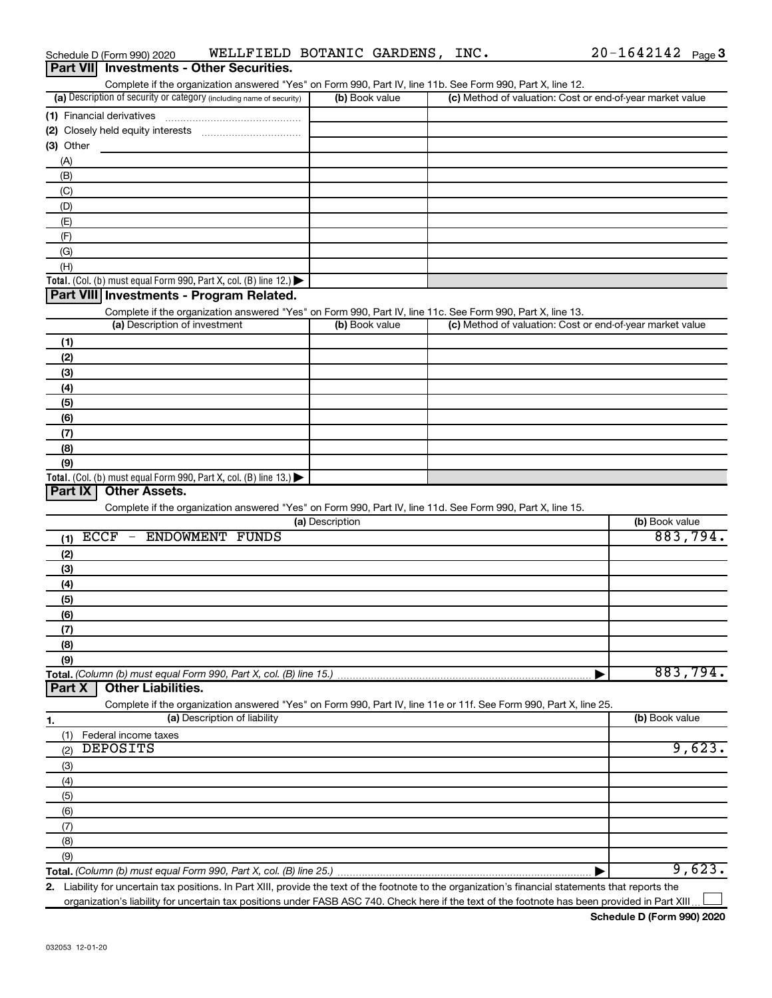| Schedule D (Form 990) 2020 | WELLFIELD BOTANIC GARDENS,                      |  | INC. | $20 - 1642142$ Page 3 |  |
|----------------------------|-------------------------------------------------|--|------|-----------------------|--|
|                            | <b>Part VII</b> Investments - Other Securities. |  |      |                       |  |

| Complete if the organization answered "Yes" on Form 990, Part IV, line 11b. See Form 990, Part X, line 12.        |                 |                                                           |                |
|-------------------------------------------------------------------------------------------------------------------|-----------------|-----------------------------------------------------------|----------------|
| (a) Description of security or category (including name of security)                                              | (b) Book value  | (c) Method of valuation: Cost or end-of-year market value |                |
|                                                                                                                   |                 |                                                           |                |
|                                                                                                                   |                 |                                                           |                |
| (3) Other                                                                                                         |                 |                                                           |                |
| (A)                                                                                                               |                 |                                                           |                |
| (B)                                                                                                               |                 |                                                           |                |
| (C)                                                                                                               |                 |                                                           |                |
| (D)                                                                                                               |                 |                                                           |                |
| (E)                                                                                                               |                 |                                                           |                |
| (F)                                                                                                               |                 |                                                           |                |
| (G)                                                                                                               |                 |                                                           |                |
| (H)                                                                                                               |                 |                                                           |                |
| Total. (Col. (b) must equal Form 990, Part X, col. (B) line 12.)                                                  |                 |                                                           |                |
| Part VIII Investments - Program Related.                                                                          |                 |                                                           |                |
| Complete if the organization answered "Yes" on Form 990, Part IV, line 11c. See Form 990, Part X, line 13.        |                 |                                                           |                |
| (a) Description of investment                                                                                     | (b) Book value  | (c) Method of valuation: Cost or end-of-year market value |                |
| (1)                                                                                                               |                 |                                                           |                |
| (2)                                                                                                               |                 |                                                           |                |
| (3)                                                                                                               |                 |                                                           |                |
| (4)                                                                                                               |                 |                                                           |                |
| (5)                                                                                                               |                 |                                                           |                |
| (6)                                                                                                               |                 |                                                           |                |
| (7)                                                                                                               |                 |                                                           |                |
| (8)                                                                                                               |                 |                                                           |                |
| (9)                                                                                                               |                 |                                                           |                |
| Total. (Col. (b) must equal Form 990, Part X, col. (B) line 13.)                                                  |                 |                                                           |                |
| Part IX<br><b>Other Assets.</b>                                                                                   |                 |                                                           |                |
| Complete if the organization answered "Yes" on Form 990, Part IV, line 11d. See Form 990, Part X, line 15.        |                 |                                                           |                |
|                                                                                                                   | (a) Description |                                                           | (b) Book value |
| $ECCF -$<br><b>ENDOWMENT FUNDS</b>                                                                                |                 |                                                           | 883,794.       |
| (1)                                                                                                               |                 |                                                           |                |
| (2)                                                                                                               |                 |                                                           |                |
| (3)                                                                                                               |                 |                                                           |                |
| (4)                                                                                                               |                 |                                                           |                |
| (5)                                                                                                               |                 |                                                           |                |
| (6)                                                                                                               |                 |                                                           |                |
| (7)                                                                                                               |                 |                                                           |                |
| (8)                                                                                                               |                 |                                                           |                |
| (9)                                                                                                               |                 |                                                           |                |
| Total. (Column (b) must equal Form 990, Part X, col. (B) line 15.)                                                |                 |                                                           | 883,794.       |
| <b>Other Liabilities.</b><br>Part X                                                                               |                 |                                                           |                |
| Complete if the organization answered "Yes" on Form 990, Part IV, line 11e or 11f. See Form 990, Part X, line 25. |                 |                                                           |                |
| (a) Description of liability<br>1.                                                                                |                 |                                                           | (b) Book value |
| (1)<br>Federal income taxes                                                                                       |                 |                                                           |                |
| <b>DEPOSITS</b><br>(2)                                                                                            |                 |                                                           | 9,623.         |
| (3)                                                                                                               |                 |                                                           |                |
| (4)                                                                                                               |                 |                                                           |                |
| (5)                                                                                                               |                 |                                                           |                |
| (6)                                                                                                               |                 |                                                           |                |
| (7)                                                                                                               |                 |                                                           |                |
| (8)                                                                                                               |                 |                                                           |                |
| (9)                                                                                                               |                 |                                                           |                |
|                                                                                                                   |                 |                                                           | 9,623.         |

**2.** Liability for uncertain tax positions. In Part XIII, provide the text of the footnote to the organization's financial statements that reports the organization's liability for uncertain tax positions under FASB ASC 740. Check here if the text of the footnote has been provided in Part XIII.  $\perp$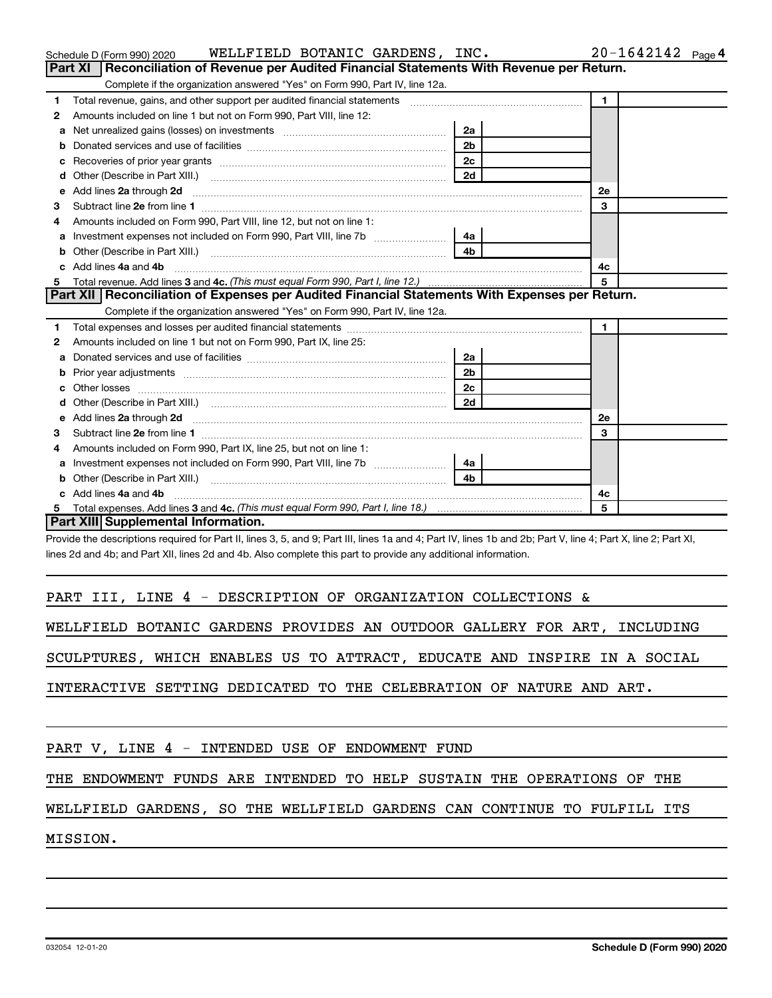|                                                                          |                                                                     | Schedule D (Form 990) 2020                      | WELLFIELD BOTANIC GARDENS, INC.                                             |  |  |                |                                                                                               |    | $20 - 1642142$ Page 4 |  |
|--------------------------------------------------------------------------|---------------------------------------------------------------------|-------------------------------------------------|-----------------------------------------------------------------------------|--|--|----------------|-----------------------------------------------------------------------------------------------|----|-----------------------|--|
|                                                                          |                                                                     |                                                 |                                                                             |  |  |                | Part XI   Reconciliation of Revenue per Audited Financial Statements With Revenue per Return. |    |                       |  |
|                                                                          |                                                                     |                                                 | Complete if the organization answered "Yes" on Form 990, Part IV, line 12a. |  |  |                |                                                                                               |    |                       |  |
| Total revenue, gains, and other support per audited financial statements |                                                                     |                                                 |                                                                             |  |  |                |                                                                                               |    |                       |  |
| 2                                                                        | Amounts included on line 1 but not on Form 990, Part VIII, line 12: |                                                 |                                                                             |  |  |                |                                                                                               |    |                       |  |
|                                                                          |                                                                     |                                                 | <b>a</b> Net unrealized gains (losses) on investments                       |  |  | 2a             |                                                                                               |    |                       |  |
|                                                                          |                                                                     | <b>b</b> Donated services and use of facilities |                                                                             |  |  | 2 <sub>b</sub> |                                                                                               |    |                       |  |
|                                                                          | <b>c</b> Recoveries of prior year grants<br>2c                      |                                                 |                                                                             |  |  |                |                                                                                               |    |                       |  |
|                                                                          |                                                                     | <b>d</b> Other (Describe in Part XIII.)         |                                                                             |  |  | 2d             |                                                                                               |    |                       |  |
|                                                                          | e Add lines 2a through 2d                                           |                                                 |                                                                             |  |  |                |                                                                                               | 2e |                       |  |
|                                                                          |                                                                     |                                                 |                                                                             |  |  |                |                                                                                               |    |                       |  |

|    | e Add lines 2a through 2d                                                                        | 2e             |                |  |
|----|--------------------------------------------------------------------------------------------------|----------------|----------------|--|
| 3  | Subtract line 2e from line 1                                                                     |                | 3              |  |
| 4  | Amounts included on Form 990, Part VIII, line 12, but not on line 1:                             |                |                |  |
| a  |                                                                                                  | 4a             |                |  |
|    |                                                                                                  | 4b             |                |  |
|    | c Add lines 4a and 4b                                                                            |                | 4c             |  |
| 5  |                                                                                                  |                | 5              |  |
|    | Part XII   Reconciliation of Expenses per Audited Financial Statements With Expenses per Return. |                |                |  |
|    | Complete if the organization answered "Yes" on Form 990, Part IV, line 12a.                      |                |                |  |
| 1. |                                                                                                  |                | $\blacksquare$ |  |
| 2  | Amounts included on line 1 but not on Form 990, Part IX, line 25:                                |                |                |  |
| a  |                                                                                                  | 2a             |                |  |
| b  |                                                                                                  | 2 <sub>b</sub> |                |  |
| C. |                                                                                                  | 2c             |                |  |
|    |                                                                                                  | 2d             |                |  |
|    |                                                                                                  |                | 2e             |  |
| 3  |                                                                                                  |                | 3              |  |
| 4  | Amounts included on Form 990, Part IX, line 25, but not on line 1:                               |                |                |  |
| a  | Investment expenses not included on Form 990, Part VIII, line 7b <i></i>                         | 4a             |                |  |
|    |                                                                                                  | 4b             |                |  |
|    | c Add lines 4a and 4b                                                                            |                | 4c             |  |
| 5. |                                                                                                  |                | 5              |  |

**Part XIII Supplemental Information.**

Provide the descriptions required for Part II, lines 3, 5, and 9; Part III, lines 1a and 4; Part IV, lines 1b and 2b; Part V, line 4; Part X, line 2; Part XI, lines 2d and 4b; and Part XII, lines 2d and 4b. Also complete this part to provide any additional information.

### PART III, LINE 4 - DESCRIPTION OF ORGANIZATION COLLECTIONS &

WELLFIELD BOTANIC GARDENS PROVIDES AN OUTDOOR GALLERY FOR ART, INCLUDING

SCULPTURES, WHICH ENABLES US TO ATTRACT, EDUCATE AND INSPIRE IN A SOCIAL

INTERACTIVE SETTING DEDICATED TO THE CELEBRATION OF NATURE AND ART.

## PART V, LINE 4 - INTENDED USE OF ENDOWMENT FUND

THE ENDOWMENT FUNDS ARE INTENDED TO HELP SUSTAIN THE OPERATIONS OF THE

WELLFIELD GARDENS, SO THE WELLFIELD GARDENS CAN CONTINUE TO FULFILL ITS

MISSION.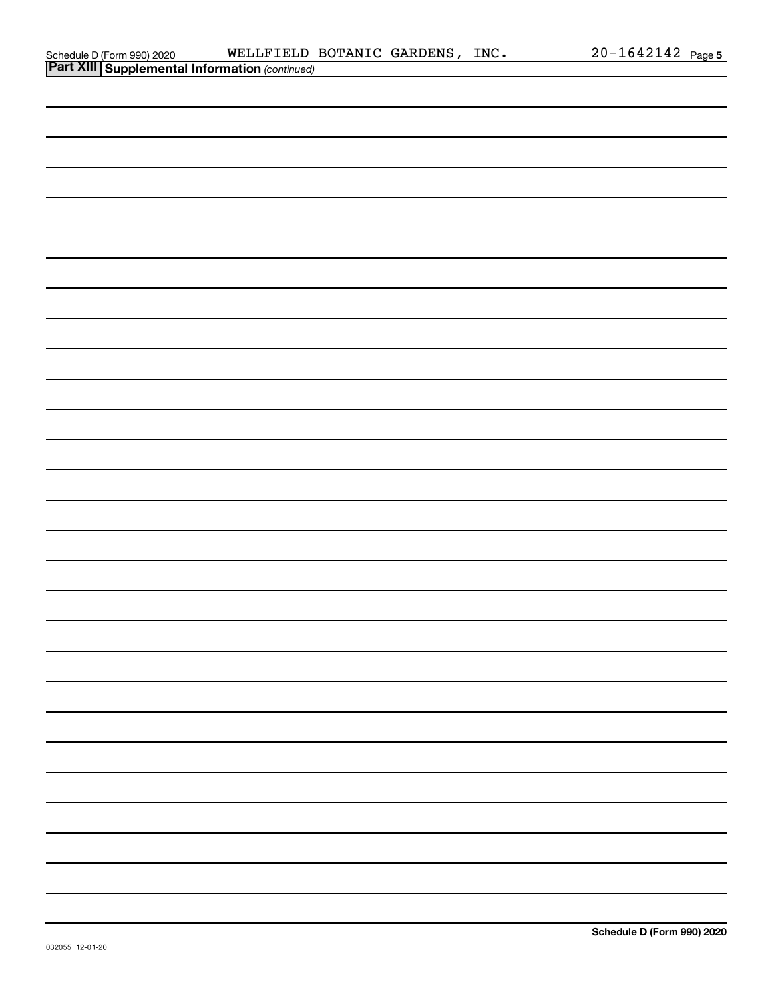| Schedule D (Form 990) 2020 |  |
|----------------------------|--|
|                            |  |

| <b>Part XIII Supplemental Information (continued)</b> |  |  |  |  |  |  |
|-------------------------------------------------------|--|--|--|--|--|--|
|                                                       |  |  |  |  |  |  |
|                                                       |  |  |  |  |  |  |
|                                                       |  |  |  |  |  |  |
|                                                       |  |  |  |  |  |  |
|                                                       |  |  |  |  |  |  |
|                                                       |  |  |  |  |  |  |
|                                                       |  |  |  |  |  |  |
|                                                       |  |  |  |  |  |  |
|                                                       |  |  |  |  |  |  |
|                                                       |  |  |  |  |  |  |
|                                                       |  |  |  |  |  |  |
|                                                       |  |  |  |  |  |  |
|                                                       |  |  |  |  |  |  |
|                                                       |  |  |  |  |  |  |
|                                                       |  |  |  |  |  |  |
|                                                       |  |  |  |  |  |  |
|                                                       |  |  |  |  |  |  |
|                                                       |  |  |  |  |  |  |
|                                                       |  |  |  |  |  |  |
|                                                       |  |  |  |  |  |  |
|                                                       |  |  |  |  |  |  |
|                                                       |  |  |  |  |  |  |
|                                                       |  |  |  |  |  |  |
|                                                       |  |  |  |  |  |  |
|                                                       |  |  |  |  |  |  |
|                                                       |  |  |  |  |  |  |
|                                                       |  |  |  |  |  |  |
|                                                       |  |  |  |  |  |  |
|                                                       |  |  |  |  |  |  |
|                                                       |  |  |  |  |  |  |
|                                                       |  |  |  |  |  |  |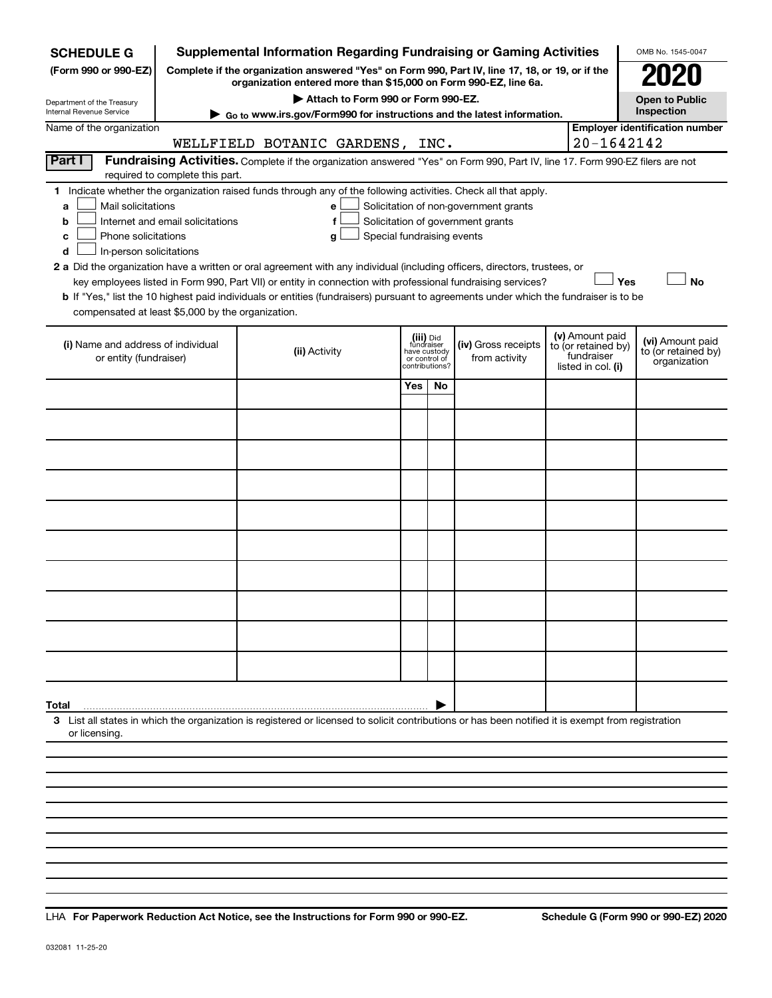| <b>SCHEDULE G</b>                                        |                                  | <b>Supplemental Information Regarding Fundraising or Gaming Activities</b>                                                                                          |     |                                         |                                       |                     |                    | OMB No. 1545-0047                       |
|----------------------------------------------------------|----------------------------------|---------------------------------------------------------------------------------------------------------------------------------------------------------------------|-----|-----------------------------------------|---------------------------------------|---------------------|--------------------|-----------------------------------------|
| (Form 990 or 990-EZ)                                     |                                  | Complete if the organization answered "Yes" on Form 990, Part IV, line 17, 18, or 19, or if the<br>organization entered more than \$15,000 on Form 990-EZ, line 6a. |     |                                         |                                       |                     |                    |                                         |
| Department of the Treasury                               |                                  | Attach to Form 990 or Form 990-EZ.                                                                                                                                  |     |                                         |                                       |                     |                    | <b>Open to Public</b>                   |
| Internal Revenue Service                                 |                                  | Go to www.irs.gov/Form990 for instructions and the latest information.                                                                                              |     |                                         |                                       |                     |                    | Inspection                              |
| Name of the organization                                 |                                  |                                                                                                                                                                     |     |                                         |                                       |                     |                    | <b>Employer identification number</b>   |
|                                                          |                                  | WELLFIELD BOTANIC GARDENS, INC.                                                                                                                                     |     |                                         |                                       |                     | 20-1642142         |                                         |
| Part I                                                   | required to complete this part.  | Fundraising Activities. Complete if the organization answered "Yes" on Form 990, Part IV, line 17. Form 990-EZ filers are not                                       |     |                                         |                                       |                     |                    |                                         |
|                                                          |                                  | 1 Indicate whether the organization raised funds through any of the following activities. Check all that apply.                                                     |     |                                         |                                       |                     |                    |                                         |
| Mail solicitations<br>a                                  |                                  | е                                                                                                                                                                   |     |                                         | Solicitation of non-government grants |                     |                    |                                         |
| b                                                        | Internet and email solicitations | f                                                                                                                                                                   |     |                                         | Solicitation of government grants     |                     |                    |                                         |
| Phone solicitations<br>c<br>In-person solicitations<br>d |                                  | Special fundraising events<br>g                                                                                                                                     |     |                                         |                                       |                     |                    |                                         |
|                                                          |                                  | 2 a Did the organization have a written or oral agreement with any individual (including officers, directors, trustees, or                                          |     |                                         |                                       |                     |                    |                                         |
|                                                          |                                  | key employees listed in Form 990, Part VII) or entity in connection with professional fundraising services?                                                         |     |                                         |                                       |                     | Yes                | <b>No</b>                               |
|                                                          |                                  | b If "Yes," list the 10 highest paid individuals or entities (fundraisers) pursuant to agreements under which the fundraiser is to be                               |     |                                         |                                       |                     |                    |                                         |
| compensated at least \$5,000 by the organization.        |                                  |                                                                                                                                                                     |     |                                         |                                       |                     |                    |                                         |
|                                                          |                                  |                                                                                                                                                                     |     |                                         |                                       |                     | (v) Amount paid    |                                         |
| (i) Name and address of individual                       |                                  | (ii) Activity                                                                                                                                                       |     | (iii) Did<br>fundraiser<br>have custody | (iv) Gross receipts                   | to (or retained by) | fundraiser         | (vi) Amount paid<br>to (or retained by) |
| or entity (fundraiser)                                   |                                  |                                                                                                                                                                     |     | or control of<br>contributions?         | from activity                         |                     | listed in col. (i) | organization                            |
|                                                          |                                  |                                                                                                                                                                     | Yes | No                                      |                                       |                     |                    |                                         |
|                                                          |                                  |                                                                                                                                                                     |     |                                         |                                       |                     |                    |                                         |
|                                                          |                                  |                                                                                                                                                                     |     |                                         |                                       |                     |                    |                                         |
|                                                          |                                  |                                                                                                                                                                     |     |                                         |                                       |                     |                    |                                         |
|                                                          |                                  |                                                                                                                                                                     |     |                                         |                                       |                     |                    |                                         |
|                                                          |                                  |                                                                                                                                                                     |     |                                         |                                       |                     |                    |                                         |
|                                                          |                                  |                                                                                                                                                                     |     |                                         |                                       |                     |                    |                                         |
|                                                          |                                  |                                                                                                                                                                     |     |                                         |                                       |                     |                    |                                         |
|                                                          |                                  |                                                                                                                                                                     |     |                                         |                                       |                     |                    |                                         |
|                                                          |                                  |                                                                                                                                                                     |     |                                         |                                       |                     |                    |                                         |
|                                                          |                                  |                                                                                                                                                                     |     |                                         |                                       |                     |                    |                                         |
|                                                          |                                  |                                                                                                                                                                     |     |                                         |                                       |                     |                    |                                         |
|                                                          |                                  |                                                                                                                                                                     |     |                                         |                                       |                     |                    |                                         |
|                                                          |                                  |                                                                                                                                                                     |     |                                         |                                       |                     |                    |                                         |
| Total                                                    |                                  | 3 List all states in which the organization is registered or licensed to solicit contributions or has been notified it is exempt from registration                  |     |                                         |                                       |                     |                    |                                         |
| or licensing.                                            |                                  |                                                                                                                                                                     |     |                                         |                                       |                     |                    |                                         |
|                                                          |                                  |                                                                                                                                                                     |     |                                         |                                       |                     |                    |                                         |
|                                                          |                                  |                                                                                                                                                                     |     |                                         |                                       |                     |                    |                                         |

**For Paperwork Reduction Act Notice, see the Instructions for Form 990 or 990-EZ. Schedule G (Form 990 or 990-EZ) 2020** LHA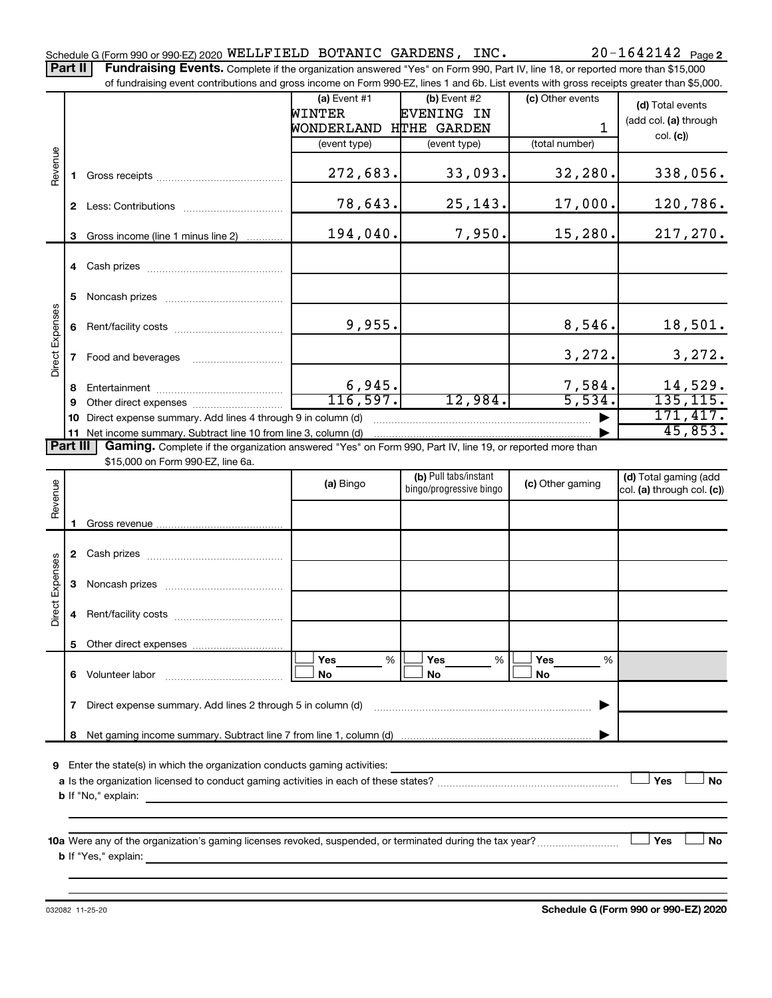Part II | Fundraising Events. Complete if the organization answered "Yes" on Form 990, Part IV, line 18, or reported more than \$15,000

|                 |              | of fundraising event contributions and gross income on Form 990-EZ, lines 1 and 6b. List events with gross receipts greater than \$5,000.                                   |                        |                         |                  |                            |  |  |  |  |
|-----------------|--------------|-----------------------------------------------------------------------------------------------------------------------------------------------------------------------------|------------------------|-------------------------|------------------|----------------------------|--|--|--|--|
|                 |              |                                                                                                                                                                             | $(a)$ Event #1         | (b) Event #2            | (c) Other events | (d) Total events           |  |  |  |  |
|                 |              |                                                                                                                                                                             | <b>WINTER</b>          | <b>EVENING IN</b>       |                  | (add col. (a) through      |  |  |  |  |
|                 |              |                                                                                                                                                                             | WONDERLAND HTHE GARDEN |                         | 1                |                            |  |  |  |  |
|                 |              |                                                                                                                                                                             | (event type)           | (event type)            | (total number)   | col. (c)                   |  |  |  |  |
| Revenue         |              |                                                                                                                                                                             |                        |                         |                  |                            |  |  |  |  |
|                 | 1.           |                                                                                                                                                                             | 272,683.               | 33,093.                 | 32,280.          | 338,056.                   |  |  |  |  |
|                 |              |                                                                                                                                                                             |                        |                         |                  |                            |  |  |  |  |
|                 |              |                                                                                                                                                                             | 78,643.                | 25,143.                 | 17,000.          | 120,786.                   |  |  |  |  |
|                 |              |                                                                                                                                                                             |                        |                         |                  |                            |  |  |  |  |
|                 | 3            | Gross income (line 1 minus line 2)                                                                                                                                          | 194,040.               | 7,950.                  | 15,280.          | 217,270.                   |  |  |  |  |
|                 |              |                                                                                                                                                                             |                        |                         |                  |                            |  |  |  |  |
|                 |              |                                                                                                                                                                             |                        |                         |                  |                            |  |  |  |  |
|                 |              |                                                                                                                                                                             |                        |                         |                  |                            |  |  |  |  |
|                 | 5            |                                                                                                                                                                             |                        |                         |                  |                            |  |  |  |  |
|                 |              |                                                                                                                                                                             |                        |                         |                  |                            |  |  |  |  |
|                 | 6            |                                                                                                                                                                             | 9,955.                 |                         | 8,546.           | 18,501.                    |  |  |  |  |
|                 |              |                                                                                                                                                                             |                        |                         |                  |                            |  |  |  |  |
| Direct Expenses | $\mathbf{7}$ |                                                                                                                                                                             |                        |                         | 3,272.           | 3,272.                     |  |  |  |  |
|                 |              | Food and beverages                                                                                                                                                          |                        |                         |                  |                            |  |  |  |  |
|                 |              |                                                                                                                                                                             | 6,945.                 |                         | 7,584.           | 14,529.                    |  |  |  |  |
|                 | 8            |                                                                                                                                                                             | 116,597.               | 12,984.                 | 5,534.           | 135, 115.                  |  |  |  |  |
|                 | 9            |                                                                                                                                                                             |                        |                         |                  | 171,417.                   |  |  |  |  |
|                 | 10           | Direct expense summary. Add lines 4 through 9 in column (d)<br>45,853.                                                                                                      |                        |                         |                  |                            |  |  |  |  |
| <b>Part III</b> |              | 11 Net income summary. Subtract line 10 from line 3, column (d)<br>Gaming. Complete if the organization answered "Yes" on Form 990, Part IV, line 19, or reported more than |                        |                         |                  |                            |  |  |  |  |
|                 |              | \$15,000 on Form 990-EZ, line 6a.                                                                                                                                           |                        |                         |                  |                            |  |  |  |  |
|                 |              |                                                                                                                                                                             |                        | (b) Pull tabs/instant   |                  | (d) Total gaming (add      |  |  |  |  |
|                 |              |                                                                                                                                                                             | (a) Bingo              | bingo/progressive bingo | (c) Other gaming | col. (a) through col. (c)) |  |  |  |  |
| Revenue         |              |                                                                                                                                                                             |                        |                         |                  |                            |  |  |  |  |
|                 |              |                                                                                                                                                                             |                        |                         |                  |                            |  |  |  |  |
|                 | 1.           |                                                                                                                                                                             |                        |                         |                  |                            |  |  |  |  |
|                 |              |                                                                                                                                                                             |                        |                         |                  |                            |  |  |  |  |
|                 |              |                                                                                                                                                                             |                        |                         |                  |                            |  |  |  |  |
| Direct Expenses |              |                                                                                                                                                                             |                        |                         |                  |                            |  |  |  |  |
|                 | 3            |                                                                                                                                                                             |                        |                         |                  |                            |  |  |  |  |
|                 |              |                                                                                                                                                                             |                        |                         |                  |                            |  |  |  |  |
|                 | 4            |                                                                                                                                                                             |                        |                         |                  |                            |  |  |  |  |
|                 |              |                                                                                                                                                                             |                        |                         |                  |                            |  |  |  |  |
|                 |              |                                                                                                                                                                             |                        |                         |                  |                            |  |  |  |  |
|                 |              |                                                                                                                                                                             | $\%$<br>Yes            | %<br>Yes                | Yes<br>%         |                            |  |  |  |  |
|                 | 6            | Volunteer labor                                                                                                                                                             | No                     | No                      | No               |                            |  |  |  |  |
|                 |              |                                                                                                                                                                             |                        |                         |                  |                            |  |  |  |  |
|                 | 7            | Direct expense summary. Add lines 2 through 5 in column (d)                                                                                                                 |                        |                         |                  |                            |  |  |  |  |
|                 |              |                                                                                                                                                                             |                        |                         |                  |                            |  |  |  |  |
|                 | 8            |                                                                                                                                                                             |                        |                         |                  |                            |  |  |  |  |
|                 |              |                                                                                                                                                                             |                        |                         |                  |                            |  |  |  |  |
| 9               |              | Enter the state(s) in which the organization conducts gaming activities:                                                                                                    |                        |                         |                  |                            |  |  |  |  |
|                 |              |                                                                                                                                                                             |                        |                         |                  | Yes<br><b>No</b>           |  |  |  |  |
|                 |              | <b>b</b> If "No," explain:<br><u> 1980 - Jan James James James James James James James James James James James James James James James James J</u>                          |                        |                         |                  |                            |  |  |  |  |
|                 |              |                                                                                                                                                                             |                        |                         |                  |                            |  |  |  |  |
|                 |              |                                                                                                                                                                             |                        |                         |                  |                            |  |  |  |  |
|                 |              |                                                                                                                                                                             |                        |                         |                  |                            |  |  |  |  |
|                 |              | 10a Were any of the organization's gaming licenses revoked, suspended, or terminated during the tax year?<br><b>b</b> If "Yes," explain:                                    |                        |                         |                  | Yes<br>No                  |  |  |  |  |

032082 11-25-20

**Schedule G (Form 990 or 990-EZ) 2020**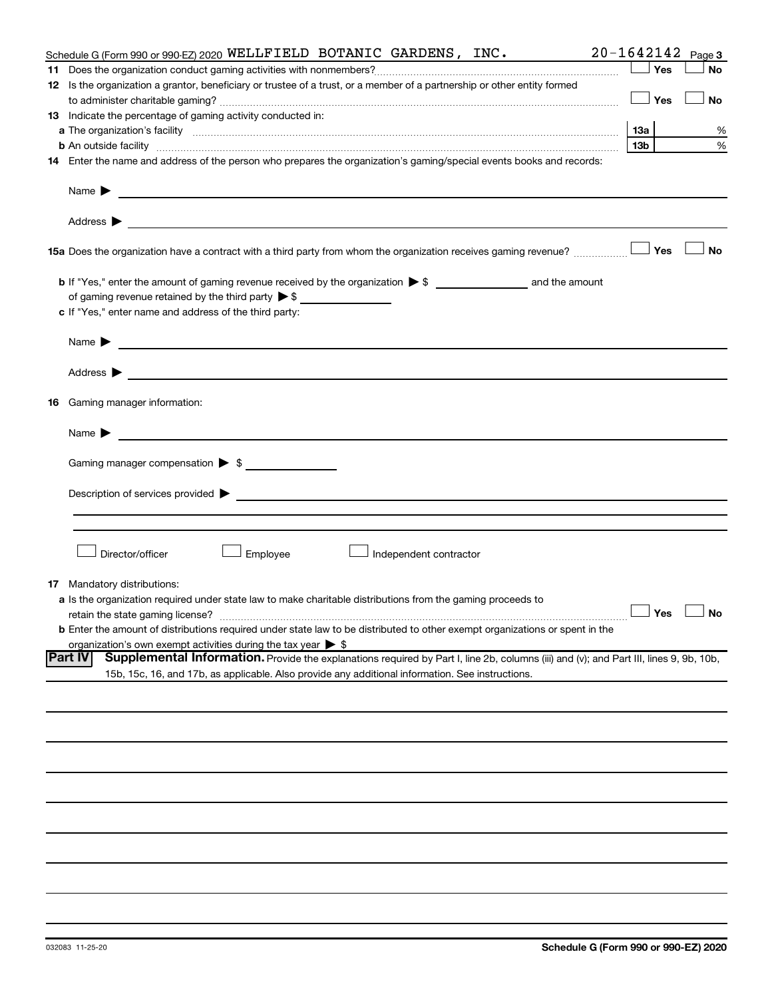| Schedule G (Form 990 or 990-EZ) 2020 WELLFIELD BOTANIC GARDENS, INC.                                                                                     |     |     | $20 - 1642142$ Page 3 |
|----------------------------------------------------------------------------------------------------------------------------------------------------------|-----|-----|-----------------------|
|                                                                                                                                                          |     | Yes | <b>No</b>             |
| 12 Is the organization a grantor, beneficiary or trustee of a trust, or a member of a partnership or other entity formed                                 |     |     |                       |
|                                                                                                                                                          |     | Yes | No                    |
| 13 Indicate the percentage of gaming activity conducted in:                                                                                              |     |     |                       |
|                                                                                                                                                          |     |     | %                     |
| <b>b</b> An outside facility <i>www.communicality.communicality.communicality www.communicality.communicality.communicality.com</i>                      | 13b |     | %                     |
| 14 Enter the name and address of the person who prepares the organization's gaming/special events books and records:                                     |     |     |                       |
|                                                                                                                                                          |     |     |                       |
|                                                                                                                                                          |     |     |                       |
| 15a Does the organization have a contract with a third party from whom the organization receives gaming revenue?                                         |     | Yes | <b>No</b>             |
|                                                                                                                                                          |     |     |                       |
| of gaming revenue retained by the third party $\triangleright$ \$                                                                                        |     |     |                       |
| c If "Yes," enter name and address of the third party:                                                                                                   |     |     |                       |
|                                                                                                                                                          |     |     |                       |
| Name $\blacktriangleright$<br><u> 1989 - Johann Barbara, martin amerikan basal dan berasal dan berasal dalam basal dan berasal dan berasal dan</u>       |     |     |                       |
|                                                                                                                                                          |     |     |                       |
| <b>16</b> Gaming manager information:                                                                                                                    |     |     |                       |
| <u> 1989 - Johann Barnett, fransk politiker (d. 1989)</u><br>Name $\blacktriangleright$                                                                  |     |     |                       |
| Gaming manager compensation > \$                                                                                                                         |     |     |                       |
|                                                                                                                                                          |     |     |                       |
|                                                                                                                                                          |     |     |                       |
|                                                                                                                                                          |     |     |                       |
|                                                                                                                                                          |     |     |                       |
| Employee<br>Director/officer<br>Independent contractor                                                                                                   |     |     |                       |
| <b>17</b> Mandatory distributions:                                                                                                                       |     |     |                       |
| a Is the organization required under state law to make charitable distributions from the gaming proceeds to                                              |     |     |                       |
| retain the state gaming license?                                                                                                                         |     |     | $\Box$ Yes $\Box$ No  |
| <b>b</b> Enter the amount of distributions required under state law to be distributed to other exempt organizations or spent in the                      |     |     |                       |
| organization's own exempt activities during the tax year $\triangleright$ \$                                                                             |     |     |                       |
| Supplemental Information. Provide the explanations required by Part I, line 2b, columns (iii) and (v); and Part III, lines 9, 9b, 10b,<br><b>Part IV</b> |     |     |                       |
| 15b, 15c, 16, and 17b, as applicable. Also provide any additional information. See instructions.                                                         |     |     |                       |
|                                                                                                                                                          |     |     |                       |
|                                                                                                                                                          |     |     |                       |
|                                                                                                                                                          |     |     |                       |
|                                                                                                                                                          |     |     |                       |
|                                                                                                                                                          |     |     |                       |
|                                                                                                                                                          |     |     |                       |
|                                                                                                                                                          |     |     |                       |
|                                                                                                                                                          |     |     |                       |
|                                                                                                                                                          |     |     |                       |
|                                                                                                                                                          |     |     |                       |
|                                                                                                                                                          |     |     |                       |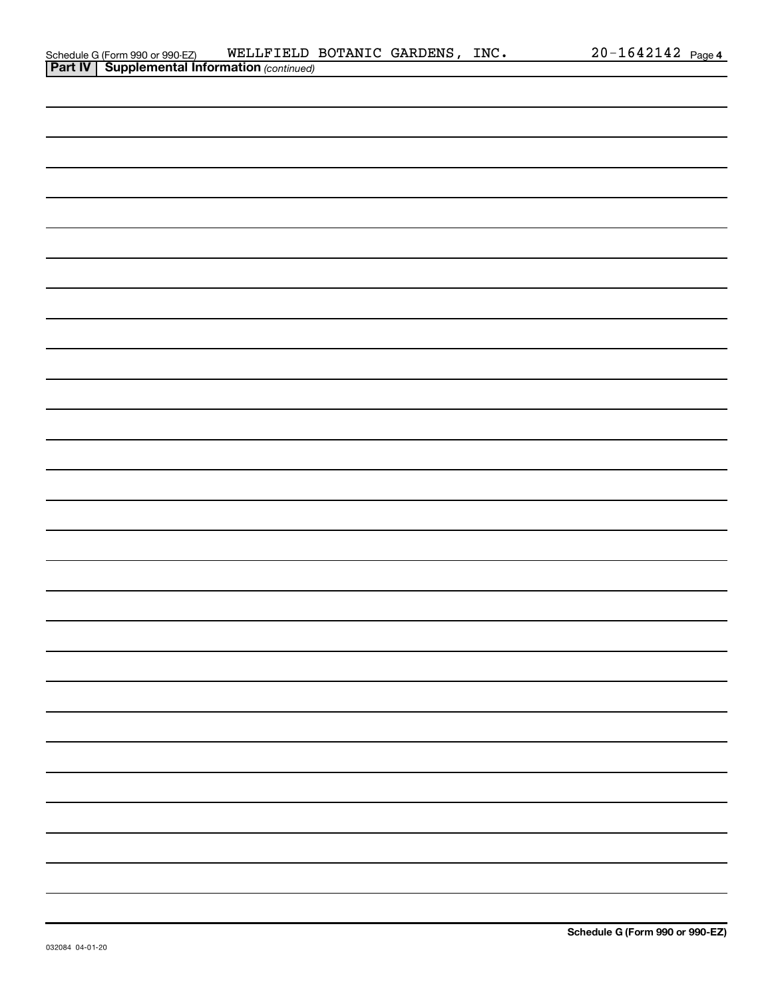| ichedule G (Form 990 or 990-EZ) | METTE TETD                                     |
|---------------------------------|------------------------------------------------|
|                                 | Part IV   Supplemental Information (continued) |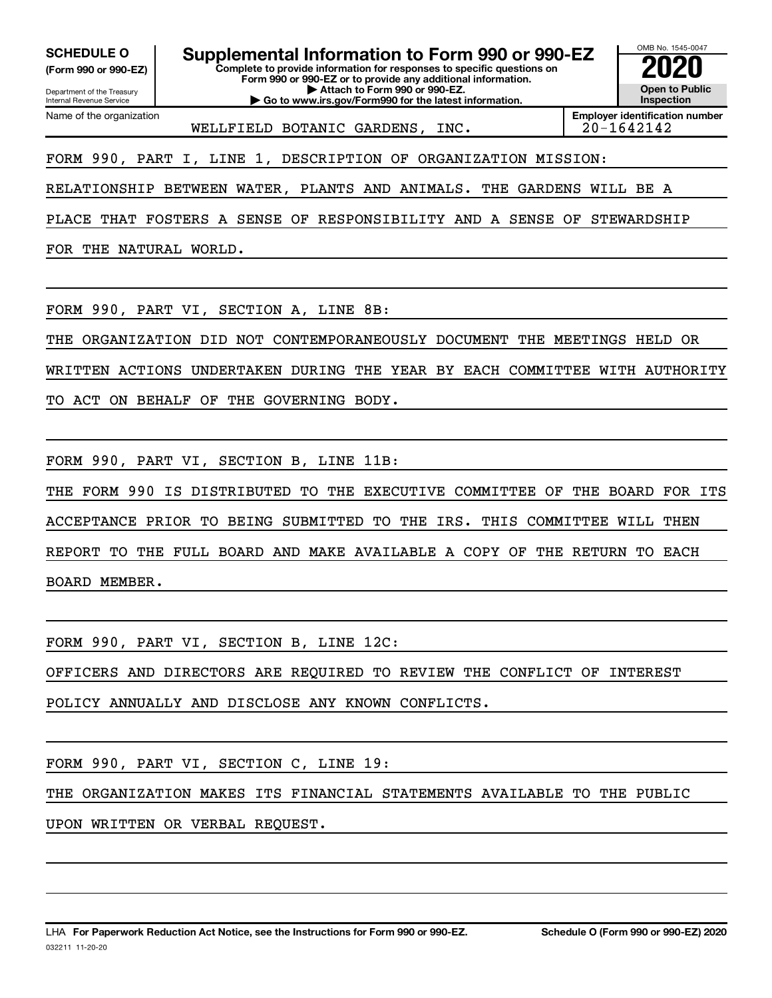**(Form 990 or 990-EZ)**

Department of the Treasury Internal Revenue Service Name of the organization

**Complete to provide information for responses to specific questions on Form 990 or 990-EZ or to provide any additional information. | Attach to Form 990 or 990-EZ. | Go to www.irs.gov/Form990 for the latest information. SCHEDULE O Supplemental Information to Form 990 or 990-EZ 2020**<br>(Form 990 or 990-EZ) Complete to provide information for responses to specific questions on



WELLFIELD BOTANIC GARDENS, INC. | 20-1642142

**Employer identification number**

FORM 990, PART I, LINE 1, DESCRIPTION OF ORGANIZATION MISSION:

RELATIONSHIP BETWEEN WATER, PLANTS AND ANIMALS. THE GARDENS WILL BE A

PLACE THAT FOSTERS A SENSE OF RESPONSIBILITY AND A SENSE OF STEWARDSHIP

FOR THE NATURAL WORLD.

FORM 990, PART VI, SECTION A, LINE 8B:

THE ORGANIZATION DID NOT CONTEMPORANEOUSLY DOCUMENT THE MEETINGS HELD OR

WRITTEN ACTIONS UNDERTAKEN DURING THE YEAR BY EACH COMMITTEE WITH AUTHORITY

TO ACT ON BEHALF OF THE GOVERNING BODY.

FORM 990, PART VI, SECTION B, LINE 11B:

THE FORM 990 IS DISTRIBUTED TO THE EXECUTIVE COMMITTEE OF THE BOARD FOR ITS ACCEPTANCE PRIOR TO BEING SUBMITTED TO THE IRS. THIS COMMITTEE WILL THEN REPORT TO THE FULL BOARD AND MAKE AVAILABLE A COPY OF THE RETURN TO EACH BOARD MEMBER.

FORM 990, PART VI, SECTION B, LINE 12C:

OFFICERS AND DIRECTORS ARE REQUIRED TO REVIEW THE CONFLICT OF INTEREST

POLICY ANNUALLY AND DISCLOSE ANY KNOWN CONFLICTS.

FORM 990, PART VI, SECTION C, LINE 19:

THE ORGANIZATION MAKES ITS FINANCIAL STATEMENTS AVAILABLE TO THE PUBLIC

UPON WRITTEN OR VERBAL REQUEST.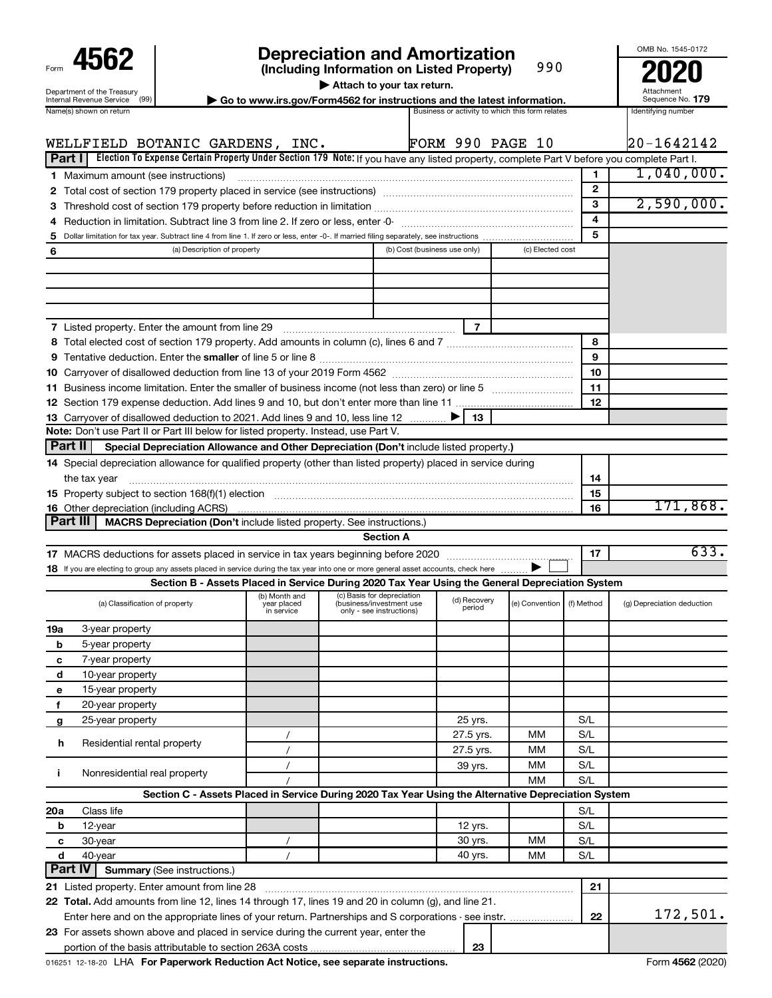| Form                                                   |
|--------------------------------------------------------|
| Department of the Treasury<br>Internal Revenue Service |
| $l = m - l - l$                                        |

# **4562 Depreciation and Amortization**<br>(Including Information on Listed Property) 990 **2020**

**(Including Information on Listed Property)**

990

Attach to your tax return.<br>
Sorm4562 for instructions and the latest info

OMB No. 1545-0172

|                                                                                          | Attachment                                                                                                                                                                                                                        |
|------------------------------------------------------------------------------------------|-----------------------------------------------------------------------------------------------------------------------------------------------------------------------------------------------------------------------------------|
| $\triangleright$ Go to www.irs.gov/Form4562 for instructions and the latest information. | Sequence No. 179                                                                                                                                                                                                                  |
|                                                                                          | $\mathbf{r}$ , and the contract of the contract of the contract of the contract of the contract of the contract of the contract of the contract of the contract of the contract of the contract of the contract of the contract o |

|                | Name(s) shown on return                                                                                                                                                                                                        |                                            |                                                                                    | Business or activity to which this form relates |                  |              | Identifying number         |
|----------------|--------------------------------------------------------------------------------------------------------------------------------------------------------------------------------------------------------------------------------|--------------------------------------------|------------------------------------------------------------------------------------|-------------------------------------------------|------------------|--------------|----------------------------|
|                |                                                                                                                                                                                                                                |                                            |                                                                                    | <b>FORM 990 PAGE 10</b>                         |                  |              | 20-1642142                 |
| Part I         | WELLFIELD BOTANIC GARDENS, INC.<br>Election To Expense Certain Property Under Section 179 Note: If you have any listed property, complete Part V before you complete Part I.                                                   |                                            |                                                                                    |                                                 |                  |              |                            |
|                |                                                                                                                                                                                                                                |                                            |                                                                                    |                                                 |                  | $\mathbf{1}$ | 1,040,000.                 |
|                | 1 Maximum amount (see instructions)                                                                                                                                                                                            |                                            |                                                                                    |                                                 |                  | $\mathbf{2}$ |                            |
|                |                                                                                                                                                                                                                                |                                            |                                                                                    |                                                 |                  | 3            | 2,590,000.                 |
|                |                                                                                                                                                                                                                                |                                            |                                                                                    |                                                 |                  | 4            |                            |
| 4<br>5         |                                                                                                                                                                                                                                |                                            |                                                                                    |                                                 |                  | 5            |                            |
| 6              | (a) Description of property                                                                                                                                                                                                    |                                            | (b) Cost (business use only)                                                       |                                                 | (c) Elected cost |              |                            |
|                |                                                                                                                                                                                                                                |                                            |                                                                                    |                                                 |                  |              |                            |
|                |                                                                                                                                                                                                                                |                                            |                                                                                    |                                                 |                  |              |                            |
|                |                                                                                                                                                                                                                                |                                            |                                                                                    |                                                 |                  |              |                            |
|                |                                                                                                                                                                                                                                |                                            |                                                                                    |                                                 |                  |              |                            |
|                | <b>7</b> Listed property. Enter the amount from line 29                                                                                                                                                                        |                                            |                                                                                    | $\overline{7}$                                  |                  |              |                            |
|                |                                                                                                                                                                                                                                |                                            |                                                                                    |                                                 |                  | 8            |                            |
|                |                                                                                                                                                                                                                                |                                            |                                                                                    |                                                 |                  | 9            |                            |
|                |                                                                                                                                                                                                                                |                                            |                                                                                    |                                                 |                  | 10           |                            |
|                | 11 Business income limitation. Enter the smaller of business income (not less than zero) or line 5                                                                                                                             |                                            |                                                                                    |                                                 |                  | 11           |                            |
|                |                                                                                                                                                                                                                                |                                            |                                                                                    |                                                 |                  | 12           |                            |
|                | 13 Carryover of disallowed deduction to 2021. Add lines 9 and 10, less line 12                                                                                                                                                 |                                            |                                                                                    | 13                                              |                  |              |                            |
|                | Note: Don't use Part II or Part III below for listed property. Instead, use Part V.                                                                                                                                            |                                            |                                                                                    |                                                 |                  |              |                            |
| <b>Part II</b> | Special Depreciation Allowance and Other Depreciation (Don't include listed property.)                                                                                                                                         |                                            |                                                                                    |                                                 |                  |              |                            |
|                | 14 Special depreciation allowance for qualified property (other than listed property) placed in service during                                                                                                                 |                                            |                                                                                    |                                                 |                  |              |                            |
|                | the tax year                                                                                                                                                                                                                   |                                            |                                                                                    |                                                 |                  | 14           |                            |
|                | 15 Property subject to section 168(f)(1) election manufactured content to the content of the content of the content of the content of the content of the content of the content of the content of the content of the content o |                                            |                                                                                    |                                                 |                  | 15           |                            |
|                | 16 Other depreciation (including ACRS)                                                                                                                                                                                         |                                            |                                                                                    |                                                 |                  | 16           | 171,868.                   |
|                | <b>Part III</b><br>MACRS Depreciation (Don't include listed property. See instructions.)                                                                                                                                       |                                            |                                                                                    |                                                 |                  |              |                            |
|                |                                                                                                                                                                                                                                |                                            | <b>Section A</b>                                                                   |                                                 |                  |              |                            |
|                |                                                                                                                                                                                                                                |                                            |                                                                                    |                                                 |                  | 17           | 633.                       |
|                | 18 If you are electing to group any assets placed in service during the tax year into one or more general asset accounts, check here                                                                                           |                                            |                                                                                    |                                                 |                  |              |                            |
|                | Section B - Assets Placed in Service During 2020 Tax Year Using the General Depreciation System                                                                                                                                |                                            |                                                                                    |                                                 |                  |              |                            |
|                | (a) Classification of property                                                                                                                                                                                                 | (b) Month and<br>year placed<br>in service | (c) Basis for depreciation<br>(business/investment use<br>only - see instructions) | (d) Recovery<br>period                          | (e) Convention   | (f) Method   | (g) Depreciation deduction |
| 19a            | 3-year property                                                                                                                                                                                                                |                                            |                                                                                    |                                                 |                  |              |                            |
| b              | 5-year property                                                                                                                                                                                                                |                                            |                                                                                    |                                                 |                  |              |                            |
| с              | 7-year property                                                                                                                                                                                                                |                                            |                                                                                    |                                                 |                  |              |                            |
| d              | 10-year property                                                                                                                                                                                                               |                                            |                                                                                    |                                                 |                  |              |                            |
| е              | 15-year property                                                                                                                                                                                                               |                                            |                                                                                    |                                                 |                  |              |                            |
| f              | 20-year property                                                                                                                                                                                                               |                                            |                                                                                    |                                                 |                  |              |                            |
| g              | 25-year property                                                                                                                                                                                                               |                                            |                                                                                    | 25 yrs.                                         |                  | S/L          |                            |
|                | Residential rental property                                                                                                                                                                                                    |                                            |                                                                                    | 27.5 yrs.                                       | MМ               | S/L          |                            |
| h              |                                                                                                                                                                                                                                | $\prime$                                   |                                                                                    | 27.5 yrs.                                       | MМ               | S/L          |                            |
| j.             | Nonresidential real property                                                                                                                                                                                                   |                                            |                                                                                    | 39 yrs.                                         | MМ               | S/L          |                            |
|                |                                                                                                                                                                                                                                |                                            |                                                                                    |                                                 | MМ               | S/L          |                            |
|                | Section C - Assets Placed in Service During 2020 Tax Year Using the Alternative Depreciation System                                                                                                                            |                                            |                                                                                    |                                                 |                  |              |                            |
| 20a            | Class life                                                                                                                                                                                                                     |                                            |                                                                                    |                                                 |                  | S/L          |                            |
| b              | 12-year                                                                                                                                                                                                                        |                                            |                                                                                    | 12 yrs.                                         |                  | S/L          |                            |
| с              | 30-year                                                                                                                                                                                                                        |                                            |                                                                                    | 30 yrs.                                         | MМ               | S/L          |                            |
| d              | 40-year                                                                                                                                                                                                                        |                                            |                                                                                    | 40 yrs.                                         | MМ               | S/L          |                            |
|                | Part IV<br><b>Summary (See instructions.)</b>                                                                                                                                                                                  |                                            |                                                                                    |                                                 |                  |              |                            |
|                | 21 Listed property. Enter amount from line 28                                                                                                                                                                                  |                                            |                                                                                    |                                                 |                  | 21           |                            |
|                | 22 Total. Add amounts from line 12, lines 14 through 17, lines 19 and 20 in column (g), and line 21.                                                                                                                           |                                            |                                                                                    |                                                 |                  |              |                            |
|                | Enter here and on the appropriate lines of your return. Partnerships and S corporations - see instr.                                                                                                                           |                                            |                                                                                    |                                                 |                  | 22           | 172,501.                   |
|                | 23 For assets shown above and placed in service during the current year, enter the                                                                                                                                             |                                            |                                                                                    |                                                 |                  |              |                            |
|                |                                                                                                                                                                                                                                |                                            |                                                                                    | 23                                              |                  |              |                            |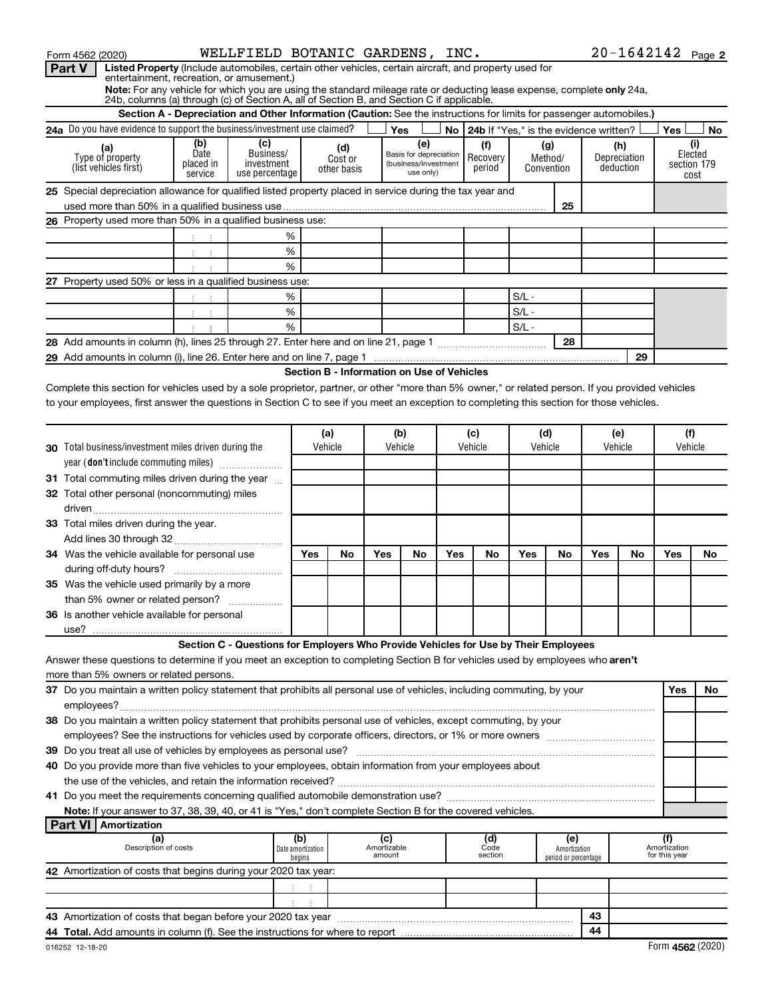| WELLFIELD BOTANIC GARDENS, INC.<br>Form 4562 (2020)                                                                                                          |                              |                             |                                            |                                                                                |                                   |     |                                           |                |                                      |     |                     | $20 - 1642142$ Page 2                |                     |
|--------------------------------------------------------------------------------------------------------------------------------------------------------------|------------------------------|-----------------------------|--------------------------------------------|--------------------------------------------------------------------------------|-----------------------------------|-----|-------------------------------------------|----------------|--------------------------------------|-----|---------------------|--------------------------------------|---------------------|
| Part V<br>Listed Property (Include automobiles, certain other vehicles, certain aircraft, and property used for<br>entertainment, recreation, or amusement.) |                              |                             |                                            |                                                                                |                                   |     |                                           |                |                                      |     |                     |                                      |                     |
| Note: For any vehicle for which you are using the standard mileage rate or deducting lease expense, complete only 24a,                                       |                              |                             |                                            |                                                                                |                                   |     |                                           |                |                                      |     |                     |                                      |                     |
| 24b, columns (a) through (c) of Section A, all of Section B, and Section C if applicable.                                                                    |                              |                             |                                            |                                                                                |                                   |     |                                           |                |                                      |     |                     |                                      |                     |
| Section A - Depreciation and Other Information (Caution: See the instructions for limits for passenger automobiles.)                                         |                              |                             |                                            |                                                                                |                                   |     |                                           |                |                                      |     |                     |                                      |                     |
| 24a Do you have evidence to support the business/investment use claimed?<br>(b)                                                                              |                              |                             |                                            |                                                                                | Yes                               |     | No 24b If "Yes." is the evidence written? |                |                                      |     |                     | Yes                                  | No                  |
| Date<br>Type of property                                                                                                                                     | (c)<br>Business/             |                             | (d)<br>Cost or                             |                                                                                | (e)<br>Basis for depreciation     |     | (f)<br>Recovery                           | (g)<br>Method/ |                                      |     | (h)<br>Depreciation |                                      | (i)<br>Elected      |
| placed in<br>(list vehicles first)<br>service                                                                                                                | investment<br>use percentage |                             | other basis                                |                                                                                | (business/investment<br>use only) |     | period                                    | Convention     |                                      |     | deduction           |                                      | section 179<br>cost |
| 25 Special depreciation allowance for qualified listed property placed in service during the tax year and                                                    |                              |                             |                                            |                                                                                |                                   |     |                                           |                |                                      |     |                     |                                      |                     |
|                                                                                                                                                              |                              |                             |                                            |                                                                                |                                   |     |                                           |                | 25                                   |     |                     |                                      |                     |
| 26 Property used more than 50% in a qualified business use:                                                                                                  |                              |                             |                                            |                                                                                |                                   |     |                                           |                |                                      |     |                     |                                      |                     |
|                                                                                                                                                              | %                            |                             |                                            |                                                                                |                                   |     |                                           |                |                                      |     |                     |                                      |                     |
| $1\leq i\leq 1$ .                                                                                                                                            | $\%$                         |                             |                                            |                                                                                |                                   |     |                                           |                |                                      |     |                     |                                      |                     |
|                                                                                                                                                              | %                            |                             |                                            |                                                                                |                                   |     |                                           |                |                                      |     |                     |                                      |                     |
| 27 Property used 50% or less in a qualified business use:                                                                                                    |                              |                             |                                            |                                                                                |                                   |     |                                           |                |                                      |     |                     |                                      |                     |
|                                                                                                                                                              | %                            |                             |                                            |                                                                                |                                   |     |                                           | $S/L -$        |                                      |     |                     |                                      |                     |
| おいま                                                                                                                                                          | $\%$                         |                             |                                            |                                                                                |                                   |     |                                           | $S/L$ .        |                                      |     |                     |                                      |                     |
|                                                                                                                                                              | %                            |                             |                                            |                                                                                |                                   |     |                                           | $S/L -$        |                                      |     |                     |                                      |                     |
|                                                                                                                                                              |                              |                             |                                            |                                                                                |                                   |     |                                           |                | 28                                   |     |                     |                                      |                     |
|                                                                                                                                                              |                              |                             |                                            |                                                                                |                                   |     |                                           |                |                                      |     | 29                  |                                      |                     |
|                                                                                                                                                              |                              |                             | Section B - Information on Use of Vehicles |                                                                                |                                   |     |                                           |                |                                      |     |                     |                                      |                     |
| Complete this section for vehicles used by a sole proprietor, partner, or other "more than 5% owner," or related person. If you provided vehicles            |                              |                             |                                            |                                                                                |                                   |     |                                           |                |                                      |     |                     |                                      |                     |
| to your employees, first answer the questions in Section C to see if you meet an exception to completing this section for those vehicles.                    |                              |                             |                                            |                                                                                |                                   |     |                                           |                |                                      |     |                     |                                      |                     |
|                                                                                                                                                              |                              |                             |                                            |                                                                                |                                   |     |                                           |                |                                      |     |                     |                                      |                     |
|                                                                                                                                                              |                              |                             | (a)                                        |                                                                                | (b)                               |     | (c)                                       | (d)            |                                      |     | (e)                 | (f)                                  |                     |
| <b>30</b> Total business/investment miles driven during the                                                                                                  |                              |                             | Vehicle                                    |                                                                                | Vehicle                           |     | Vehicle                                   | Vehicle        |                                      |     | Vehicle             | Vehicle                              |                     |
| year (don't include commuting miles)                                                                                                                         |                              |                             |                                            |                                                                                |                                   |     |                                           |                |                                      |     |                     |                                      |                     |
| 31 Total commuting miles driven during the year                                                                                                              |                              |                             |                                            |                                                                                |                                   |     |                                           |                |                                      |     |                     |                                      |                     |
| 32 Total other personal (noncommuting) miles                                                                                                                 |                              |                             |                                            |                                                                                |                                   |     |                                           |                |                                      |     |                     |                                      |                     |
|                                                                                                                                                              |                              |                             |                                            |                                                                                |                                   |     |                                           |                |                                      |     |                     |                                      |                     |
| 33 Total miles driven during the year.                                                                                                                       |                              |                             |                                            |                                                                                |                                   |     |                                           |                |                                      |     |                     |                                      |                     |
|                                                                                                                                                              |                              |                             |                                            |                                                                                |                                   |     |                                           |                |                                      |     |                     |                                      |                     |
| 34 Was the vehicle available for personal use                                                                                                                |                              | Yes                         | No                                         | Yes                                                                            | No                                | Yes | No                                        | Yes            | No                                   | Yes | No                  | Yes                                  | No.                 |
|                                                                                                                                                              |                              |                             |                                            |                                                                                |                                   |     |                                           |                |                                      |     |                     |                                      |                     |
| 35 Was the vehicle used primarily by a more                                                                                                                  |                              |                             |                                            |                                                                                |                                   |     |                                           |                |                                      |     |                     |                                      |                     |
| than 5% owner or related person?                                                                                                                             |                              |                             |                                            |                                                                                |                                   |     |                                           |                |                                      |     |                     |                                      |                     |
| 36 Is another vehicle available for personal                                                                                                                 |                              |                             |                                            |                                                                                |                                   |     |                                           |                |                                      |     |                     |                                      |                     |
|                                                                                                                                                              |                              |                             |                                            |                                                                                |                                   |     |                                           |                |                                      |     |                     |                                      |                     |
| Section C - Questions for Employers Who Provide Vehicles for Use by Their Employees                                                                          |                              |                             |                                            |                                                                                |                                   |     |                                           |                |                                      |     |                     |                                      |                     |
| Answer these questions to determine if you meet an exception to completing Section B for vehicles used by employees who aren't                               |                              |                             |                                            |                                                                                |                                   |     |                                           |                |                                      |     |                     |                                      |                     |
| more than 5% owners or related persons.                                                                                                                      |                              |                             |                                            |                                                                                |                                   |     |                                           |                |                                      |     |                     |                                      |                     |
| 37 Do you maintain a written policy statement that prohibits all personal use of vehicles, including commuting, by your                                      |                              |                             |                                            |                                                                                |                                   |     |                                           |                |                                      |     |                     | Yes                                  | No                  |
| employees?                                                                                                                                                   |                              |                             |                                            |                                                                                |                                   |     |                                           |                |                                      |     |                     |                                      |                     |
| 38 Do you maintain a written policy statement that prohibits personal use of vehicles, except commuting, by your                                             |                              |                             |                                            |                                                                                |                                   |     |                                           |                |                                      |     |                     |                                      |                     |
|                                                                                                                                                              |                              |                             |                                            |                                                                                |                                   |     |                                           |                |                                      |     |                     |                                      |                     |
| 40 Do you provide more than five vehicles to your employees, obtain information from your employees about                                                    |                              |                             |                                            |                                                                                |                                   |     |                                           |                |                                      |     |                     |                                      |                     |
|                                                                                                                                                              |                              |                             |                                            |                                                                                |                                   |     |                                           |                |                                      |     |                     |                                      |                     |
|                                                                                                                                                              |                              |                             |                                            |                                                                                |                                   |     |                                           |                |                                      |     |                     |                                      |                     |
| Note: If your answer to 37, 38, 39, 40, or 41 is "Yes," don't complete Section B for the covered vehicles.                                                   |                              |                             |                                            |                                                                                |                                   |     |                                           |                |                                      |     |                     |                                      |                     |
| <b>Part VI   Amortization</b>                                                                                                                                |                              |                             |                                            |                                                                                |                                   |     |                                           |                |                                      |     |                     |                                      |                     |
|                                                                                                                                                              |                              | (b)                         |                                            |                                                                                |                                   |     | (d)                                       |                | (e)                                  |     |                     |                                      |                     |
| (a)<br>Description of costs                                                                                                                                  |                              | Date amortization<br>begins |                                            | $\begin{array}{c} \text{(c)}\\ \text{Amortizable}\\ \text{amount} \end{array}$ |                                   |     | Code<br>section                           |                | Amortization<br>period or percentage |     |                     | (f)<br>Amortization<br>for this year |                     |
| 42 Amortization of costs that begins during your 2020 tax year:                                                                                              |                              |                             |                                            |                                                                                |                                   |     |                                           |                |                                      |     |                     |                                      |                     |
|                                                                                                                                                              |                              |                             |                                            |                                                                                |                                   |     |                                           |                |                                      |     |                     |                                      |                     |
|                                                                                                                                                              |                              |                             |                                            |                                                                                |                                   |     |                                           |                |                                      |     |                     |                                      |                     |
|                                                                                                                                                              |                              |                             |                                            |                                                                                |                                   |     |                                           |                |                                      | 43  |                     |                                      |                     |
|                                                                                                                                                              |                              |                             |                                            |                                                                                |                                   |     |                                           |                |                                      | 44  |                     |                                      |                     |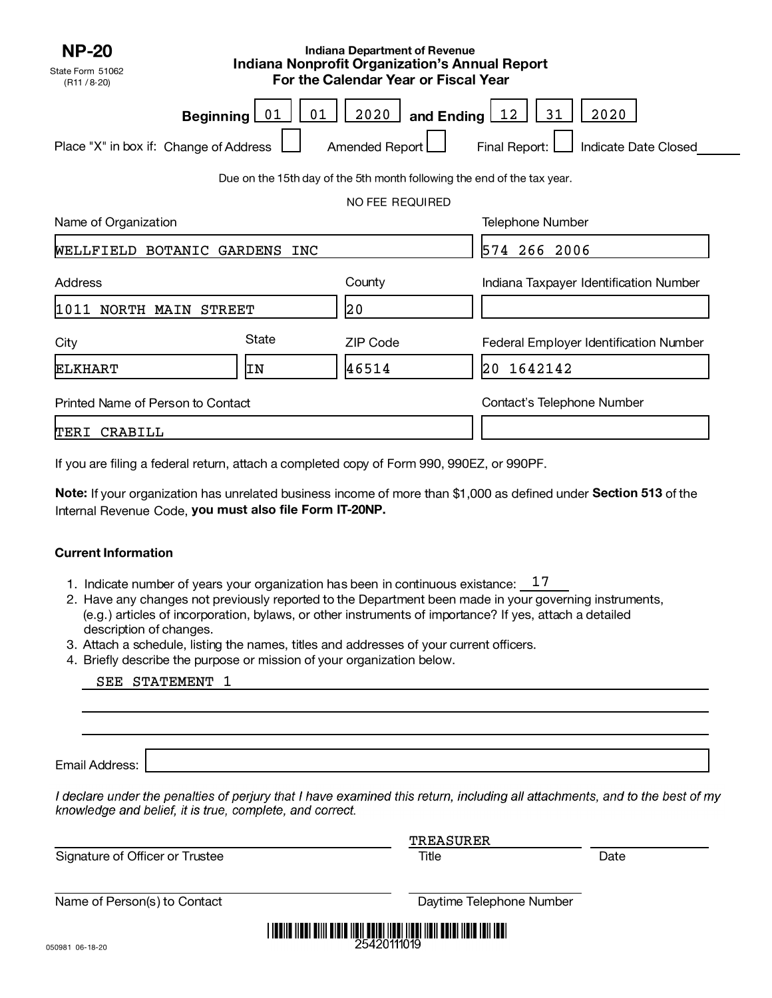| <b>NP-20</b><br><b>Indiana Department of Revenue</b><br>Indiana Nonprofit Organization's Annual Report<br>State Form 51062<br>For the Calendar Year or Fiscal Year<br>(R11 / 8-20) |          |                                                                         |                                               |  |  |  |  |
|------------------------------------------------------------------------------------------------------------------------------------------------------------------------------------|----------|-------------------------------------------------------------------------|-----------------------------------------------|--|--|--|--|
| <b>Beginning</b>                                                                                                                                                                   | 01<br>01 | 2020<br>and Ending $\boxed{12}$                                         | 2020<br>31                                    |  |  |  |  |
| Place "X" in box if: Change of Address                                                                                                                                             |          | Amended Report                                                          | Final Report:<br>Indicate Date Closed         |  |  |  |  |
|                                                                                                                                                                                    |          | Due on the 15th day of the 5th month following the end of the tax year. |                                               |  |  |  |  |
|                                                                                                                                                                                    |          | NO FEE REQUIRED                                                         |                                               |  |  |  |  |
| Name of Organization                                                                                                                                                               |          |                                                                         | <b>Telephone Number</b>                       |  |  |  |  |
| WELLFIELD BOTANIC GARDENS                                                                                                                                                          | INC      |                                                                         | 574 266 2006                                  |  |  |  |  |
| Address                                                                                                                                                                            |          | County                                                                  | Indiana Taxpayer Identification Number        |  |  |  |  |
| NORTH MAIN<br> 1011<br><b>STREET</b>                                                                                                                                               |          | 20                                                                      |                                               |  |  |  |  |
| City                                                                                                                                                                               | State    | <b>ZIP Code</b>                                                         | <b>Federal Employer Identification Number</b> |  |  |  |  |
| ELKHART                                                                                                                                                                            | ΙN       | 46514                                                                   | 20 1642142                                    |  |  |  |  |
| Printed Name of Person to Contact                                                                                                                                                  |          |                                                                         | Contact's Telephone Number                    |  |  |  |  |
| CRABILL<br>TERI                                                                                                                                                                    |          |                                                                         |                                               |  |  |  |  |

If you are filing a federal return, attach a completed copy of Form 990, 990EZ, or 990PF.

Note: If your organization has unrelated business income of more than \$1,000 as defined under Section 513 of the Internal Revenue Code, you must also file Form IT-20NP.

## **Current Information**

- 1. Indicate number of years your organization has been in continuous existance:  $17$
- 2. Have any changes not previously reported to the Department been made in your governing instruments, (e.g.) articles of incorporation, bylaws, or other instruments of importance? If yes, attach a detailed description of changes.
- 3. Attach a schedule, listing the names, titles and addresses of your current officers.
- 4. Briefly describe the purpose or mission of your organization below.

|  | SEE STATEMENT |  |  |
|--|---------------|--|--|
|--|---------------|--|--|

Email Address:

I declare under the penalties of perjury that I have examined this return, including all attachments, and to the best of my knowledge and belief, it is true, complete, and correct.

|                                 | <b>TREASURER</b>                                                                                       |      |
|---------------------------------|--------------------------------------------------------------------------------------------------------|------|
| Signature of Officer or Trustee | Title                                                                                                  | Date |
| Name of Person(s) to Contact    | Daytime Telephone Number                                                                               |      |
|                                 | <u> 1 100110 11001 01111 01010 11011 00101 11001 11001 11011 00101 11010 1011 1001 </u><br>OF JONJJANO |      |

25420111019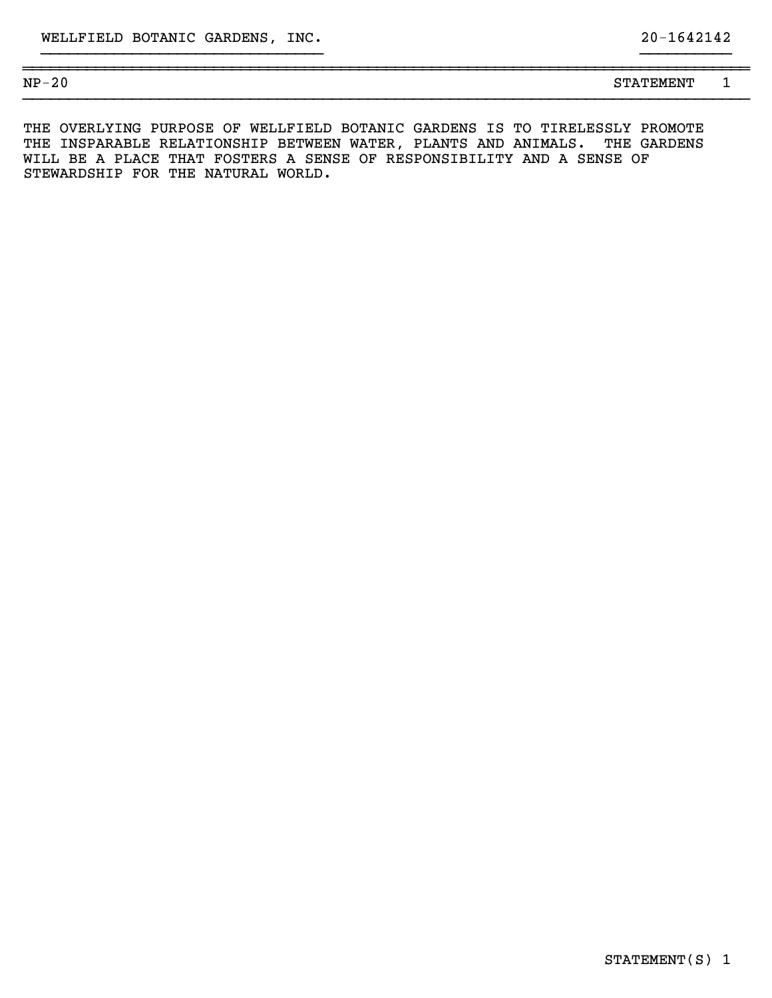| $NP-$<br>$\sim$ $\sim$<br>2 U | --------<br>STATEMENT | - |
|-------------------------------|-----------------------|---|
|                               |                       |   |

}}}}}}}}}}}}}}}}}}}}}}}}}}}}}}} }}}}}}}}}} ~~~~~~~~~~~~~~~~~~~~~~~~~~~~~~~~~~~~~~~~~~~~~~~~~~~~~~~~~~~~~~~~~~~~~~~~~~~~~~~~

THE OVERLYING PURPOSE OF WELLFIELD BOTANIC GARDENS IS TO TIRELESSLY PROMOTE THE INSPARABLE RELATIONSHIP BETWEEN WATER, PLANTS AND ANIMALS. THE GARDENS WILL BE A PLACE THAT FOSTERS A SENSE OF RESPONSIBILITY AND A SENSE OF STEWARDSHIP FOR THE NATURAL WORLD.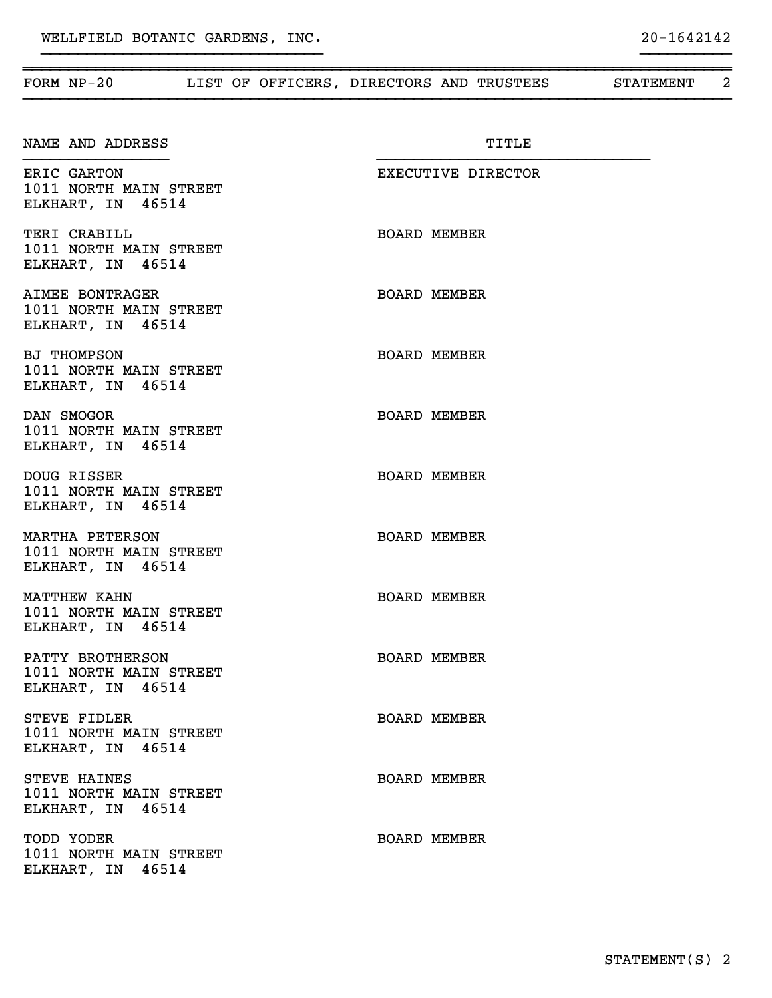| FORM NP-20 LIST OF OFFICERS, DIRECTORS AND TRUSTEES STATEMENT      |                     | $\overline{2}$ |
|--------------------------------------------------------------------|---------------------|----------------|
| NAME AND ADDRESS                                                   | TITLE               |                |
| ERIC GARTON<br>1011 NORTH MAIN STREET<br>ELKHART, IN 46514         | EXECUTIVE DIRECTOR  |                |
| TERI CRABILL<br>1011 NORTH MAIN STREET<br>ELKHART, IN 46514        | <b>BOARD MEMBER</b> |                |
| AIMEE BONTRAGER<br>1011 NORTH MAIN STREET<br>ELKHART, IN 46514     | <b>BOARD MEMBER</b> |                |
| <b>BJ THOMPSON</b><br>1011 NORTH MAIN STREET<br>ELKHART, IN 46514  | <b>BOARD MEMBER</b> |                |
| DAN SMOGOR<br>1011 NORTH MAIN STREET<br>ELKHART, IN 46514          | <b>BOARD MEMBER</b> |                |
| DOUG RISSER<br>1011 NORTH MAIN STREET<br>ELKHART, IN 46514         | <b>BOARD MEMBER</b> |                |
| MARTHA PETERSON<br>1011 NORTH MAIN STREET<br>ELKHART, IN 46514     | <b>BOARD MEMBER</b> |                |
| <b>MATTHEW KAHN</b><br>1011 NORTH MAIN STREET<br>ELKHART, IN 46514 | <b>BOARD MEMBER</b> |                |
| PATTY BROTHERSON<br>1011 NORTH MAIN STREET<br>ELKHART, IN 46514    | <b>BOARD MEMBER</b> |                |
| STEVE FIDLER<br>1011 NORTH MAIN STREET<br>ELKHART, IN 46514        | <b>BOARD MEMBER</b> |                |
| STEVE HAINES<br>1011 NORTH MAIN STREET<br>ELKHART, IN 46514        | <b>BOARD MEMBER</b> |                |
| TODD YODER<br>1011 NORTH MAIN STREET<br>ELKHART, IN 46514          | <b>BOARD MEMBER</b> |                |
|                                                                    |                     |                |

}}}}}}}}}}}}}}}}}}}}}}}}}}}}}}} }}}}}}}}}}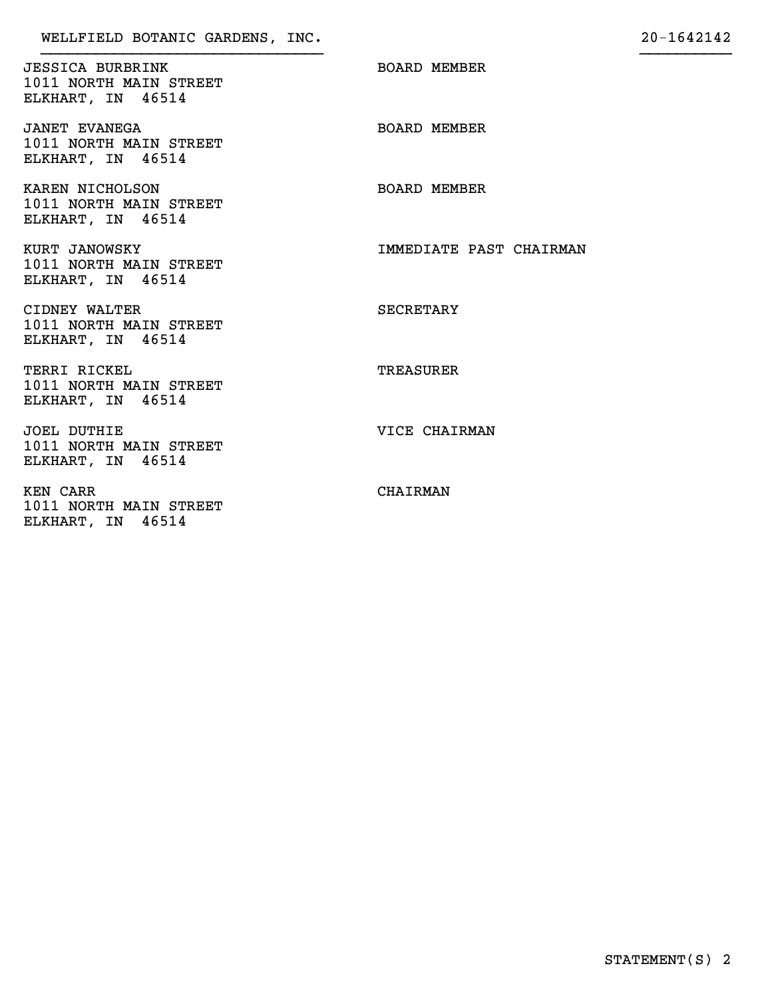JESSICA BURBRINK BOARD MEMBER 1011 NORTH MAIN STREET ELKHART, IN 46514

JANET EVANEGA BOARD MEMBER 1011 NORTH MAIN STREET ELKHART, IN 46514

KAREN NICHOLSON BOARD MEMBER 1011 NORTH MAIN STREET ELKHART, IN 46514

1011 NORTH MAIN STREET ELKHART, IN 46514

CIDNEY WALTER SECRETARY 1011 NORTH MAIN STREET ELKHART, IN 46514

TERRI RICKEL TERRI RICKEL 1011 NORTH MAIN STREET ELKHART, IN 46514

JOEL DUTHIE VICE CHAIRMAN 1011 NORTH MAIN STREET ELKHART, IN 46514

KEN CARR CHAIRMAN 1011 NORTH MAIN STREET ELKHART, IN 46514

KURT JANOWSKY **IMMEDIATE PAST CHAIRMAN**